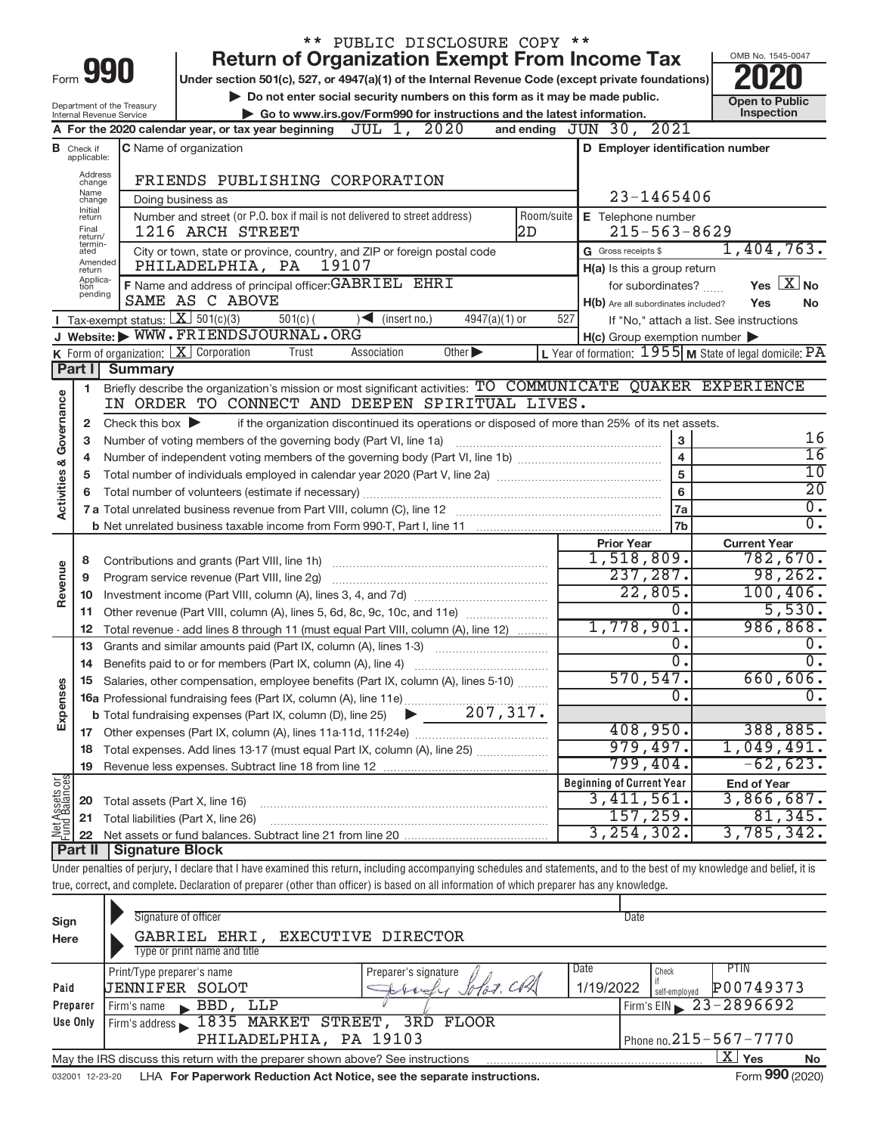|                                                                                                |                                  | PUBLIC DISCLOSURE COPY **                                                                                                                                                         |                                                                                                                  |                                          |  |  |  |  |
|------------------------------------------------------------------------------------------------|----------------------------------|-----------------------------------------------------------------------------------------------------------------------------------------------------------------------------------|------------------------------------------------------------------------------------------------------------------|------------------------------------------|--|--|--|--|
|                                                                                                |                                  | <b>Return of Organization Exempt From Income Tax</b><br>990                                                                                                                       |                                                                                                                  | OMB No. 1545-0047                        |  |  |  |  |
| Form                                                                                           |                                  | Under section 501(c), 527, or 4947(a)(1) of the Internal Revenue Code (except private foundations)                                                                                |                                                                                                                  |                                          |  |  |  |  |
|                                                                                                | Department of the Treasury       | Do not enter social security numbers on this form as it may be made public.                                                                                                       | <b>Open to Public</b>                                                                                            |                                          |  |  |  |  |
|                                                                                                |                                  | Go to www.irs.gov/Form990 for instructions and the latest information.<br>Internal Revenue Service                                                                                |                                                                                                                  | Inspection                               |  |  |  |  |
| A For the 2020 calendar year, or tax year beginning $JUL$ 1, $2020$<br>and ending JUN 30, 2021 |                                  |                                                                                                                                                                                   |                                                                                                                  |                                          |  |  |  |  |
|                                                                                                | <b>B</b> Check if<br>applicable: | <b>C</b> Name of organization                                                                                                                                                     | D Employer identification number                                                                                 |                                          |  |  |  |  |
|                                                                                                | Address<br>change                | FRIENDS PUBLISHING CORPORATION                                                                                                                                                    |                                                                                                                  |                                          |  |  |  |  |
|                                                                                                | Name<br>change                   | Doing business as                                                                                                                                                                 | 23-1465406                                                                                                       |                                          |  |  |  |  |
|                                                                                                | Initial<br>return                | Number and street (or P.O. box if mail is not delivered to street address)<br>Room/suite                                                                                          | E Telephone number                                                                                               |                                          |  |  |  |  |
|                                                                                                | Final<br>return/                 | 1216 ARCH STREET<br>2D                                                                                                                                                            | $215 - 563 - 8629$                                                                                               |                                          |  |  |  |  |
|                                                                                                | termin-<br>ated                  | City or town, state or province, country, and ZIP or foreign postal code                                                                                                          | G Gross receipts \$                                                                                              | 1,404,763.                               |  |  |  |  |
|                                                                                                | Amended<br>return                | PHILADELPHIA, PA<br>19107                                                                                                                                                         | H(a) Is this a group return                                                                                      |                                          |  |  |  |  |
|                                                                                                | Applica-<br>tion<br>pending      | F Name and address of principal officer: GABRIEL EHRI                                                                                                                             | for subordinates?                                                                                                | Yes $\boxed{\text{X}}$ No                |  |  |  |  |
|                                                                                                |                                  | SAME AS C ABOVE                                                                                                                                                                   | H(b) Are all subordinates included?                                                                              | Yes<br>No                                |  |  |  |  |
|                                                                                                |                                  | Tax-exempt status: $X \ 501(c)(3)$<br>$\sum$ (insert no.)<br>$4947(a)(1)$ or<br>$501(c)$ (<br>J Website: WWW.FRIENDSJOURNAL.ORG                                                   | 527                                                                                                              | If "No," attach a list. See instructions |  |  |  |  |
|                                                                                                |                                  | K Form of organization: $X$ Corporation<br>Trust<br>Association<br>Other $\blacktriangleright$                                                                                    | $H(c)$ Group exemption number $\blacktriangleright$<br>L Year of formation: $1955$ M State of legal domicile: PA |                                          |  |  |  |  |
|                                                                                                | Part I                           | <b>Summary</b>                                                                                                                                                                    |                                                                                                                  |                                          |  |  |  |  |
|                                                                                                | 1.                               | Briefly describe the organization's mission or most significant activities: TO COMMUNICATE QUAKER EXPERIENCE                                                                      |                                                                                                                  |                                          |  |  |  |  |
| Activities & Governance                                                                        |                                  | IN ORDER TO CONNECT AND DEEPEN SPIRITUAL LIVES.                                                                                                                                   |                                                                                                                  |                                          |  |  |  |  |
|                                                                                                | 2                                | if the organization discontinued its operations or disposed of more than 25% of its net assets.<br>Check this box $\blacktriangleright$                                           |                                                                                                                  |                                          |  |  |  |  |
|                                                                                                | 3                                | Number of voting members of the governing body (Part VI, line 1a)                                                                                                                 | $\mathbf 3$                                                                                                      | 16                                       |  |  |  |  |
|                                                                                                | 4                                |                                                                                                                                                                                   | $\overline{4}$                                                                                                   | 16                                       |  |  |  |  |
|                                                                                                | 5                                |                                                                                                                                                                                   | 5                                                                                                                | 10                                       |  |  |  |  |
|                                                                                                | 6                                |                                                                                                                                                                                   | 6                                                                                                                | $\overline{20}$                          |  |  |  |  |
|                                                                                                |                                  |                                                                                                                                                                                   | 7a                                                                                                               | $\overline{0}$ .                         |  |  |  |  |
|                                                                                                |                                  |                                                                                                                                                                                   | 7 <sub>b</sub>                                                                                                   | $\overline{0}$ .                         |  |  |  |  |
|                                                                                                |                                  |                                                                                                                                                                                   | <b>Prior Year</b>                                                                                                | <b>Current Year</b>                      |  |  |  |  |
|                                                                                                | 8                                |                                                                                                                                                                                   | 1,518,809.                                                                                                       | 782,670.                                 |  |  |  |  |
| Revenue                                                                                        | 9                                |                                                                                                                                                                                   | 237, 287.                                                                                                        | 98, 262.                                 |  |  |  |  |
|                                                                                                | 10                               |                                                                                                                                                                                   | 22,805.<br>0.                                                                                                    | 100, 406.<br>5,530.                      |  |  |  |  |
|                                                                                                | 11                               | Other revenue (Part VIII, column (A), lines 5, 6d, 8c, 9c, 10c, and 11e)                                                                                                          | 1,778,901.                                                                                                       | 986,868.                                 |  |  |  |  |
|                                                                                                | 12                               | Total revenue - add lines 8 through 11 (must equal Part VIII, column (A), line 12)                                                                                                | 0.                                                                                                               | 0.                                       |  |  |  |  |
|                                                                                                | 13<br>14                         | Grants and similar amounts paid (Part IX, column (A), lines 1-3)<br>Benefits paid to or for members (Part IX, column (A), line 4)                                                 | σ.                                                                                                               | $\overline{0}$ .                         |  |  |  |  |
|                                                                                                |                                  | 15 Salaries, other compensation, employee benefits (Part IX, column (A), lines 5-10)                                                                                              | 570, 547.                                                                                                        | 660,606.                                 |  |  |  |  |
| Expenses                                                                                       |                                  | 15 Salaries, Office Componenting<br>16a Professional fundraising fees (Part IX, column (A), line 11e)<br>The Life individual expenses (Part IX, column (D), line 25)<br>207, 317. | 0                                                                                                                | $\overline{0}$ .                         |  |  |  |  |
|                                                                                                |                                  |                                                                                                                                                                                   |                                                                                                                  |                                          |  |  |  |  |
|                                                                                                | 17                               |                                                                                                                                                                                   | 408,950.                                                                                                         | 388,885.                                 |  |  |  |  |
|                                                                                                | 18                               | Total expenses. Add lines 13-17 (must equal Part IX, column (A), line 25)                                                                                                         | 979,497.                                                                                                         | 1,049,491.                               |  |  |  |  |
|                                                                                                | 19                               |                                                                                                                                                                                   | 799,404.                                                                                                         | $-62,623.$                               |  |  |  |  |
|                                                                                                |                                  |                                                                                                                                                                                   | <b>Beginning of Current Year</b>                                                                                 | <b>End of Year</b>                       |  |  |  |  |
| Net Assets or<br>Fund Balances                                                                 | 20                               | Total assets (Part X, line 16)                                                                                                                                                    | 3,411,561.                                                                                                       | 3,866,687.                               |  |  |  |  |
|                                                                                                | 21                               | Total liabilities (Part X, line 26)                                                                                                                                               | 157, 259.                                                                                                        | 81,345.                                  |  |  |  |  |
|                                                                                                | 22                               |                                                                                                                                                                                   | 3, 254, 302.                                                                                                     | 3,785,342.                               |  |  |  |  |
|                                                                                                | Part II                          | Signature Block                                                                                                                                                                   |                                                                                                                  |                                          |  |  |  |  |
|                                                                                                |                                  | Under penalties of perjury, I declare that I have examined this return, including accompanying schedules and statements, and to the best of my knowledge and belief, it is        |                                                                                                                  |                                          |  |  |  |  |
|                                                                                                |                                  | true, correct, and complete. Declaration of preparer (other than officer) is based on all information of which preparer has any knowledge.                                        |                                                                                                                  |                                          |  |  |  |  |
|                                                                                                |                                  | Signature of officer                                                                                                                                                              | Date                                                                                                             |                                          |  |  |  |  |
| Sign                                                                                           |                                  |                                                                                                                                                                                   |                                                                                                                  |                                          |  |  |  |  |

| Here     | GABRIEL EHRI, EXECUTIVE DIRECTOR                                                                   |                      |                                         |  |  |  |  |  |
|----------|----------------------------------------------------------------------------------------------------|----------------------|-----------------------------------------|--|--|--|--|--|
|          | Type or print name and title                                                                       |                      |                                         |  |  |  |  |  |
|          | Print/Type preparer's name                                                                         | Preparer's signature | <b>PTIN</b><br>Date<br>Check            |  |  |  |  |  |
| Paid     | <b>JENNIFER SOLOT</b>                                                                              | Johndy Jolar. Cold   | P00749373<br>1/19/2022<br>self-emploved |  |  |  |  |  |
| Preparer | LLP<br>BBD.<br>Firm's name<br>$\sim$ $\sim$ $^{\prime}$                                            |                      | Firm's EIN $\geq 23 - 2896692$          |  |  |  |  |  |
| Use Only | Firm's address 1835 MARKET STREET, 3RD FLOOR                                                       |                      |                                         |  |  |  |  |  |
|          | PHILADELPHIA, PA 19103<br>Phone no. $215 - 567 - 7770$                                             |                      |                                         |  |  |  |  |  |
|          | X'<br>Yes<br>May the IRS discuss this return with the preparer shown above? See instructions<br>No |                      |                                         |  |  |  |  |  |
|          | $\sim$                                                                                             |                      |                                         |  |  |  |  |  |

032001 12-23-20 LHA For Paperwork Reduction Act Notice, see the separate instructions. Form 990 (2020)

Form 990 (2020)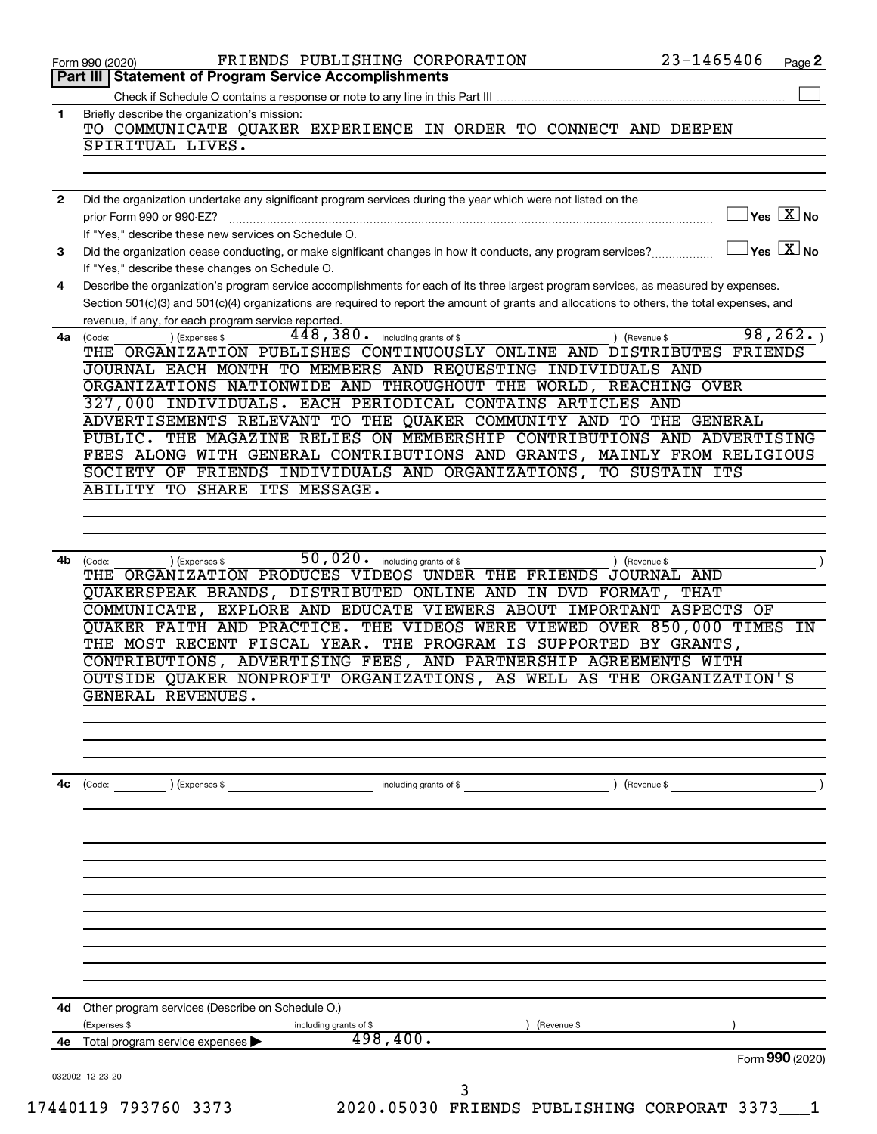|                | 23-1465406<br>FRIENDS PUBLISHING CORPORATION<br>Page 2<br>Form 990 (2020)                                                                                                                                                                                                            |
|----------------|--------------------------------------------------------------------------------------------------------------------------------------------------------------------------------------------------------------------------------------------------------------------------------------|
|                | Part III   Statement of Program Service Accomplishments                                                                                                                                                                                                                              |
|                |                                                                                                                                                                                                                                                                                      |
| 1.             | Briefly describe the organization's mission:<br>TO COMMUNICATE QUAKER EXPERIENCE IN ORDER TO CONNECT AND DEEPEN<br>SPIRITUAL LIVES.                                                                                                                                                  |
|                |                                                                                                                                                                                                                                                                                      |
|                |                                                                                                                                                                                                                                                                                      |
| $\overline{2}$ | Did the organization undertake any significant program services during the year which were not listed on the                                                                                                                                                                         |
|                | $\overline{\ }$ Yes $\overline{\rm X}$ No<br>prior Form 990 or 990-EZ?                                                                                                                                                                                                               |
| 3              | If "Yes," describe these new services on Schedule O.<br>$\overline{\ }$ Yes $\overline{\rm X}$ No<br>Did the organization cease conducting, or make significant changes in how it conducts, any program services?                                                                    |
|                | If "Yes," describe these changes on Schedule O.                                                                                                                                                                                                                                      |
| 4              | Describe the organization's program service accomplishments for each of its three largest program services, as measured by expenses.<br>Section 501(c)(3) and 501(c)(4) organizations are required to report the amount of grants and allocations to others, the total expenses, and |
|                | revenue, if any, for each program service reported.                                                                                                                                                                                                                                  |
| 4a             | 98, 262.<br>448,380.<br>including grants of \$<br>) (Expenses \$<br>) (Revenue \$<br>(Code:<br>THE ORGANIZATION PUBLISHES CONTINUOUSLY ONLINE AND DISTRIBUTES FRIENDS<br>JOURNAL EACH MONTH TO MEMBERS AND REQUESTING INDIVIDUALS AND                                                |
|                | ORGANIZATIONS NATIONWIDE AND THROUGHOUT THE WORLD, REACHING OVER                                                                                                                                                                                                                     |
|                | 327,000 INDIVIDUALS. EACH PERIODICAL CONTAINS ARTICLES AND                                                                                                                                                                                                                           |
|                | ADVERTISEMENTS RELEVANT TO THE QUAKER COMMUNITY AND TO THE GENERAL                                                                                                                                                                                                                   |
|                | PUBLIC. THE MAGAZINE RELIES ON MEMBERSHIP CONTRIBUTIONS AND ADVERTISING                                                                                                                                                                                                              |
|                | FEES ALONG WITH GENERAL CONTRIBUTIONS AND GRANTS, MAINLY FROM RELIGIOUS<br>SOCIETY OF FRIENDS INDIVIDUALS AND ORGANIZATIONS, TO SUSTAIN ITS                                                                                                                                          |
|                | ABILITY TO SHARE ITS MESSAGE.                                                                                                                                                                                                                                                        |
|                |                                                                                                                                                                                                                                                                                      |
|                |                                                                                                                                                                                                                                                                                      |
|                |                                                                                                                                                                                                                                                                                      |
| 4b             | 50,020. including grants of \$<br>) (Revenue \$<br>(Code:<br>) (Expenses \$                                                                                                                                                                                                          |
|                | THE ORGANIZATION PRODUCES VIDEOS UNDER THE FRIENDS JOURNAL AND<br>QUAKERSPEAK BRANDS, DISTRIBUTED ONLINE AND IN DVD FORMAT,<br>THAT                                                                                                                                                  |
|                | COMMUNICATE, EXPLORE AND EDUCATE VIEWERS ABOUT IMPORTANT ASPECTS OF                                                                                                                                                                                                                  |
|                | QUAKER FAITH AND PRACTICE. THE VIDEOS WERE VIEWED OVER 850,000 TIMES IN                                                                                                                                                                                                              |
|                | THE MOST RECENT FISCAL YEAR. THE PROGRAM IS SUPPORTED BY GRANTS,                                                                                                                                                                                                                     |
|                | CONTRIBUTIONS, ADVERTISING FEES, AND PARTNERSHIP AGREEMENTS WITH                                                                                                                                                                                                                     |
|                | OUTSIDE QUAKER NONPROFIT ORGANIZATIONS, AS WELL AS THE ORGANIZATION'S                                                                                                                                                                                                                |
|                | GENERAL REVENUES.                                                                                                                                                                                                                                                                    |
|                |                                                                                                                                                                                                                                                                                      |
|                |                                                                                                                                                                                                                                                                                      |
|                |                                                                                                                                                                                                                                                                                      |
| 4с             | ) (Expenses \$<br>$\begin{pmatrix} \text{Code:} \end{pmatrix}$<br>including grants of \$<br>) (Revenue \$                                                                                                                                                                            |
|                |                                                                                                                                                                                                                                                                                      |
|                |                                                                                                                                                                                                                                                                                      |
|                |                                                                                                                                                                                                                                                                                      |
|                |                                                                                                                                                                                                                                                                                      |
|                |                                                                                                                                                                                                                                                                                      |
|                |                                                                                                                                                                                                                                                                                      |
|                |                                                                                                                                                                                                                                                                                      |
|                |                                                                                                                                                                                                                                                                                      |
|                |                                                                                                                                                                                                                                                                                      |
|                |                                                                                                                                                                                                                                                                                      |
|                | 4d Other program services (Describe on Schedule O.)                                                                                                                                                                                                                                  |
|                | (Expenses \$<br>Revenue \$<br>including grants of \$                                                                                                                                                                                                                                 |
|                | 498,400.<br>4e Total program service expenses                                                                                                                                                                                                                                        |
|                | Form 990 (2020)                                                                                                                                                                                                                                                                      |
|                | 032002 12-23-20                                                                                                                                                                                                                                                                      |
|                | 3<br>17440119 793760 3373<br>2020.05030 FRIENDS PUBLISHING CORPORAT 3373                                                                                                                                                                                                             |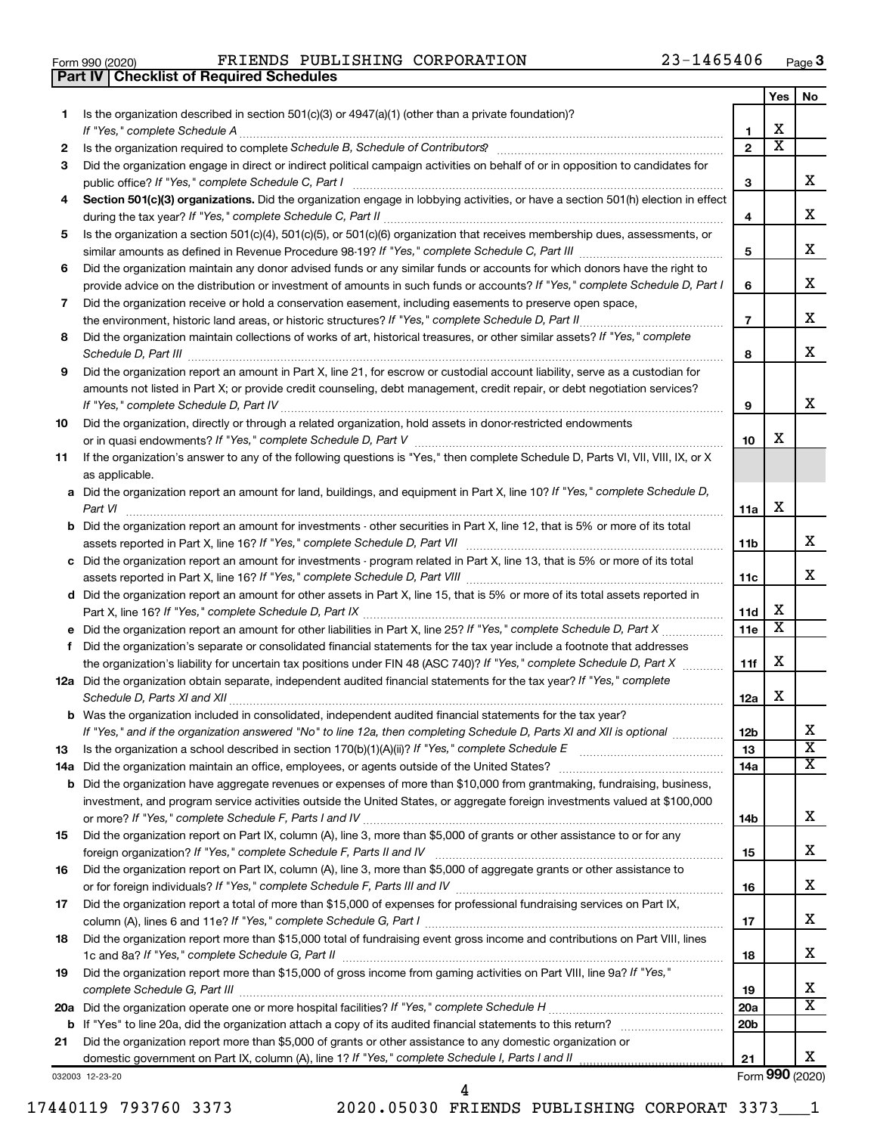|  | Form 990 (2020) |
|--|-----------------|

**Part IV Checklist of Required Schedules**

Form 990 (2020) **PRIENDS PUBLISHING CORPORATION** 23-1465406  $P_{\text{age}}$ 

|    |                                                                                                                                                                                                                                       |                 | Yes                     | No                           |
|----|---------------------------------------------------------------------------------------------------------------------------------------------------------------------------------------------------------------------------------------|-----------------|-------------------------|------------------------------|
| 1. | Is the organization described in section 501(c)(3) or 4947(a)(1) (other than a private foundation)?                                                                                                                                   |                 |                         |                              |
|    | If "Yes," complete Schedule A                                                                                                                                                                                                         | 1               | х                       |                              |
| 2  |                                                                                                                                                                                                                                       | $\overline{2}$  | $\overline{\textbf{x}}$ |                              |
| 3  | Did the organization engage in direct or indirect political campaign activities on behalf of or in opposition to candidates for                                                                                                       |                 |                         |                              |
|    | public office? If "Yes," complete Schedule C, Part I                                                                                                                                                                                  | 3               |                         | x.                           |
| 4  | Section 501(c)(3) organizations. Did the organization engage in lobbying activities, or have a section 501(h) election in effect                                                                                                      |                 |                         |                              |
|    |                                                                                                                                                                                                                                       | 4               |                         | x                            |
| 5  | Is the organization a section 501(c)(4), 501(c)(5), or 501(c)(6) organization that receives membership dues, assessments, or                                                                                                          |                 |                         |                              |
|    |                                                                                                                                                                                                                                       | 5               |                         | x                            |
| 6  | Did the organization maintain any donor advised funds or any similar funds or accounts for which donors have the right to                                                                                                             |                 |                         | X                            |
|    | provide advice on the distribution or investment of amounts in such funds or accounts? If "Yes," complete Schedule D, Part I                                                                                                          | 6               |                         |                              |
| 7  | Did the organization receive or hold a conservation easement, including easements to preserve open space,                                                                                                                             | $\overline{7}$  |                         | x                            |
| 8  | the environment, historic land areas, or historic structures? If "Yes," complete Schedule D, Part II.<br>Did the organization maintain collections of works of art, historical treasures, or other similar assets? If "Yes," complete |                 |                         |                              |
|    |                                                                                                                                                                                                                                       | 8               |                         | x                            |
| 9  | Did the organization report an amount in Part X, line 21, for escrow or custodial account liability, serve as a custodian for                                                                                                         |                 |                         |                              |
|    | amounts not listed in Part X; or provide credit counseling, debt management, credit repair, or debt negotiation services?                                                                                                             |                 |                         |                              |
|    | If "Yes," complete Schedule D, Part IV                                                                                                                                                                                                | 9               |                         | x                            |
| 10 | Did the organization, directly or through a related organization, hold assets in donor-restricted endowments                                                                                                                          |                 |                         |                              |
|    |                                                                                                                                                                                                                                       | 10              | х                       |                              |
| 11 | If the organization's answer to any of the following questions is "Yes," then complete Schedule D, Parts VI, VII, VIII, IX, or X                                                                                                      |                 |                         |                              |
|    | as applicable.                                                                                                                                                                                                                        |                 |                         |                              |
|    | a Did the organization report an amount for land, buildings, and equipment in Part X, line 10? If "Yes," complete Schedule D,                                                                                                         |                 |                         |                              |
|    | Part VI                                                                                                                                                                                                                               | 11a             | х                       |                              |
|    | <b>b</b> Did the organization report an amount for investments - other securities in Part X, line 12, that is 5% or more of its total                                                                                                 |                 |                         |                              |
|    |                                                                                                                                                                                                                                       | 11b             |                         | x                            |
|    | c Did the organization report an amount for investments - program related in Part X, line 13, that is 5% or more of its total                                                                                                         |                 |                         |                              |
|    |                                                                                                                                                                                                                                       | 11c             |                         | x                            |
|    | d Did the organization report an amount for other assets in Part X, line 15, that is 5% or more of its total assets reported in                                                                                                       |                 |                         |                              |
|    |                                                                                                                                                                                                                                       | 11d             | x                       |                              |
|    |                                                                                                                                                                                                                                       | 11e             | $\overline{\textbf{x}}$ |                              |
| f  | Did the organization's separate or consolidated financial statements for the tax year include a footnote that addresses                                                                                                               |                 |                         |                              |
|    | the organization's liability for uncertain tax positions under FIN 48 (ASC 740)? If "Yes," complete Schedule D, Part X                                                                                                                | 11f             | х                       |                              |
|    | 12a Did the organization obtain separate, independent audited financial statements for the tax year? If "Yes," complete                                                                                                               |                 |                         |                              |
|    | Schedule D, Parts XI and XII                                                                                                                                                                                                          | 12a             | x                       |                              |
|    | <b>b</b> Was the organization included in consolidated, independent audited financial statements for the tax year?                                                                                                                    |                 |                         |                              |
|    | If "Yes," and if the organization answered "No" to line 12a, then completing Schedule D, Parts XI and XII is optional<br>Is the organization a school described in section $170(b)(1)(A)(ii)$ ? If "Yes," complete Schedule E         | 12b<br>13       |                         | ▵<br>$\overline{\textbf{X}}$ |
| 13 | 14a Did the organization maintain an office, employees, or agents outside of the United States?                                                                                                                                       | 14a             |                         | x                            |
|    | <b>b</b> Did the organization have aggregate revenues or expenses of more than \$10,000 from grantmaking, fundraising, business,                                                                                                      |                 |                         |                              |
|    | investment, and program service activities outside the United States, or aggregate foreign investments valued at \$100,000                                                                                                            |                 |                         |                              |
|    |                                                                                                                                                                                                                                       | 14b             |                         | X                            |
| 15 | Did the organization report on Part IX, column (A), line 3, more than \$5,000 of grants or other assistance to or for any                                                                                                             |                 |                         |                              |
|    |                                                                                                                                                                                                                                       | 15              |                         | x                            |
| 16 | Did the organization report on Part IX, column (A), line 3, more than \$5,000 of aggregate grants or other assistance to                                                                                                              |                 |                         |                              |
|    |                                                                                                                                                                                                                                       | 16              |                         | x                            |
| 17 | Did the organization report a total of more than \$15,000 of expenses for professional fundraising services on Part IX,                                                                                                               |                 |                         |                              |
|    |                                                                                                                                                                                                                                       | 17              |                         | x                            |
| 18 | Did the organization report more than \$15,000 total of fundraising event gross income and contributions on Part VIII, lines                                                                                                          |                 |                         |                              |
|    |                                                                                                                                                                                                                                       | 18              |                         | x                            |
| 19 | Did the organization report more than \$15,000 of gross income from gaming activities on Part VIII, line 9a? If "Yes,"                                                                                                                |                 |                         |                              |
|    |                                                                                                                                                                                                                                       | 19              |                         | x                            |
|    |                                                                                                                                                                                                                                       | 20a             |                         | $\overline{\text{X}}$        |
|    |                                                                                                                                                                                                                                       | 20 <sub>b</sub> |                         |                              |
| 21 | Did the organization report more than \$5,000 of grants or other assistance to any domestic organization or                                                                                                                           |                 |                         |                              |
|    |                                                                                                                                                                                                                                       | 21              |                         | x                            |
|    | 032003 12-23-20                                                                                                                                                                                                                       |                 |                         | Form 990 (2020)              |

032003 12-23-20

17440119 793760 3373 2020.05030 FRIENDS PUBLISHING CORPORAT 3373\_\_\_1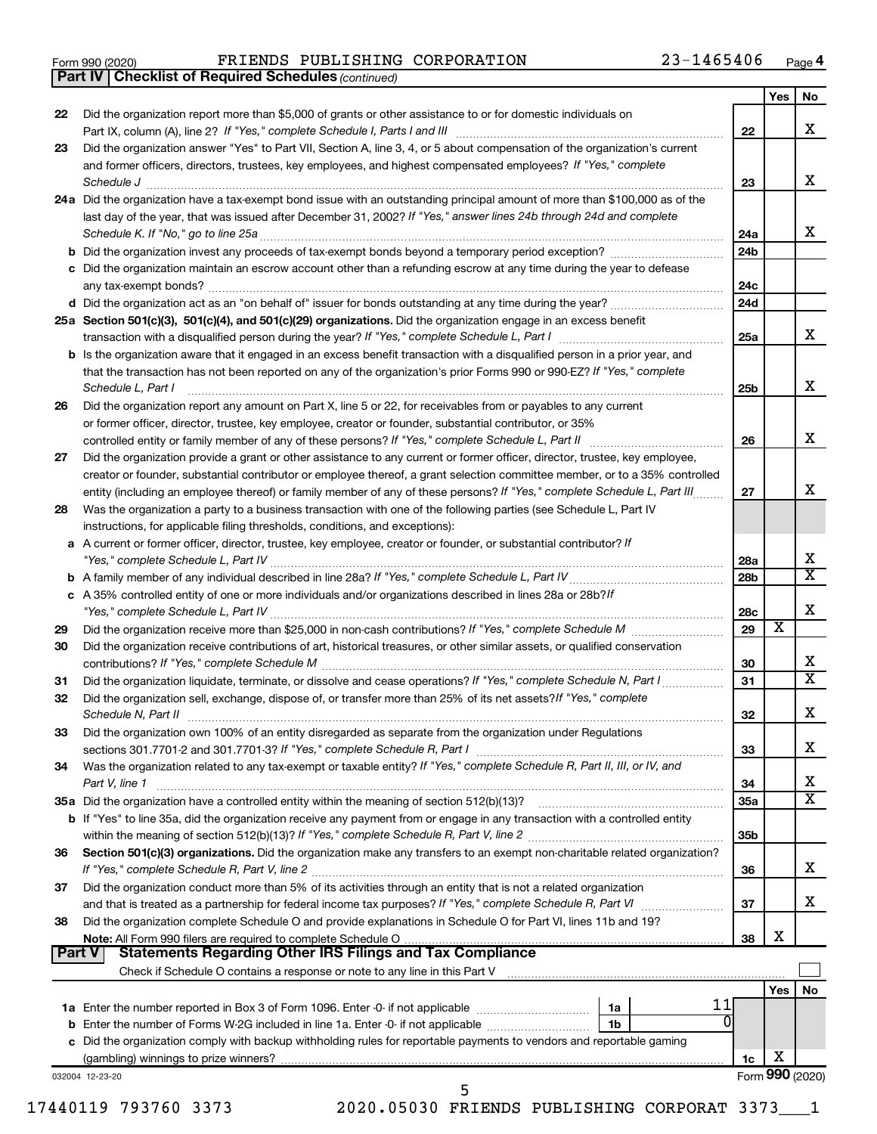|  | Form 990 (2020) |
|--|-----------------|
|  |                 |

*(continued)* **Part IV Checklist of Required Schedules**

Form 990 (2020) **PRIENDS PUBLISHING CORPORATION** 23-1465406  $P_{\text{age}}$ 

|        |                                                                                                                                                                                                                                                                                    |                 | Yes | No                      |
|--------|------------------------------------------------------------------------------------------------------------------------------------------------------------------------------------------------------------------------------------------------------------------------------------|-----------------|-----|-------------------------|
| 22     | Did the organization report more than \$5,000 of grants or other assistance to or for domestic individuals on                                                                                                                                                                      |                 |     | x                       |
| 23     | Part IX, column (A), line 2? If "Yes," complete Schedule I, Parts I and III [11]] [11]] [11] [11] [11] [11] [1<br>Did the organization answer "Yes" to Part VII, Section A, line 3, 4, or 5 about compensation of the organization's current                                       | 22              |     |                         |
|        | and former officers, directors, trustees, key employees, and highest compensated employees? If "Yes," complete<br>Schedule J                                                                                                                                                       | 23              |     | x                       |
|        | 24a Did the organization have a tax-exempt bond issue with an outstanding principal amount of more than \$100,000 as of the                                                                                                                                                        |                 |     |                         |
|        | last day of the year, that was issued after December 31, 2002? If "Yes," answer lines 24b through 24d and complete                                                                                                                                                                 | 24a             |     | x                       |
|        |                                                                                                                                                                                                                                                                                    | 24b             |     |                         |
|        | c Did the organization maintain an escrow account other than a refunding escrow at any time during the year to defease                                                                                                                                                             | 24c             |     |                         |
|        |                                                                                                                                                                                                                                                                                    | 24d             |     |                         |
|        | 25a Section 501(c)(3), 501(c)(4), and 501(c)(29) organizations. Did the organization engage in an excess benefit                                                                                                                                                                   | 25a             |     | x                       |
|        | <b>b</b> Is the organization aware that it engaged in an excess benefit transaction with a disqualified person in a prior year, and<br>that the transaction has not been reported on any of the organization's prior Forms 990 or 990-EZ? If "Yes," complete<br>Schedule L, Part I | 25b             |     | x                       |
| 26     | Did the organization report any amount on Part X, line 5 or 22, for receivables from or payables to any current<br>or former officer, director, trustee, key employee, creator or founder, substantial contributor, or 35%                                                         |                 |     |                         |
|        |                                                                                                                                                                                                                                                                                    | 26              |     | X                       |
| 27     | Did the organization provide a grant or other assistance to any current or former officer, director, trustee, key employee,                                                                                                                                                        |                 |     |                         |
|        | creator or founder, substantial contributor or employee thereof, a grant selection committee member, or to a 35% controlled                                                                                                                                                        |                 |     |                         |
|        | entity (including an employee thereof) or family member of any of these persons? If "Yes," complete Schedule L, Part III                                                                                                                                                           | 27              |     | x                       |
| 28     | Was the organization a party to a business transaction with one of the following parties (see Schedule L, Part IV<br>instructions, for applicable filing thresholds, conditions, and exceptions):                                                                                  |                 |     |                         |
|        | a A current or former officer, director, trustee, key employee, creator or founder, or substantial contributor? If                                                                                                                                                                 | 28a             |     | Х                       |
|        |                                                                                                                                                                                                                                                                                    | 28 <sub>b</sub> |     | $\overline{\texttt{x}}$ |
|        | c A 35% controlled entity of one or more individuals and/or organizations described in lines 28a or 28b?/f                                                                                                                                                                         | 28c             |     | х                       |
| 29     |                                                                                                                                                                                                                                                                                    | 29              | х   |                         |
| 30     | Did the organization receive contributions of art, historical treasures, or other similar assets, or qualified conservation                                                                                                                                                        | 30              |     | х                       |
| 31     | Did the organization liquidate, terminate, or dissolve and cease operations? If "Yes," complete Schedule N, Part I                                                                                                                                                                 | 31              |     | $\overline{\text{x}}$   |
| 32     | Did the organization sell, exchange, dispose of, or transfer more than 25% of its net assets? If "Yes," complete                                                                                                                                                                   | 32              |     | Х                       |
| 33     | Did the organization own 100% of an entity disregarded as separate from the organization under Regulations                                                                                                                                                                         | 33              |     | х                       |
| 34     | Was the organization related to any tax-exempt or taxable entity? If "Yes," complete Schedule R, Part II, III, or IV, and                                                                                                                                                          |                 |     | х                       |
|        | Part V, line 1                                                                                                                                                                                                                                                                     | 34<br>35a       |     | $\overline{\texttt{x}}$ |
|        | b If "Yes" to line 35a, did the organization receive any payment from or engage in any transaction with a controlled entity                                                                                                                                                        |                 |     |                         |
| 36     | Section 501(c)(3) organizations. Did the organization make any transfers to an exempt non-charitable related organization?                                                                                                                                                         | 35 <sub>b</sub> |     |                         |
| 37     | Did the organization conduct more than 5% of its activities through an entity that is not a related organization                                                                                                                                                                   | 36              |     | x                       |
| 38     | Did the organization complete Schedule O and provide explanations in Schedule O for Part VI, lines 11b and 19?                                                                                                                                                                     | 37              |     | x                       |
| Part V | <b>Statements Regarding Other IRS Filings and Tax Compliance</b>                                                                                                                                                                                                                   | 38              | Х   |                         |
|        | Check if Schedule O contains a response or note to any line in this Part V [11] [12] Check if Schedule O contains a response or note to any line in this Part V                                                                                                                    |                 |     |                         |
|        |                                                                                                                                                                                                                                                                                    |                 | Yes | No                      |
|        | 11                                                                                                                                                                                                                                                                                 |                 |     |                         |
|        |                                                                                                                                                                                                                                                                                    |                 |     |                         |
|        | 1 <sub>b</sub>                                                                                                                                                                                                                                                                     |                 |     |                         |
|        | c Did the organization comply with backup withholding rules for reportable payments to vendors and reportable gaming                                                                                                                                                               | 1c              | X   |                         |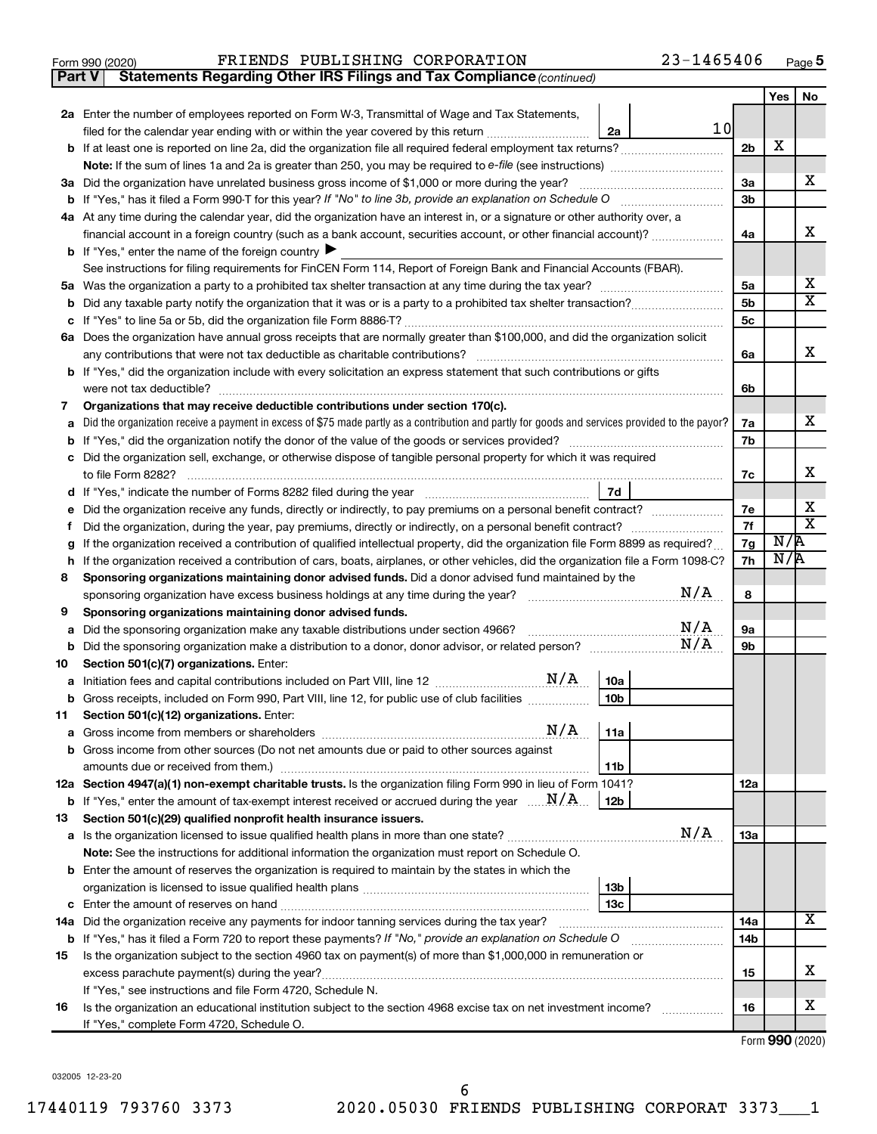| Form 990 (2020) | FRIENDS PUBLISHING CORPORATION | 23-1465406<br>Page |
|-----------------|--------------------------------|--------------------|
|-----------------|--------------------------------|--------------------|

**Part V** Statements Regarding Other IRS Filings and Tax Compliance (continued)

**5**

|    |                                                                                                                                                 |                | Yes | No          |  |
|----|-------------------------------------------------------------------------------------------------------------------------------------------------|----------------|-----|-------------|--|
|    | 2a Enter the number of employees reported on Form W-3, Transmittal of Wage and Tax Statements,                                                  |                |     |             |  |
|    | 10 <sub>l</sub><br>filed for the calendar year ending with or within the year covered by this return <i>manumumumum</i><br>2a                   |                |     |             |  |
| b  | If at least one is reported on line 2a, did the organization file all required federal employment tax returns?                                  | 2 <sub>b</sub> | X   |             |  |
|    |                                                                                                                                                 |                |     |             |  |
| За | Did the organization have unrelated business gross income of \$1,000 or more during the year?                                                   | 3a             |     | x           |  |
|    |                                                                                                                                                 |                |     |             |  |
|    | 4a At any time during the calendar year, did the organization have an interest in, or a signature or other authority over, a                    |                |     |             |  |
|    | financial account in a foreign country (such as a bank account, securities account, or other financial account)?                                | 4a             |     | x           |  |
|    | <b>b</b> If "Yes," enter the name of the foreign country $\blacktriangleright$                                                                  |                |     |             |  |
|    | See instructions for filing requirements for FinCEN Form 114, Report of Foreign Bank and Financial Accounts (FBAR).                             |                |     |             |  |
| 5a |                                                                                                                                                 | 5а             |     | х           |  |
| b  |                                                                                                                                                 | 5 <sub>b</sub> |     | x           |  |
| с  |                                                                                                                                                 | 5c             |     |             |  |
|    | 6a Does the organization have annual gross receipts that are normally greater than \$100,000, and did the organization solicit                  |                |     | х           |  |
|    | any contributions that were not tax deductible as charitable contributions?                                                                     | 6a             |     |             |  |
|    | If "Yes," did the organization include with every solicitation an express statement that such contributions or gifts                            |                |     |             |  |
| 7  | were not tax deductible?<br>Organizations that may receive deductible contributions under section 170(c).                                       | 6b             |     |             |  |
| a  | Did the organization receive a payment in excess of \$75 made partly as a contribution and partly for goods and services provided to the payor? | 7a             |     | x           |  |
|    |                                                                                                                                                 | 7b             |     |             |  |
|    | Did the organization sell, exchange, or otherwise dispose of tangible personal property for which it was required                               |                |     |             |  |
|    | to file Form 8282?                                                                                                                              | 7c             |     | х           |  |
| d  | 7d                                                                                                                                              |                |     |             |  |
|    | Did the organization receive any funds, directly or indirectly, to pay premiums on a personal benefit contract?                                 | 7е             |     | х           |  |
| f  | Did the organization, during the year, pay premiums, directly or indirectly, on a personal benefit contract?                                    | 7f             |     | $\mathbf x$ |  |
| g  | If the organization received a contribution of qualified intellectual property, did the organization file Form 8899 as required?                | 7g             | N/R |             |  |
| h  | If the organization received a contribution of cars, boats, airplanes, or other vehicles, did the organization file a Form 1098-C?              | 7h             | N/R |             |  |
| 8  | Sponsoring organizations maintaining donor advised funds. Did a donor advised fund maintained by the                                            |                |     |             |  |
|    | N/A<br>sponsoring organization have excess business holdings at any time during the year?                                                       | 8              |     |             |  |
| 9  | Sponsoring organizations maintaining donor advised funds.                                                                                       |                |     |             |  |
| а  | N/A<br>Did the sponsoring organization make any taxable distributions under section 4966?                                                       | <b>9a</b>      |     |             |  |
| b  | N/A                                                                                                                                             | 9b             |     |             |  |
| 10 | Section 501(c)(7) organizations. Enter:                                                                                                         |                |     |             |  |
| а  | 10a                                                                                                                                             |                |     |             |  |
| b  | 10 <sub>b</sub><br>Gross receipts, included on Form 990, Part VIII, line 12, for public use of club facilities                                  |                |     |             |  |
| 11 | Section 501(c)(12) organizations. Enter:                                                                                                        |                |     |             |  |
|    | Gross income from other sources (Do not net amounts due or paid to other sources against                                                        |                |     |             |  |
|    | 11 <sub>b</sub><br>amounts due or received from them.)                                                                                          |                |     |             |  |
|    | 12a Section 4947(a)(1) non-exempt charitable trusts. Is the organization filing Form 990 in lieu of Form 1041?                                  | 12a            |     |             |  |
|    | <b>b</b> If "Yes," enter the amount of tax-exempt interest received or accrued during the year $\ldots$ $\mathbf{N}/\mathbf{A}$ .<br>12b        |                |     |             |  |
| 13 | Section 501(c)(29) qualified nonprofit health insurance issuers.                                                                                |                |     |             |  |
|    | N/A                                                                                                                                             | 13a            |     |             |  |
|    | Note: See the instructions for additional information the organization must report on Schedule O.                                               |                |     |             |  |
|    | <b>b</b> Enter the amount of reserves the organization is required to maintain by the states in which the                                       |                |     |             |  |
|    | 13 <sub>b</sub>                                                                                                                                 |                |     |             |  |
|    | 13 <sub>c</sub>                                                                                                                                 |                |     |             |  |
|    | 14a Did the organization receive any payments for indoor tanning services during the tax year?                                                  | 14a            |     | x           |  |
|    | <b>b</b> If "Yes," has it filed a Form 720 to report these payments? If "No," provide an explanation on Schedule O                              | 14b            |     |             |  |
| 15 | Is the organization subject to the section 4960 tax on payment(s) of more than \$1,000,000 in remuneration or                                   |                |     |             |  |
|    | excess parachute payment(s) during the year?                                                                                                    | 15             |     | х           |  |
|    | If "Yes," see instructions and file Form 4720, Schedule N.                                                                                      |                |     |             |  |
| 16 | Is the organization an educational institution subject to the section 4968 excise tax on net investment income?                                 | 16             |     | х           |  |
|    | If "Yes," complete Form 4720, Schedule O.                                                                                                       |                |     |             |  |

Form (2020) **990**

032005 12-23-20

l,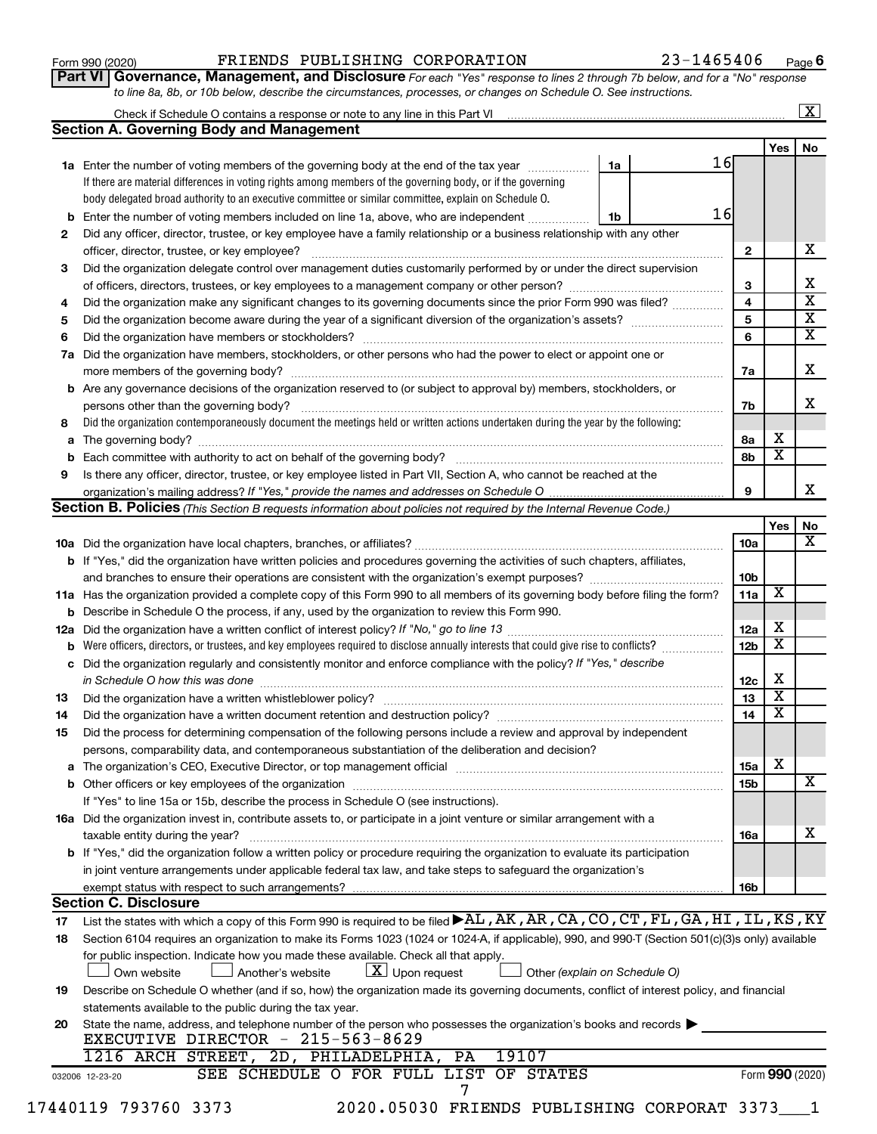#### Form 990 (2020) **PRIENDS PUBLISHING CORPORATION** 23-1465406  $P_{\text{age}}$

**Part VI** Governance, Management, and Disclosure For each "Yes" response to lines 2 through 7b below, and for a "No" response *to line 8a, 8b, or 10b below, describe the circumstances, processes, or changes on Schedule O. See instructions.*

|    | Check if Schedule O contains a response or note to any line in this Part VI [11] [12] Check if Schedule O contains a response or note to any line in this Part VI |    |    |                         |                         | $\overline{\mathbf{x}}$ |
|----|-------------------------------------------------------------------------------------------------------------------------------------------------------------------|----|----|-------------------------|-------------------------|-------------------------|
|    | Section A. Governing Body and Management                                                                                                                          |    |    |                         |                         |                         |
|    |                                                                                                                                                                   |    |    |                         | Yes                     | No                      |
|    | 1a Enter the number of voting members of the governing body at the end of the tax year                                                                            | 1a | 16 |                         |                         |                         |
|    | If there are material differences in voting rights among members of the governing body, or if the governing                                                       |    |    |                         |                         |                         |
|    | body delegated broad authority to an executive committee or similar committee, explain on Schedule O.                                                             |    |    |                         |                         |                         |
| b  | Enter the number of voting members included on line 1a, above, who are independent                                                                                | 1b | 16 |                         |                         |                         |
| 2  | Did any officer, director, trustee, or key employee have a family relationship or a business relationship with any other                                          |    |    |                         |                         |                         |
|    | officer, director, trustee, or key employee?                                                                                                                      |    |    | $\mathbf{2}$            |                         | x                       |
| З  | Did the organization delegate control over management duties customarily performed by or under the direct supervision                                             |    |    |                         |                         |                         |
|    |                                                                                                                                                                   |    |    | 3                       |                         | x                       |
| 4  | Did the organization make any significant changes to its governing documents since the prior Form 990 was filed?                                                  |    |    | $\overline{\mathbf{4}}$ |                         | $\overline{\textbf{x}}$ |
| 5  |                                                                                                                                                                   |    |    | 5                       |                         | $\overline{\textbf{x}}$ |
| 6  |                                                                                                                                                                   |    |    | 6                       |                         | $\overline{\textbf{x}}$ |
|    | 7a Did the organization have members, stockholders, or other persons who had the power to elect or appoint one or                                                 |    |    |                         |                         |                         |
|    |                                                                                                                                                                   |    |    | 7a                      |                         | х                       |
|    | <b>b</b> Are any governance decisions of the organization reserved to (or subject to approval by) members, stockholders, or                                       |    |    |                         |                         |                         |
|    | persons other than the governing body?                                                                                                                            |    |    | 7b                      |                         | х                       |
| 8  | Did the organization contemporaneously document the meetings held or written actions undertaken during the year by the following:                                 |    |    |                         |                         |                         |
|    |                                                                                                                                                                   |    |    | 8а                      | x                       |                         |
| b  |                                                                                                                                                                   |    |    | 8b                      | $\overline{\texttt{x}}$ |                         |
| 9  | Is there any officer, director, trustee, or key employee listed in Part VII, Section A, who cannot be reached at the                                              |    |    |                         |                         |                         |
|    |                                                                                                                                                                   |    |    | 9                       |                         | x                       |
|    | <b>Section B. Policies</b> (This Section B requests information about policies not required by the Internal Revenue Code.)                                        |    |    |                         |                         |                         |
|    |                                                                                                                                                                   |    |    |                         | Yes                     | No                      |
|    |                                                                                                                                                                   |    |    | 10a                     |                         | X                       |
|    | b If "Yes," did the organization have written policies and procedures governing the activities of such chapters, affiliates,                                      |    |    |                         |                         |                         |
|    |                                                                                                                                                                   |    |    | 10b                     |                         |                         |
|    | 11a Has the organization provided a complete copy of this Form 990 to all members of its governing body before filing the form?                                   |    |    | 11a                     | $\overline{\mathbf{X}}$ |                         |
|    | <b>b</b> Describe in Schedule O the process, if any, used by the organization to review this Form 990.                                                            |    |    |                         |                         |                         |
|    |                                                                                                                                                                   |    |    | 12a                     | х                       |                         |
| b  | Were officers, directors, or trustees, and key employees required to disclose annually interests that could give rise to conflicts?                               |    |    |                         | $\overline{\text{x}}$   |                         |
|    | c Did the organization regularly and consistently monitor and enforce compliance with the policy? If "Yes," describe                                              |    |    |                         |                         |                         |
|    |                                                                                                                                                                   |    |    | 12c                     | х                       |                         |
| 13 |                                                                                                                                                                   |    |    | 13                      | $\overline{\text{X}}$   |                         |
| 14 | Did the organization have a written document retention and destruction policy? [11] manufaction manufaction in                                                    |    |    | 14                      | $\overline{\text{x}}$   |                         |
| 15 | Did the process for determining compensation of the following persons include a review and approval by independent                                                |    |    |                         |                         |                         |
|    | persons, comparability data, and contemporaneous substantiation of the deliberation and decision?                                                                 |    |    |                         |                         |                         |
|    |                                                                                                                                                                   |    |    | 15a                     | х                       |                         |
|    |                                                                                                                                                                   |    |    | 15b                     |                         | $\overline{\text{X}}$   |
|    | If "Yes" to line 15a or 15b, describe the process in Schedule O (see instructions).                                                                               |    |    |                         |                         |                         |
|    | 16a Did the organization invest in, contribute assets to, or participate in a joint venture or similar arrangement with a                                         |    |    |                         |                         |                         |
|    | taxable entity during the year?                                                                                                                                   |    |    | 16a                     |                         | х                       |
|    | b If "Yes," did the organization follow a written policy or procedure requiring the organization to evaluate its participation                                    |    |    |                         |                         |                         |
|    | in joint venture arrangements under applicable federal tax law, and take steps to safeguard the organization's                                                    |    |    |                         |                         |                         |
|    | exempt status with respect to such arrangements?                                                                                                                  |    |    | 16b                     |                         |                         |
|    | <b>Section C. Disclosure</b>                                                                                                                                      |    |    |                         |                         |                         |
| 17 | List the states with which a copy of this Form 990 is required to be filed <b>&gt;AL, AK, AR, CA, CO, CT, FL, GA, HI, IL, KS, KY</b>                              |    |    |                         |                         |                         |
| 18 | Section 6104 requires an organization to make its Forms 1023 (1024 or 1024-A, if applicable), 990, and 990-T (Section 501(c)(3)s only) available                  |    |    |                         |                         |                         |
|    | for public inspection. Indicate how you made these available. Check all that apply.                                                                               |    |    |                         |                         |                         |
|    | $ \underline{X} $ Upon request<br>Other (explain on Schedule O)<br>Another's website<br>Own website                                                               |    |    |                         |                         |                         |
| 19 | Describe on Schedule O whether (and if so, how) the organization made its governing documents, conflict of interest policy, and financial                         |    |    |                         |                         |                         |
|    | statements available to the public during the tax year.                                                                                                           |    |    |                         |                         |                         |
| 20 | State the name, address, and telephone number of the person who possesses the organization's books and records                                                    |    |    |                         |                         |                         |
|    | EXECUTIVE DIRECTOR - 215-563-8629                                                                                                                                 |    |    |                         |                         |                         |
|    | 1216 ARCH STREET, 2D, PHILADELPHIA, PA<br>19107<br>SEE SCHEDULE O FOR FULL LIST OF STATES                                                                         |    |    |                         |                         |                         |
|    | 032006 12-23-20<br>7                                                                                                                                              |    |    |                         |                         | Form 990 (2020)         |
|    |                                                                                                                                                                   |    |    |                         |                         |                         |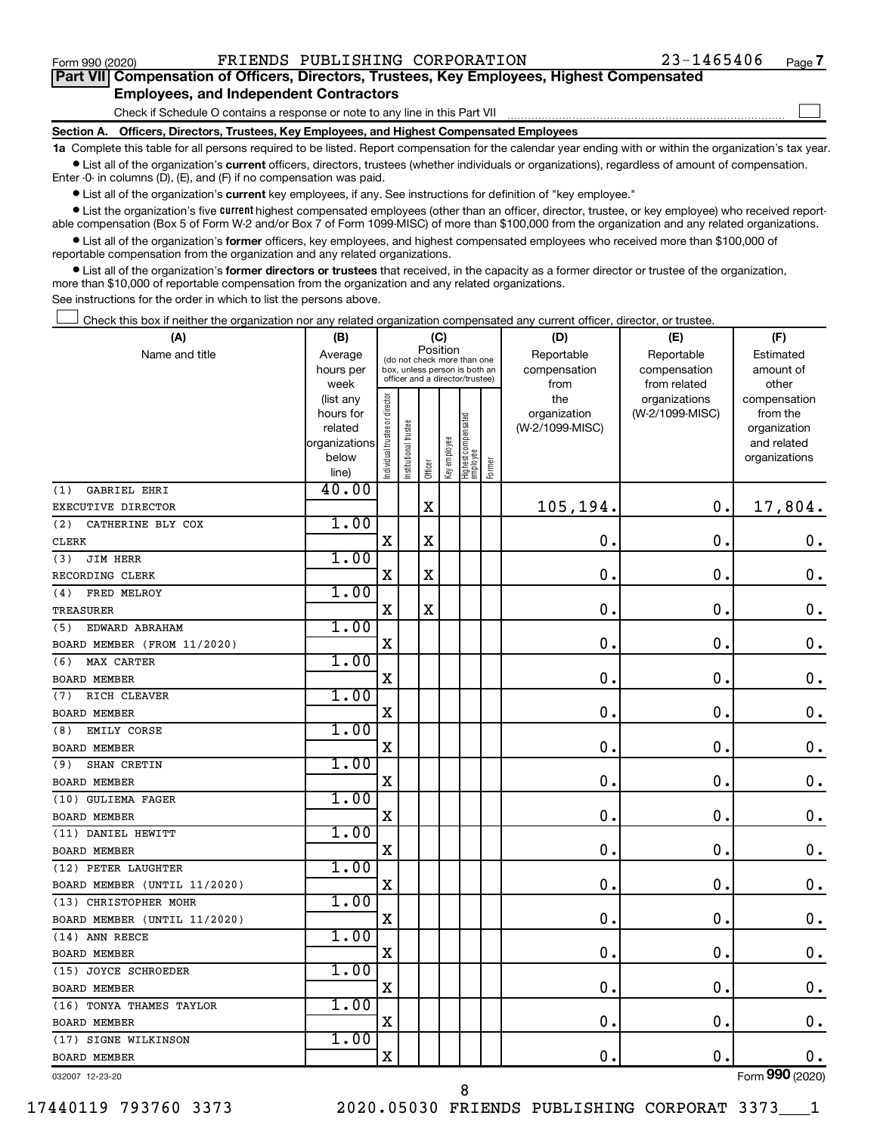$\Box$ 

| Part VII Compensation of Officers, Directors, Trustees, Key Employees, Highest Compensated |  |  |
|--------------------------------------------------------------------------------------------|--|--|
| <b>Employees, and Independent Contractors</b>                                              |  |  |

Check if Schedule O contains a response or note to any line in this Part VII

**Section A. Officers, Directors, Trustees, Key Employees, and Highest Compensated Employees**

**1a**  Complete this table for all persons required to be listed. Report compensation for the calendar year ending with or within the organization's tax year.  $\bullet$  List all of the organization's current officers, directors, trustees (whether individuals or organizations), regardless of amount of compensation.

Enter -0- in columns (D), (E), and (F) if no compensation was paid.

**•** List all of the organization's current key employees, if any. See instructions for definition of "key employee."

• List the organization's five *current* highest compensated employees (other than an officer, director, trustee, or key employee) who received reportable compensation (Box 5 of Form W-2 and/or Box 7 of Form 1099-MISC) of more than \$100,000 from the organization and any related organizations.

 $\bullet$  List all of the organization's former officers, key employees, and highest compensated employees who received more than \$100,000 of reportable compensation from the organization and any related organizations.

**•** List all of the organization's former directors or trustees that received, in the capacity as a former director or trustee of the organization, more than \$10,000 of reportable compensation from the organization and any related organizations.

See instructions for the order in which to list the persons above.

Check this box if neither the organization nor any related organization compensated any current officer, director, or trustee.  $\Box$ 

| (A)                          | (B)                    |                               |                                                                  | (C)         |              |                                   |        | (D)             | (E)                              | (F)                      |
|------------------------------|------------------------|-------------------------------|------------------------------------------------------------------|-------------|--------------|-----------------------------------|--------|-----------------|----------------------------------|--------------------------|
| Name and title               | Average                |                               | (do not check more than one                                      |             | Position     |                                   |        | Reportable      | Reportable                       | Estimated                |
|                              | hours per              |                               | box, unless person is both an<br>officer and a director/trustee) |             |              |                                   |        | compensation    | compensation                     | amount of                |
|                              | week                   |                               |                                                                  |             |              |                                   |        | from<br>the     | from related                     | other                    |
|                              | (list any<br>hours for |                               |                                                                  |             |              |                                   |        | organization    | organizations<br>(W-2/1099-MISC) | compensation<br>from the |
|                              | related                |                               |                                                                  |             |              |                                   |        | (W-2/1099-MISC) |                                  | organization             |
|                              | organizations          |                               |                                                                  |             |              |                                   |        |                 |                                  | and related              |
|                              | below                  | ndividual trustee or director | nstitutional trustee                                             |             | Key employee |                                   |        |                 |                                  | organizations            |
|                              | line)                  |                               |                                                                  | Officer     |              | Highest compensated<br>  employee | Former |                 |                                  |                          |
| (1)<br>GABRIEL EHRI          | 40.00                  |                               |                                                                  |             |              |                                   |        |                 |                                  |                          |
| EXECUTIVE DIRECTOR           |                        |                               |                                                                  | X           |              |                                   |        | 105,194.        | $\mathbf 0$ .                    | 17,804.                  |
| (2)<br>CATHERINE BLY COX     | 1.00                   |                               |                                                                  |             |              |                                   |        |                 |                                  |                          |
| CLERK                        |                        | $\mathbf X$                   |                                                                  | X           |              |                                   |        | $\mathbf 0$ .   | $\mathbf 0$ .                    | 0.                       |
| <b>JIM HERR</b><br>(3)       | 1.00                   |                               |                                                                  |             |              |                                   |        |                 |                                  |                          |
| RECORDING CLERK              |                        | $\mathbf X$                   |                                                                  | $\mathbf x$ |              |                                   |        | $\mathbf 0$ .   | $\mathbf 0$ .                    | $\mathbf 0$ .            |
| FRED MELROY<br>(4)           | 1.00                   |                               |                                                                  |             |              |                                   |        |                 |                                  |                          |
| <b>TREASURER</b>             |                        | $\mathbf X$                   |                                                                  | $\mathbf x$ |              |                                   |        | $\mathbf 0$ .   | $\mathbf 0$ .                    | $\mathbf 0$ .            |
| EDWARD ABRAHAM<br>(5)        | 1.00                   |                               |                                                                  |             |              |                                   |        |                 |                                  |                          |
| BOARD MEMBER (FROM 11/2020)  |                        | $\mathbf X$                   |                                                                  |             |              |                                   |        | $\mathbf 0$ .   | $\mathbf 0$ .                    | $\mathbf 0$ .            |
| MAX CARTER<br>(6)            | 1.00                   |                               |                                                                  |             |              |                                   |        |                 |                                  |                          |
| BOARD MEMBER                 |                        | X                             |                                                                  |             |              |                                   |        | $\mathbf 0$ .   | $\mathbf 0$ .                    | $\mathbf 0$ .            |
| RICH CLEAVER<br>(7)          | 1.00                   |                               |                                                                  |             |              |                                   |        |                 |                                  |                          |
| <b>BOARD MEMBER</b>          |                        | X                             |                                                                  |             |              |                                   |        | $\mathbf 0$ .   | $\mathbf 0$ .                    | $\mathbf 0$ .            |
| EMILY CORSE<br>(8)           | 1.00                   |                               |                                                                  |             |              |                                   |        |                 |                                  |                          |
| BOARD MEMBER                 |                        | $\mathbf X$                   |                                                                  |             |              |                                   |        | $\mathbf 0$ .   | $\mathbf 0$                      | $\mathbf 0$ .            |
| SHAN CRETIN<br>(9)           | 1.00                   |                               |                                                                  |             |              |                                   |        |                 |                                  |                          |
| <b>BOARD MEMBER</b>          |                        | $\mathbf X$                   |                                                                  |             |              |                                   |        | $\mathbf 0$ .   | $\mathbf 0$ .                    | $\mathbf 0$ .            |
| (10) GULIEMA FAGER           | 1.00                   |                               |                                                                  |             |              |                                   |        |                 |                                  |                          |
| <b>BOARD MEMBER</b>          |                        | $\mathbf X$                   |                                                                  |             |              |                                   |        | $\mathbf 0$ .   | $\mathbf 0$ .                    | $\mathbf 0$ .            |
| (11) DANIEL HEWITT           | 1.00                   |                               |                                                                  |             |              |                                   |        |                 |                                  |                          |
| <b>BOARD MEMBER</b>          |                        | X                             |                                                                  |             |              |                                   |        | $\mathbf 0$ .   | $\mathbf 0$ .                    | $\mathbf 0$ .            |
| (12) PETER LAUGHTER          | 1.00                   |                               |                                                                  |             |              |                                   |        |                 |                                  |                          |
| BOARD MEMBER (UNTIL 11/2020) |                        | $\mathbf X$                   |                                                                  |             |              |                                   |        | 0.              | $\mathbf 0$ .                    | $0$ .                    |
| (13) CHRISTOPHER MOHR        | 1.00                   |                               |                                                                  |             |              |                                   |        |                 |                                  |                          |
| BOARD MEMBER (UNTIL 11/2020) |                        | Χ                             |                                                                  |             |              |                                   |        | $\mathbf 0$ .   | $\mathbf 0$ .                    | $\mathbf 0$ .            |
| (14) ANN REECE               | 1.00                   |                               |                                                                  |             |              |                                   |        |                 |                                  |                          |
| <b>BOARD MEMBER</b>          |                        | $\mathbf X$                   |                                                                  |             |              |                                   |        | $\mathbf 0$ .   | $\mathbf 0$ .                    | $\mathbf 0$ .            |
| (15) JOYCE SCHROEDER         | 1.00                   |                               |                                                                  |             |              |                                   |        |                 |                                  |                          |
| <b>BOARD MEMBER</b>          |                        | $\mathbf X$                   |                                                                  |             |              |                                   |        | $\mathbf 0$ .   | $\mathbf 0$ .                    | 0.                       |
| (16) TONYA THAMES TAYLOR     | 1.00                   |                               |                                                                  |             |              |                                   |        |                 |                                  |                          |
| <b>BOARD MEMBER</b>          |                        | $\mathbf X$                   |                                                                  |             |              |                                   |        | 0.              | $\mathbf 0$ .                    | $\mathbf 0$ .            |
| (17) SIGNE WILKINSON         | 1.00                   |                               |                                                                  |             |              |                                   |        |                 |                                  |                          |
| BOARD MEMBER                 |                        | X                             |                                                                  |             |              |                                   |        | $\mathbf 0$ .   | $\mathbf 0$ .                    | 0.                       |
|                              |                        |                               |                                                                  |             |              |                                   |        |                 |                                  |                          |

032007 12-23-20

17440119 793760 3373 2020.05030 FRIENDS PUBLISHING CORPORAT 3373\_\_\_1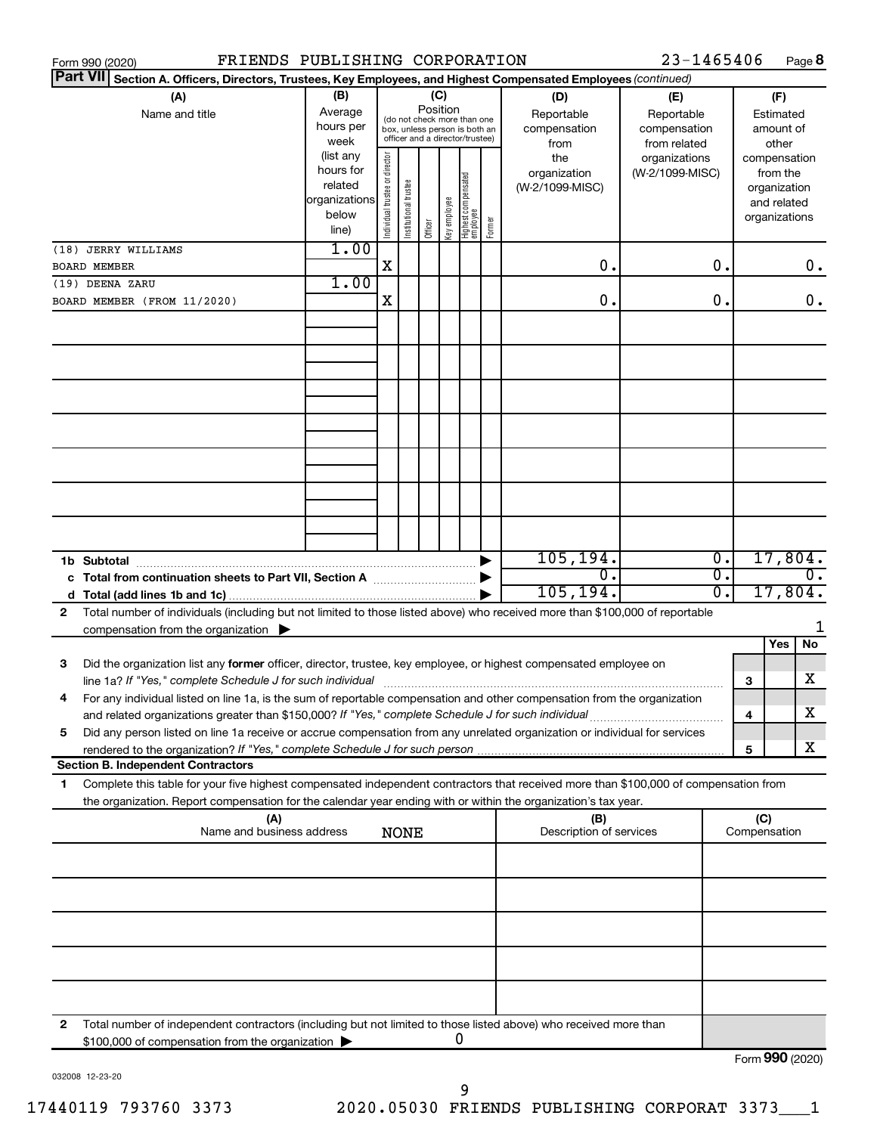| FRIENDS PUBLISHING CORPORATION<br>Form 990 (2020)                                                                                                                                                                                    |                                                                      |                                |                                                                                                 |                 |              |                                 |        |                                           | 23-1465406                                        |          |                     |                                                                          | Page 8 |
|--------------------------------------------------------------------------------------------------------------------------------------------------------------------------------------------------------------------------------------|----------------------------------------------------------------------|--------------------------------|-------------------------------------------------------------------------------------------------|-----------------|--------------|---------------------------------|--------|-------------------------------------------|---------------------------------------------------|----------|---------------------|--------------------------------------------------------------------------|--------|
| <b>Part VII</b><br>Section A. Officers, Directors, Trustees, Key Employees, and Highest Compensated Employees (continued)                                                                                                            |                                                                      |                                |                                                                                                 |                 |              |                                 |        |                                           |                                                   |          |                     |                                                                          |        |
| (A)<br>Name and title                                                                                                                                                                                                                | (B)<br>Average<br>hours per<br>week                                  |                                | (do not check more than one<br>box, unless person is both an<br>officer and a director/trustee) | (C)<br>Position |              |                                 |        | (D)<br>Reportable<br>compensation<br>from | (E)<br>Reportable<br>compensation<br>from related |          |                     | (F)<br>Estimated<br>amount of<br>other                                   |        |
|                                                                                                                                                                                                                                      | (list any<br>hours for<br>related<br>organizations<br>below<br>line) | Individual trustee or director | Institutional trustee                                                                           | Officer         | Key employee | Highest compensated<br>employee | Former | the<br>organization<br>(W-2/1099-MISC)    | organizations<br>(W-2/1099-MISC)                  |          |                     | compensation<br>from the<br>organization<br>and related<br>organizations |        |
| (18) JERRY WILLIAMS                                                                                                                                                                                                                  | 1.00                                                                 |                                |                                                                                                 |                 |              |                                 |        |                                           |                                                   |          |                     |                                                                          |        |
| BOARD MEMBER                                                                                                                                                                                                                         |                                                                      | X                              |                                                                                                 |                 |              |                                 |        | О.                                        |                                                   | О.       |                     |                                                                          | 0.     |
| (19) DEENA ZARU                                                                                                                                                                                                                      | 1.00                                                                 | X                              |                                                                                                 |                 |              |                                 |        | О.                                        |                                                   | О.       |                     |                                                                          | 0.     |
| BOARD MEMBER (FROM 11/2020)                                                                                                                                                                                                          |                                                                      |                                |                                                                                                 |                 |              |                                 |        |                                           |                                                   |          |                     |                                                                          |        |
|                                                                                                                                                                                                                                      |                                                                      |                                |                                                                                                 |                 |              |                                 |        |                                           |                                                   |          |                     |                                                                          |        |
|                                                                                                                                                                                                                                      |                                                                      |                                |                                                                                                 |                 |              |                                 |        |                                           |                                                   |          |                     |                                                                          |        |
|                                                                                                                                                                                                                                      |                                                                      |                                |                                                                                                 |                 |              |                                 |        |                                           |                                                   |          |                     |                                                                          |        |
|                                                                                                                                                                                                                                      |                                                                      |                                |                                                                                                 |                 |              |                                 |        |                                           |                                                   |          |                     |                                                                          |        |
|                                                                                                                                                                                                                                      |                                                                      |                                |                                                                                                 |                 |              |                                 |        |                                           |                                                   |          |                     |                                                                          |        |
| 1b Subtotal                                                                                                                                                                                                                          |                                                                      |                                |                                                                                                 |                 |              |                                 |        | 105, 194.                                 |                                                   | 0.       |                     | 17,804.                                                                  |        |
| c Total from continuation sheets to Part VII, Section A [11, 12, 13, 13, 13, 14, 15, 16, 17, 18, 18, 19, 19, 1<br>d                                                                                                                  |                                                                      |                                |                                                                                                 |                 |              |                                 |        | 0.<br>105, 194.                           |                                                   | Ο.<br>σ. |                     | 17,804.                                                                  | Ο.     |
| Total number of individuals (including but not limited to those listed above) who received more than \$100,000 of reportable<br>$\mathbf{2}$                                                                                         |                                                                      |                                |                                                                                                 |                 |              |                                 |        |                                           |                                                   |          |                     |                                                                          |        |
| compensation from the organization $\blacktriangleright$                                                                                                                                                                             |                                                                      |                                |                                                                                                 |                 |              |                                 |        |                                           |                                                   |          |                     | Yes                                                                      | No     |
| Did the organization list any former officer, director, trustee, key employee, or highest compensated employee on<br>3<br>line 1a? If "Yes," complete Schedule J for such individual                                                 |                                                                      |                                |                                                                                                 |                 |              |                                 |        |                                           |                                                   |          | З                   |                                                                          | x      |
| For any individual listed on line 1a, is the sum of reportable compensation and other compensation from the organization<br>4<br>and related organizations greater than \$150,000? If "Yes," complete Schedule J for such individual |                                                                      |                                |                                                                                                 |                 |              |                                 |        |                                           |                                                   |          | 4                   |                                                                          | х      |
| Did any person listed on line 1a receive or accrue compensation from any unrelated organization or individual for services<br>5                                                                                                      |                                                                      |                                |                                                                                                 |                 |              |                                 |        |                                           |                                                   |          |                     |                                                                          |        |
| <b>Section B. Independent Contractors</b>                                                                                                                                                                                            |                                                                      |                                |                                                                                                 |                 |              |                                 |        |                                           |                                                   |          | 5                   |                                                                          | X      |
| Complete this table for your five highest compensated independent contractors that received more than \$100,000 of compensation from<br>1                                                                                            |                                                                      |                                |                                                                                                 |                 |              |                                 |        |                                           |                                                   |          |                     |                                                                          |        |
| the organization. Report compensation for the calendar year ending with or within the organization's tax year.                                                                                                                       |                                                                      |                                |                                                                                                 |                 |              |                                 |        |                                           |                                                   |          |                     |                                                                          |        |
| (A)<br>Name and business address                                                                                                                                                                                                     |                                                                      |                                | <b>NONE</b>                                                                                     |                 |              |                                 |        | (B)<br>Description of services            |                                                   |          | (C)<br>Compensation |                                                                          |        |
|                                                                                                                                                                                                                                      |                                                                      |                                |                                                                                                 |                 |              |                                 |        |                                           |                                                   |          |                     |                                                                          |        |
|                                                                                                                                                                                                                                      |                                                                      |                                |                                                                                                 |                 |              |                                 |        |                                           |                                                   |          |                     |                                                                          |        |
|                                                                                                                                                                                                                                      |                                                                      |                                |                                                                                                 |                 |              |                                 |        |                                           |                                                   |          |                     |                                                                          |        |
|                                                                                                                                                                                                                                      |                                                                      |                                |                                                                                                 |                 |              |                                 |        |                                           |                                                   |          |                     |                                                                          |        |
| Total number of independent contractors (including but not limited to those listed above) who received more than<br>2<br>\$100,000 of compensation from the organization                                                             |                                                                      |                                |                                                                                                 |                 |              |                                 |        |                                           |                                                   |          | Form 990 (2020)     |                                                                          |        |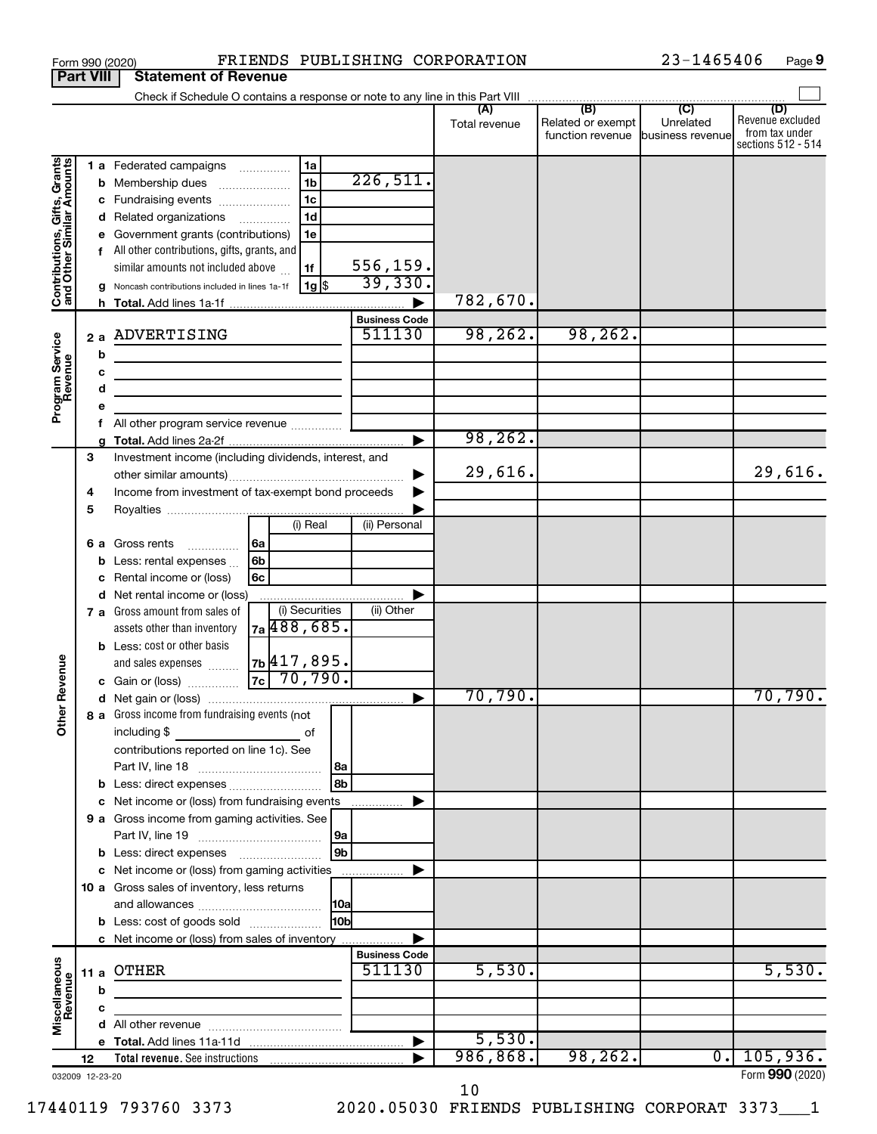|                                                           |        |    | Form 990 (2020)                                                               |                                                        |                            | FRIENDS PUBLISHING CORPORATION |                                                        | 23-1465406 | Page 9                                                          |
|-----------------------------------------------------------|--------|----|-------------------------------------------------------------------------------|--------------------------------------------------------|----------------------------|--------------------------------|--------------------------------------------------------|------------|-----------------------------------------------------------------|
| <b>Part VIII</b>                                          |        |    | <b>Statement of Revenue</b>                                                   |                                                        |                            |                                |                                                        |            |                                                                 |
|                                                           |        |    | Check if Schedule O contains a response or note to any line in this Part VIII |                                                        |                            |                                | $\overline{1}$ (B) $\overline{1}$ (C) $\overline{1}$   |            |                                                                 |
|                                                           |        |    |                                                                               |                                                        |                            | (A)<br>Total revenue           | Related or exempt<br>function revenue business revenue | Unrelated  | (D)<br>Revenue excluded<br>from tax under<br>sections 512 - 514 |
|                                                           |        |    | 1 a Federated campaigns                                                       | 1a                                                     |                            |                                |                                                        |            |                                                                 |
| Contributions, Gifts, Grants<br>and Other Similar Amounts |        | b  | Membership dues                                                               | 1 <sub>b</sub><br>$\ldots \ldots \ldots \ldots \ldots$ | 226,511.                   |                                |                                                        |            |                                                                 |
|                                                           |        | c  | Fundraising events                                                            | 1c                                                     |                            |                                |                                                        |            |                                                                 |
|                                                           |        | d  | Related organizations                                                         | 1 <sub>d</sub>                                         |                            |                                |                                                        |            |                                                                 |
|                                                           |        | е  | Government grants (contributions)                                             | 1e                                                     |                            |                                |                                                        |            |                                                                 |
|                                                           |        |    | f All other contributions, gifts, grants, and                                 |                                                        |                            |                                |                                                        |            |                                                                 |
|                                                           |        |    | similar amounts not included above                                            | 1f                                                     | $\frac{556,159.}{39,330.}$ |                                |                                                        |            |                                                                 |
|                                                           |        | g  | Noncash contributions included in lines 1a-1f                                 | $1g$ \$                                                |                            | 782,670.                       |                                                        |            |                                                                 |
|                                                           |        |    |                                                                               |                                                        | <b>Business Code</b>       |                                |                                                        |            |                                                                 |
|                                                           |        | 2a | ADVERTISING                                                                   |                                                        | 511130                     | 98, 262.                       | 98, 262.                                               |            |                                                                 |
| Program Service<br>Revenue                                |        | b  |                                                                               |                                                        |                            |                                |                                                        |            |                                                                 |
|                                                           |        | c  | the control of the control of the control of the control of the control of    |                                                        |                            |                                |                                                        |            |                                                                 |
|                                                           |        | d  |                                                                               |                                                        |                            |                                |                                                        |            |                                                                 |
|                                                           |        | е  |                                                                               |                                                        |                            |                                |                                                        |            |                                                                 |
|                                                           |        | f  | All other program service revenue                                             |                                                        |                            |                                |                                                        |            |                                                                 |
|                                                           |        | g  |                                                                               |                                                        |                            | 98, 262.                       |                                                        |            |                                                                 |
|                                                           | З      |    | Investment income (including dividends, interest, and                         |                                                        |                            |                                |                                                        |            |                                                                 |
|                                                           |        |    |                                                                               |                                                        |                            | 29,616.                        |                                                        |            | 29,616.                                                         |
|                                                           | 4<br>5 |    | Income from investment of tax-exempt bond proceeds                            |                                                        |                            |                                |                                                        |            |                                                                 |
|                                                           |        |    |                                                                               | (i) Real                                               | (ii) Personal              |                                |                                                        |            |                                                                 |
|                                                           |        | 6а | Gross rents                                                                   | 6a                                                     |                            |                                |                                                        |            |                                                                 |
|                                                           |        | b  | Less: rental expenses                                                         | 6b                                                     |                            |                                |                                                        |            |                                                                 |
|                                                           |        | c  | Rental income or (loss)                                                       | 6с                                                     |                            |                                |                                                        |            |                                                                 |
|                                                           |        | d  | Net rental income or (loss)                                                   |                                                        |                            |                                |                                                        |            |                                                                 |
|                                                           |        |    | 7 a Gross amount from sales of                                                | (i) Securities                                         | (ii) Other                 |                                |                                                        |            |                                                                 |
|                                                           |        |    | assets other than inventory                                                   | 7a 488, 685.                                           |                            |                                |                                                        |            |                                                                 |
|                                                           |        |    | <b>b</b> Less: cost or other basis                                            |                                                        |                            |                                |                                                        |            |                                                                 |
| evenue                                                    |        |    | and sales expenses                                                            | 7b 417,895.                                            |                            |                                |                                                        |            |                                                                 |
|                                                           |        |    | c Gain or (loss)                                                              | 70,790.<br> 7c                                         |                            | 70,790.                        |                                                        |            | 70,790.                                                         |
| œ                                                         |        |    | 8 a Gross income from fundraising events (not                                 |                                                        |                            |                                |                                                        |            |                                                                 |
| Other                                                     |        |    | including \$                                                                  | of                                                     |                            |                                |                                                        |            |                                                                 |
|                                                           |        |    | contributions reported on line 1c). See                                       |                                                        |                            |                                |                                                        |            |                                                                 |
|                                                           |        |    |                                                                               |                                                        |                            |                                |                                                        |            |                                                                 |
|                                                           |        | b  |                                                                               | 8b                                                     |                            |                                |                                                        |            |                                                                 |
|                                                           |        | c  | Net income or (loss) from fundraising events                                  |                                                        |                            |                                |                                                        |            |                                                                 |
|                                                           |        |    | 9 a Gross income from gaming activities. See                                  |                                                        |                            |                                |                                                        |            |                                                                 |
|                                                           |        |    |                                                                               | 9a                                                     |                            |                                |                                                        |            |                                                                 |
|                                                           |        |    | <b>b</b> Less: direct expenses <i>manually contained</i>                      | 9b                                                     |                            |                                |                                                        |            |                                                                 |
|                                                           |        |    | c Net income or (loss) from gaming activities                                 |                                                        |                            |                                |                                                        |            |                                                                 |
|                                                           |        |    | 10 a Gross sales of inventory, less returns                                   |                                                        |                            |                                |                                                        |            |                                                                 |
|                                                           |        |    | <b>b</b> Less: cost of goods sold                                             | 10bl                                                   |                            |                                |                                                        |            |                                                                 |
|                                                           |        |    | c Net income or (loss) from sales of inventory                                |                                                        |                            |                                |                                                        |            |                                                                 |
|                                                           |        |    |                                                                               |                                                        | <b>Business Code</b>       |                                |                                                        |            |                                                                 |
| Miscellaneous<br>Revenue                                  | 11 a   |    | OTHER                                                                         |                                                        | 511130                     | 5,530.                         |                                                        |            | 5,530.                                                          |
|                                                           |        | b  |                                                                               |                                                        |                            |                                |                                                        |            |                                                                 |
|                                                           |        | с  |                                                                               |                                                        |                            |                                |                                                        |            |                                                                 |
|                                                           |        | d  |                                                                               |                                                        |                            |                                |                                                        |            |                                                                 |
|                                                           |        |    |                                                                               |                                                        |                            | 5,530.                         |                                                        |            |                                                                 |
|                                                           | 12     |    | Total revenue. See instructions                                               |                                                        |                            | 986,868.                       | 98, 262.                                               | $0 \cdot$  | 105,936.                                                        |
| 032009 12-23-20                                           |        |    |                                                                               |                                                        |                            |                                |                                                        |            | Form 990 (2020)                                                 |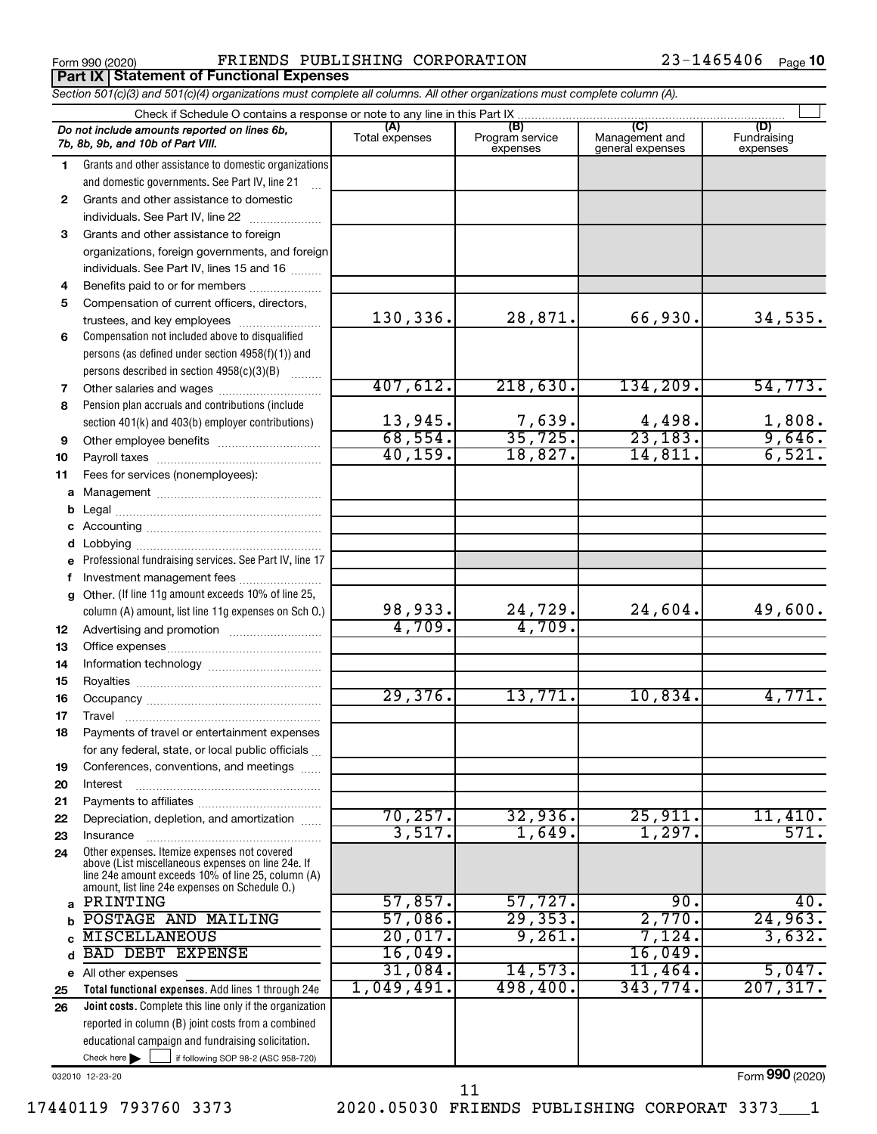**Part IX Statement of Functional Expenses**

Form 990 (2020) **PRIENDS PUBLISHING CORPORATION** 23-1465406  $_{\text{Page}}$ 

|              | Section 501(c)(3) and 501(c)(4) organizations must complete all columns. All other organizations must complete column (A).                                                                                 |                       |                                    |                                           |                                |  |  |  |  |  |  |
|--------------|------------------------------------------------------------------------------------------------------------------------------------------------------------------------------------------------------------|-----------------------|------------------------------------|-------------------------------------------|--------------------------------|--|--|--|--|--|--|
|              | Check if Schedule O contains a response or note to any line in this Part IX.                                                                                                                               |                       |                                    |                                           |                                |  |  |  |  |  |  |
|              | Do not include amounts reported on lines 6b,<br>7b, 8b, 9b, and 10b of Part VIII.                                                                                                                          | (A)<br>Total expenses | (B)<br>Program service<br>expenses | (C)<br>Management and<br>general expenses | (D)<br>Fundraising<br>expenses |  |  |  |  |  |  |
| 1.           | Grants and other assistance to domestic organizations                                                                                                                                                      |                       |                                    |                                           |                                |  |  |  |  |  |  |
|              | and domestic governments. See Part IV, line 21                                                                                                                                                             |                       |                                    |                                           |                                |  |  |  |  |  |  |
| $\mathbf{2}$ | Grants and other assistance to domestic                                                                                                                                                                    |                       |                                    |                                           |                                |  |  |  |  |  |  |
|              | individuals. See Part IV, line 22                                                                                                                                                                          |                       |                                    |                                           |                                |  |  |  |  |  |  |
| 3            | Grants and other assistance to foreign                                                                                                                                                                     |                       |                                    |                                           |                                |  |  |  |  |  |  |
|              | organizations, foreign governments, and foreign                                                                                                                                                            |                       |                                    |                                           |                                |  |  |  |  |  |  |
|              | individuals. See Part IV, lines 15 and 16                                                                                                                                                                  |                       |                                    |                                           |                                |  |  |  |  |  |  |
| 4            | Benefits paid to or for members                                                                                                                                                                            |                       |                                    |                                           |                                |  |  |  |  |  |  |
| 5            | Compensation of current officers, directors,                                                                                                                                                               |                       |                                    |                                           |                                |  |  |  |  |  |  |
|              | trustees, and key employees                                                                                                                                                                                | 130,336.              | 28,871.                            | 66,930.                                   | 34,535.                        |  |  |  |  |  |  |
| 6            | Compensation not included above to disqualified                                                                                                                                                            |                       |                                    |                                           |                                |  |  |  |  |  |  |
|              | persons (as defined under section 4958(f)(1)) and                                                                                                                                                          |                       |                                    |                                           |                                |  |  |  |  |  |  |
|              | persons described in section 4958(c)(3)(B)                                                                                                                                                                 |                       |                                    |                                           |                                |  |  |  |  |  |  |
| 7            | Other salaries and wages                                                                                                                                                                                   | 407,612.              | 218,630.                           | 134, 209.                                 | 54, 773.                       |  |  |  |  |  |  |
| 8            | Pension plan accruals and contributions (include                                                                                                                                                           |                       |                                    |                                           |                                |  |  |  |  |  |  |
|              | section 401(k) and 403(b) employer contributions)                                                                                                                                                          | 13,945.               | $\frac{7,639}{35,725}$             | $\frac{4,498}{23,183}$                    | $\frac{1,808}{9,646}$          |  |  |  |  |  |  |
| 9            |                                                                                                                                                                                                            | 68,554.               |                                    |                                           |                                |  |  |  |  |  |  |
| 10           |                                                                                                                                                                                                            | 40, 159.              | 18,827.                            | 14,811.                                   | 6,521.                         |  |  |  |  |  |  |
| 11           | Fees for services (nonemployees):                                                                                                                                                                          |                       |                                    |                                           |                                |  |  |  |  |  |  |
|              |                                                                                                                                                                                                            |                       |                                    |                                           |                                |  |  |  |  |  |  |
|              |                                                                                                                                                                                                            |                       |                                    |                                           |                                |  |  |  |  |  |  |
|              |                                                                                                                                                                                                            |                       |                                    |                                           |                                |  |  |  |  |  |  |
|              |                                                                                                                                                                                                            |                       |                                    |                                           |                                |  |  |  |  |  |  |
| е            | Professional fundraising services. See Part IV, line 17                                                                                                                                                    |                       |                                    |                                           |                                |  |  |  |  |  |  |
|              | Investment management fees<br>Other. (If line 11g amount exceeds 10% of line 25,                                                                                                                           |                       |                                    |                                           |                                |  |  |  |  |  |  |
| g            | column (A) amount, list line 11g expenses on Sch O.)                                                                                                                                                       | 98,933.               |                                    | 24,604.                                   | 49,600.                        |  |  |  |  |  |  |
| 12           |                                                                                                                                                                                                            | 4,709.                | $\frac{24,729}{4,709}$             |                                           |                                |  |  |  |  |  |  |
| 13           |                                                                                                                                                                                                            |                       |                                    |                                           |                                |  |  |  |  |  |  |
| 14           |                                                                                                                                                                                                            |                       |                                    |                                           |                                |  |  |  |  |  |  |
| 15           |                                                                                                                                                                                                            |                       |                                    |                                           |                                |  |  |  |  |  |  |
| 16           |                                                                                                                                                                                                            | 29,376.               | 13,771.                            | 10,834.                                   | 4,771.                         |  |  |  |  |  |  |
| 17           |                                                                                                                                                                                                            |                       |                                    |                                           |                                |  |  |  |  |  |  |
| 18           | Payments of travel or entertainment expenses                                                                                                                                                               |                       |                                    |                                           |                                |  |  |  |  |  |  |
|              | for any federal, state, or local public officials                                                                                                                                                          |                       |                                    |                                           |                                |  |  |  |  |  |  |
| 19           | Conferences, conventions, and meetings                                                                                                                                                                     |                       |                                    |                                           |                                |  |  |  |  |  |  |
| 20           | Interest                                                                                                                                                                                                   |                       |                                    |                                           |                                |  |  |  |  |  |  |
| 21           |                                                                                                                                                                                                            |                       |                                    |                                           |                                |  |  |  |  |  |  |
| 22           | Depreciation, depletion, and amortization                                                                                                                                                                  | 70, 257.              | 32,936.                            | 25,911.                                   | 11,410.                        |  |  |  |  |  |  |
| 23           | Insurance                                                                                                                                                                                                  | 3,517.                | 1,649.                             | 1,297.                                    | 571.                           |  |  |  |  |  |  |
| 24           | Other expenses. Itemize expenses not covered<br>above (List miscellaneous expenses on line 24e. If<br>line 24e amount exceeds 10% of line 25, column (A)<br>amount, list line 24e expenses on Schedule O.) |                       |                                    |                                           |                                |  |  |  |  |  |  |
| a            | PRINTING                                                                                                                                                                                                   | 57,857.               | 57,727.                            | 90.                                       | 40.                            |  |  |  |  |  |  |
|              | POSTAGE AND MAILING                                                                                                                                                                                        | 57,086.               | 29,353.                            | 2,770.                                    | 24,963.                        |  |  |  |  |  |  |
|              | <b>MISCELLANEOUS</b>                                                                                                                                                                                       | 20,017.               | 9,261.                             | 7,124.                                    | 3,632.                         |  |  |  |  |  |  |
|              | <b>BAD DEBT EXPENSE</b>                                                                                                                                                                                    | 16,049.               |                                    | 16,049.                                   |                                |  |  |  |  |  |  |
| е            | All other expenses                                                                                                                                                                                         | 31,084.               | 14,573.                            | 11,464.                                   | 5,047.                         |  |  |  |  |  |  |
| 25           | Total functional expenses. Add lines 1 through 24e                                                                                                                                                         | 1,049,491.            | 498,400.                           | 343,774.                                  | 207, 317.                      |  |  |  |  |  |  |
| 26           | Joint costs. Complete this line only if the organization                                                                                                                                                   |                       |                                    |                                           |                                |  |  |  |  |  |  |
|              | reported in column (B) joint costs from a combined                                                                                                                                                         |                       |                                    |                                           |                                |  |  |  |  |  |  |
|              | educational campaign and fundraising solicitation.                                                                                                                                                         |                       |                                    |                                           |                                |  |  |  |  |  |  |
|              | Check here $\blacktriangleright$<br>if following SOP 98-2 (ASC 958-720)                                                                                                                                    |                       |                                    |                                           |                                |  |  |  |  |  |  |

032010 12-23-20

17440119 793760 3373 2020.05030 FRIENDS PUBLISHING CORPORAT 3373\_\_\_1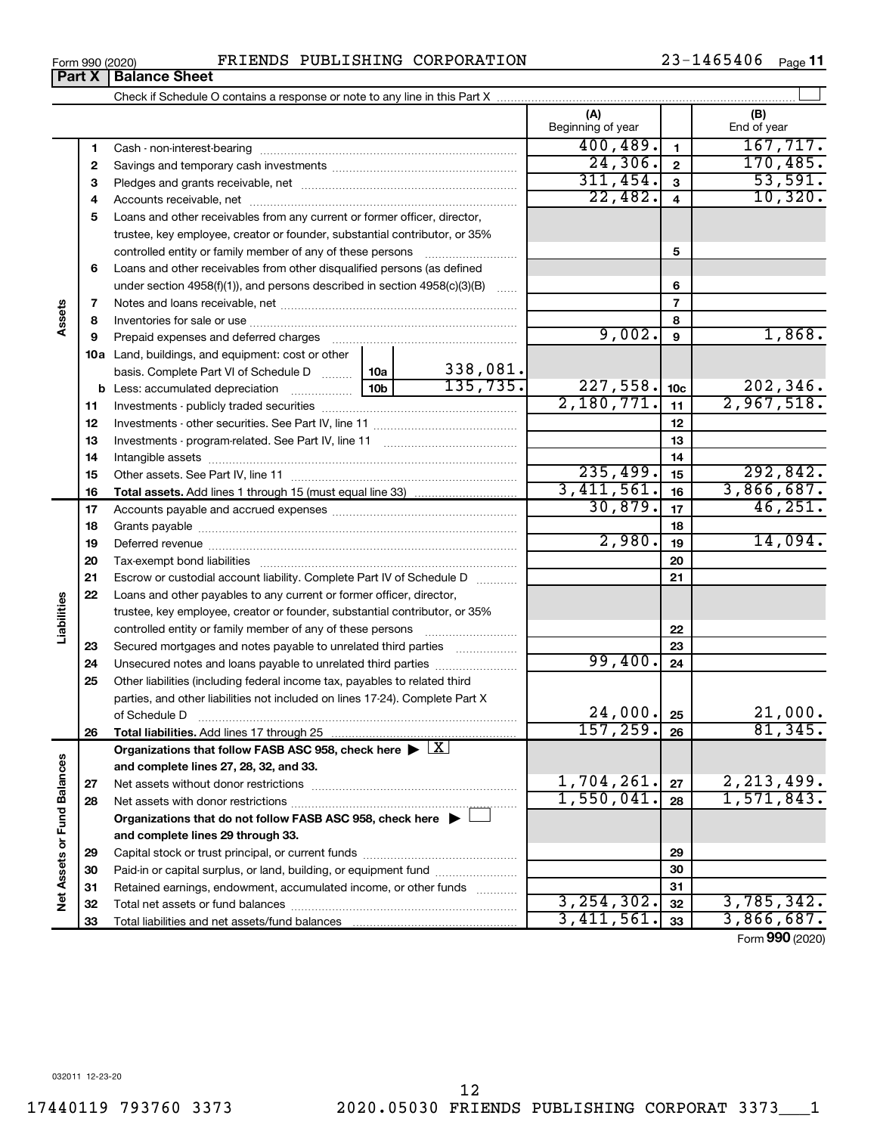|                             |    | <b>Part X   Balance Sheet</b>                                                      |                          |                 |                    |
|-----------------------------|----|------------------------------------------------------------------------------------|--------------------------|-----------------|--------------------|
|                             |    |                                                                                    |                          |                 |                    |
|                             |    |                                                                                    | (A)<br>Beginning of year |                 | (B)<br>End of year |
|                             | 1  |                                                                                    | 400, 489.                | $\mathbf{1}$    | 167, 717.          |
|                             | 2  |                                                                                    | 24,306.                  | $\mathbf{2}$    | 170,485.           |
|                             | з  |                                                                                    | 311,454.                 | 3               | 53,591.            |
|                             | 4  |                                                                                    | 22,482.                  | 4               | 10,320.            |
|                             | 5  | Loans and other receivables from any current or former officer, director,          |                          |                 |                    |
|                             |    | trustee, key employee, creator or founder, substantial contributor, or 35%         |                          |                 |                    |
|                             |    | controlled entity or family member of any of these persons                         |                          | 5               |                    |
|                             | 6  | Loans and other receivables from other disqualified persons (as defined            |                          |                 |                    |
|                             |    | under section $4958(f)(1)$ , and persons described in section $4958(c)(3)(B)$      |                          | 6               |                    |
|                             | 7  |                                                                                    |                          | $\overline{7}$  |                    |
| Assets                      | 8  |                                                                                    |                          | 8               |                    |
|                             | 9  | Prepaid expenses and deferred charges                                              | 9,002.                   | 9               | 1,868.             |
|                             |    | <b>10a</b> Land, buildings, and equipment: cost or other                           |                          |                 |                    |
|                             |    | 338,081.<br>basis. Complete Part VI of Schedule D  10a                             |                          |                 |                    |
|                             | b  | 135, 735.<br> 10 <sub>b</sub>  <br>Less: accumulated depreciation                  | 227,558.                 | 10 <sub>c</sub> | 202,346.           |
|                             | 11 |                                                                                    | 2,180,771.               | 11              | 2,967,518.         |
|                             | 12 |                                                                                    |                          | 12              |                    |
|                             | 13 |                                                                                    |                          | 13              |                    |
|                             | 14 |                                                                                    |                          | 14              |                    |
|                             | 15 |                                                                                    | 235,499.                 | 15              | 292,842.           |
|                             | 16 |                                                                                    | 3,411,561.               | 16              | 3,866,687.         |
|                             | 17 |                                                                                    | 30,879.                  | 17              | 46,251.            |
|                             | 18 |                                                                                    | 2,980.                   | 18              | 14,094.            |
|                             | 19 |                                                                                    |                          | 19              |                    |
|                             | 20 |                                                                                    |                          | 20              |                    |
|                             | 21 | Escrow or custodial account liability. Complete Part IV of Schedule D              |                          | 21              |                    |
| Liabilities                 | 22 | Loans and other payables to any current or former officer, director,               |                          |                 |                    |
|                             |    | trustee, key employee, creator or founder, substantial contributor, or 35%         |                          | 22              |                    |
|                             | 23 | Secured mortgages and notes payable to unrelated third parties                     |                          | 23              |                    |
|                             | 24 | Unsecured notes and loans payable to unrelated third parties                       | 99,400.                  | 24              |                    |
|                             | 25 | Other liabilities (including federal income tax, payables to related third         |                          |                 |                    |
|                             |    | parties, and other liabilities not included on lines 17-24). Complete Part X       |                          |                 |                    |
|                             |    | of Schedule D                                                                      | $24,000$ $\cdot$ 25      |                 | 21,000.            |
|                             | 26 | Total liabilities. Add lines 17 through 25                                         | 157, 259.                | 26              | 81,345.            |
|                             |    | Organizations that follow FASB ASC 958, check here $\blacktriangleright \boxed{X}$ |                          |                 |                    |
|                             |    | and complete lines 27, 28, 32, and 33.                                             |                          |                 |                    |
|                             | 27 | Net assets without donor restrictions                                              | 1,704,261.               | 27              | 2, 213, 499.       |
|                             | 28 |                                                                                    | 1,550,041.               | 28              | 1,571,843.         |
|                             |    | Organizations that do not follow FASB ASC 958, check here $\blacktriangleright$    |                          |                 |                    |
|                             |    | and complete lines 29 through 33.                                                  |                          |                 |                    |
|                             | 29 |                                                                                    |                          | 29              |                    |
|                             | 30 | Paid-in or capital surplus, or land, building, or equipment fund                   |                          | 30              |                    |
| Net Assets or Fund Balances | 31 | Retained earnings, endowment, accumulated income, or other funds                   |                          | 31              |                    |
|                             | 32 |                                                                                    | 3, 254, 302.             | 32              | 3,785,342.         |
|                             | 33 |                                                                                    | 3,411,561.               | 33              | 3,866,687.         |

Form (2020) **990**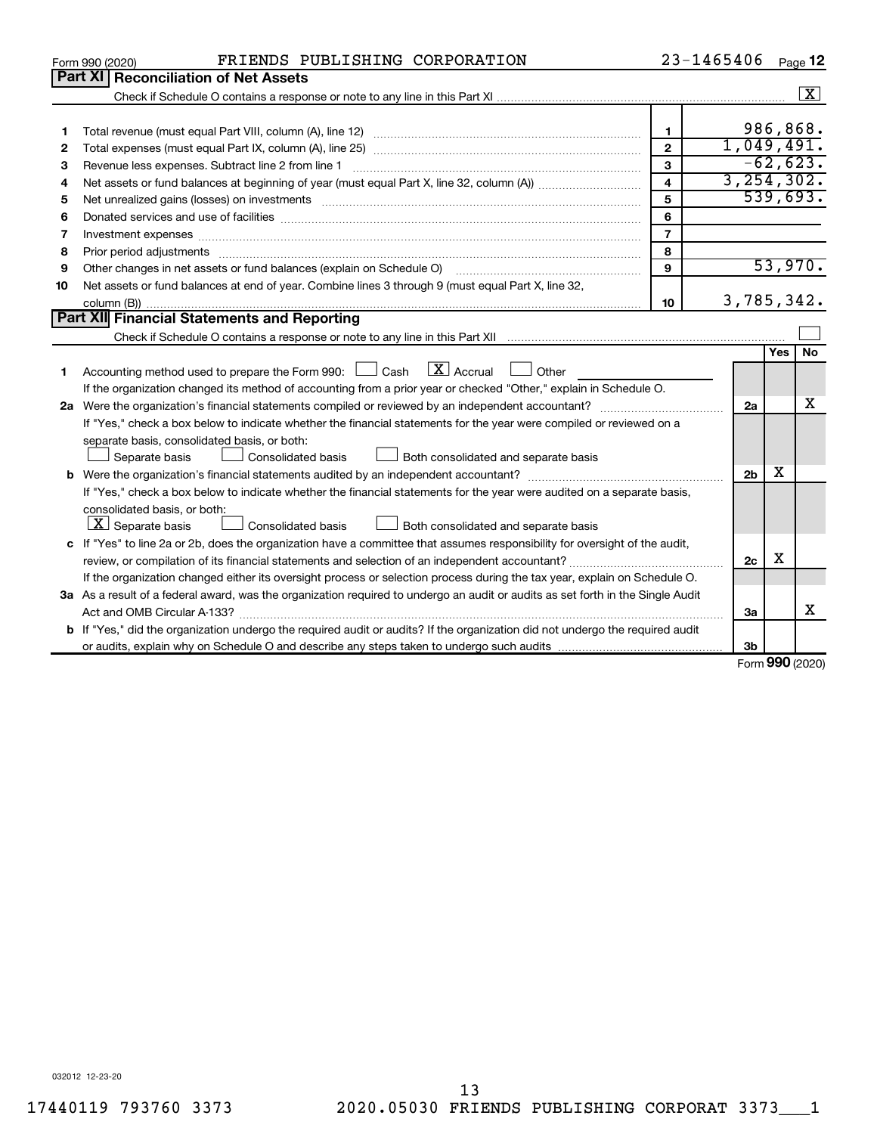| Part XI<br>$\sqrt{X}$<br>986,868.<br>$\mathbf{1}$<br>1<br>1,049,491.<br>$\mathbf{2}$<br>2<br>$-62,623.$<br>3<br>Revenue less expenses. Subtract line 2 from line 1<br>З<br>3, 254, 302.<br>$\overline{\mathbf{4}}$<br>4<br>539,693.<br>5<br>5<br>6<br>6<br>$\overline{7}$<br>Investment expenses www.communication.com/www.communication.com/www.communication.com/www.com<br>7<br>8<br>Prior period adjustments material contents and content and content and content and content and content and content and content and content and content and content and content and content and content and content and content<br>8<br>53,970.<br>$\mathbf{Q}$<br>Other changes in net assets or fund balances (explain on Schedule O)<br>9<br>Net assets or fund balances at end of year. Combine lines 3 through 9 (must equal Part X, line 32,<br>10<br>3,785,342.<br>10<br>Part XII Financial Statements and Reporting<br><b>Yes</b><br><b>No</b><br>$\lfloor x \rfloor$ Accrual<br>Accounting method used to prepare the Form 990: [130] Cash<br>$\Box$ Other<br>1<br>If the organization changed its method of accounting from a prior year or checked "Other," explain in Schedule O.<br>x<br>2a<br>If "Yes," check a box below to indicate whether the financial statements for the year were compiled or reviewed on a<br>separate basis, consolidated basis, or both:<br>Both consolidated and separate basis<br>Separate basis<br>Consolidated basis<br>х<br>2 <sub>b</sub><br>If "Yes," check a box below to indicate whether the financial statements for the year were audited on a separate basis,<br>consolidated basis, or both:<br>$ \mathbf{X} $ Separate basis<br>Consolidated basis<br>Both consolidated and separate basis<br>c If "Yes" to line 2a or 2b, does the organization have a committee that assumes responsibility for oversight of the audit,<br>х<br>2c<br>If the organization changed either its oversight process or selection process during the tax year, explain on Schedule O.<br>3a As a result of a federal award, was the organization required to undergo an audit or audits as set forth in the Single Audit<br>x<br>За<br><b>b</b> If "Yes," did the organization undergo the required audit or audits? If the organization did not undergo the required audit<br>3b | FRIENDS PUBLISHING CORPORATION<br>Form 990 (2020) | 23-1465406 |  | Page 12 |
|-------------------------------------------------------------------------------------------------------------------------------------------------------------------------------------------------------------------------------------------------------------------------------------------------------------------------------------------------------------------------------------------------------------------------------------------------------------------------------------------------------------------------------------------------------------------------------------------------------------------------------------------------------------------------------------------------------------------------------------------------------------------------------------------------------------------------------------------------------------------------------------------------------------------------------------------------------------------------------------------------------------------------------------------------------------------------------------------------------------------------------------------------------------------------------------------------------------------------------------------------------------------------------------------------------------------------------------------------------------------------------------------------------------------------------------------------------------------------------------------------------------------------------------------------------------------------------------------------------------------------------------------------------------------------------------------------------------------------------------------------------------------------------------------------------------------------------------------------------------------------------------------------------------------------------------------------------------------------------------------------------------------------------------------------------------------------------------------------------------------------------------------------------------------------------------------------------------------------------------------------------------------------------------------------------------|---------------------------------------------------|------------|--|---------|
|                                                                                                                                                                                                                                                                                                                                                                                                                                                                                                                                                                                                                                                                                                                                                                                                                                                                                                                                                                                                                                                                                                                                                                                                                                                                                                                                                                                                                                                                                                                                                                                                                                                                                                                                                                                                                                                                                                                                                                                                                                                                                                                                                                                                                                                                                                             | <b>Reconciliation of Net Assets</b>               |            |  |         |
|                                                                                                                                                                                                                                                                                                                                                                                                                                                                                                                                                                                                                                                                                                                                                                                                                                                                                                                                                                                                                                                                                                                                                                                                                                                                                                                                                                                                                                                                                                                                                                                                                                                                                                                                                                                                                                                                                                                                                                                                                                                                                                                                                                                                                                                                                                             |                                                   |            |  |         |
|                                                                                                                                                                                                                                                                                                                                                                                                                                                                                                                                                                                                                                                                                                                                                                                                                                                                                                                                                                                                                                                                                                                                                                                                                                                                                                                                                                                                                                                                                                                                                                                                                                                                                                                                                                                                                                                                                                                                                                                                                                                                                                                                                                                                                                                                                                             |                                                   |            |  |         |
|                                                                                                                                                                                                                                                                                                                                                                                                                                                                                                                                                                                                                                                                                                                                                                                                                                                                                                                                                                                                                                                                                                                                                                                                                                                                                                                                                                                                                                                                                                                                                                                                                                                                                                                                                                                                                                                                                                                                                                                                                                                                                                                                                                                                                                                                                                             |                                                   |            |  |         |
|                                                                                                                                                                                                                                                                                                                                                                                                                                                                                                                                                                                                                                                                                                                                                                                                                                                                                                                                                                                                                                                                                                                                                                                                                                                                                                                                                                                                                                                                                                                                                                                                                                                                                                                                                                                                                                                                                                                                                                                                                                                                                                                                                                                                                                                                                                             |                                                   |            |  |         |
|                                                                                                                                                                                                                                                                                                                                                                                                                                                                                                                                                                                                                                                                                                                                                                                                                                                                                                                                                                                                                                                                                                                                                                                                                                                                                                                                                                                                                                                                                                                                                                                                                                                                                                                                                                                                                                                                                                                                                                                                                                                                                                                                                                                                                                                                                                             |                                                   |            |  |         |
|                                                                                                                                                                                                                                                                                                                                                                                                                                                                                                                                                                                                                                                                                                                                                                                                                                                                                                                                                                                                                                                                                                                                                                                                                                                                                                                                                                                                                                                                                                                                                                                                                                                                                                                                                                                                                                                                                                                                                                                                                                                                                                                                                                                                                                                                                                             |                                                   |            |  |         |
|                                                                                                                                                                                                                                                                                                                                                                                                                                                                                                                                                                                                                                                                                                                                                                                                                                                                                                                                                                                                                                                                                                                                                                                                                                                                                                                                                                                                                                                                                                                                                                                                                                                                                                                                                                                                                                                                                                                                                                                                                                                                                                                                                                                                                                                                                                             |                                                   |            |  |         |
|                                                                                                                                                                                                                                                                                                                                                                                                                                                                                                                                                                                                                                                                                                                                                                                                                                                                                                                                                                                                                                                                                                                                                                                                                                                                                                                                                                                                                                                                                                                                                                                                                                                                                                                                                                                                                                                                                                                                                                                                                                                                                                                                                                                                                                                                                                             |                                                   |            |  |         |
|                                                                                                                                                                                                                                                                                                                                                                                                                                                                                                                                                                                                                                                                                                                                                                                                                                                                                                                                                                                                                                                                                                                                                                                                                                                                                                                                                                                                                                                                                                                                                                                                                                                                                                                                                                                                                                                                                                                                                                                                                                                                                                                                                                                                                                                                                                             |                                                   |            |  |         |
|                                                                                                                                                                                                                                                                                                                                                                                                                                                                                                                                                                                                                                                                                                                                                                                                                                                                                                                                                                                                                                                                                                                                                                                                                                                                                                                                                                                                                                                                                                                                                                                                                                                                                                                                                                                                                                                                                                                                                                                                                                                                                                                                                                                                                                                                                                             |                                                   |            |  |         |
|                                                                                                                                                                                                                                                                                                                                                                                                                                                                                                                                                                                                                                                                                                                                                                                                                                                                                                                                                                                                                                                                                                                                                                                                                                                                                                                                                                                                                                                                                                                                                                                                                                                                                                                                                                                                                                                                                                                                                                                                                                                                                                                                                                                                                                                                                                             |                                                   |            |  |         |
|                                                                                                                                                                                                                                                                                                                                                                                                                                                                                                                                                                                                                                                                                                                                                                                                                                                                                                                                                                                                                                                                                                                                                                                                                                                                                                                                                                                                                                                                                                                                                                                                                                                                                                                                                                                                                                                                                                                                                                                                                                                                                                                                                                                                                                                                                                             |                                                   |            |  |         |
|                                                                                                                                                                                                                                                                                                                                                                                                                                                                                                                                                                                                                                                                                                                                                                                                                                                                                                                                                                                                                                                                                                                                                                                                                                                                                                                                                                                                                                                                                                                                                                                                                                                                                                                                                                                                                                                                                                                                                                                                                                                                                                                                                                                                                                                                                                             |                                                   |            |  |         |
|                                                                                                                                                                                                                                                                                                                                                                                                                                                                                                                                                                                                                                                                                                                                                                                                                                                                                                                                                                                                                                                                                                                                                                                                                                                                                                                                                                                                                                                                                                                                                                                                                                                                                                                                                                                                                                                                                                                                                                                                                                                                                                                                                                                                                                                                                                             |                                                   |            |  |         |
|                                                                                                                                                                                                                                                                                                                                                                                                                                                                                                                                                                                                                                                                                                                                                                                                                                                                                                                                                                                                                                                                                                                                                                                                                                                                                                                                                                                                                                                                                                                                                                                                                                                                                                                                                                                                                                                                                                                                                                                                                                                                                                                                                                                                                                                                                                             |                                                   |            |  |         |
|                                                                                                                                                                                                                                                                                                                                                                                                                                                                                                                                                                                                                                                                                                                                                                                                                                                                                                                                                                                                                                                                                                                                                                                                                                                                                                                                                                                                                                                                                                                                                                                                                                                                                                                                                                                                                                                                                                                                                                                                                                                                                                                                                                                                                                                                                                             |                                                   |            |  |         |
|                                                                                                                                                                                                                                                                                                                                                                                                                                                                                                                                                                                                                                                                                                                                                                                                                                                                                                                                                                                                                                                                                                                                                                                                                                                                                                                                                                                                                                                                                                                                                                                                                                                                                                                                                                                                                                                                                                                                                                                                                                                                                                                                                                                                                                                                                                             |                                                   |            |  |         |
|                                                                                                                                                                                                                                                                                                                                                                                                                                                                                                                                                                                                                                                                                                                                                                                                                                                                                                                                                                                                                                                                                                                                                                                                                                                                                                                                                                                                                                                                                                                                                                                                                                                                                                                                                                                                                                                                                                                                                                                                                                                                                                                                                                                                                                                                                                             |                                                   |            |  |         |
|                                                                                                                                                                                                                                                                                                                                                                                                                                                                                                                                                                                                                                                                                                                                                                                                                                                                                                                                                                                                                                                                                                                                                                                                                                                                                                                                                                                                                                                                                                                                                                                                                                                                                                                                                                                                                                                                                                                                                                                                                                                                                                                                                                                                                                                                                                             |                                                   |            |  |         |
|                                                                                                                                                                                                                                                                                                                                                                                                                                                                                                                                                                                                                                                                                                                                                                                                                                                                                                                                                                                                                                                                                                                                                                                                                                                                                                                                                                                                                                                                                                                                                                                                                                                                                                                                                                                                                                                                                                                                                                                                                                                                                                                                                                                                                                                                                                             |                                                   |            |  |         |
|                                                                                                                                                                                                                                                                                                                                                                                                                                                                                                                                                                                                                                                                                                                                                                                                                                                                                                                                                                                                                                                                                                                                                                                                                                                                                                                                                                                                                                                                                                                                                                                                                                                                                                                                                                                                                                                                                                                                                                                                                                                                                                                                                                                                                                                                                                             |                                                   |            |  |         |
|                                                                                                                                                                                                                                                                                                                                                                                                                                                                                                                                                                                                                                                                                                                                                                                                                                                                                                                                                                                                                                                                                                                                                                                                                                                                                                                                                                                                                                                                                                                                                                                                                                                                                                                                                                                                                                                                                                                                                                                                                                                                                                                                                                                                                                                                                                             |                                                   |            |  |         |
|                                                                                                                                                                                                                                                                                                                                                                                                                                                                                                                                                                                                                                                                                                                                                                                                                                                                                                                                                                                                                                                                                                                                                                                                                                                                                                                                                                                                                                                                                                                                                                                                                                                                                                                                                                                                                                                                                                                                                                                                                                                                                                                                                                                                                                                                                                             |                                                   |            |  |         |
|                                                                                                                                                                                                                                                                                                                                                                                                                                                                                                                                                                                                                                                                                                                                                                                                                                                                                                                                                                                                                                                                                                                                                                                                                                                                                                                                                                                                                                                                                                                                                                                                                                                                                                                                                                                                                                                                                                                                                                                                                                                                                                                                                                                                                                                                                                             |                                                   |            |  |         |
|                                                                                                                                                                                                                                                                                                                                                                                                                                                                                                                                                                                                                                                                                                                                                                                                                                                                                                                                                                                                                                                                                                                                                                                                                                                                                                                                                                                                                                                                                                                                                                                                                                                                                                                                                                                                                                                                                                                                                                                                                                                                                                                                                                                                                                                                                                             |                                                   |            |  |         |
|                                                                                                                                                                                                                                                                                                                                                                                                                                                                                                                                                                                                                                                                                                                                                                                                                                                                                                                                                                                                                                                                                                                                                                                                                                                                                                                                                                                                                                                                                                                                                                                                                                                                                                                                                                                                                                                                                                                                                                                                                                                                                                                                                                                                                                                                                                             |                                                   |            |  |         |
|                                                                                                                                                                                                                                                                                                                                                                                                                                                                                                                                                                                                                                                                                                                                                                                                                                                                                                                                                                                                                                                                                                                                                                                                                                                                                                                                                                                                                                                                                                                                                                                                                                                                                                                                                                                                                                                                                                                                                                                                                                                                                                                                                                                                                                                                                                             |                                                   |            |  |         |
|                                                                                                                                                                                                                                                                                                                                                                                                                                                                                                                                                                                                                                                                                                                                                                                                                                                                                                                                                                                                                                                                                                                                                                                                                                                                                                                                                                                                                                                                                                                                                                                                                                                                                                                                                                                                                                                                                                                                                                                                                                                                                                                                                                                                                                                                                                             |                                                   |            |  |         |
|                                                                                                                                                                                                                                                                                                                                                                                                                                                                                                                                                                                                                                                                                                                                                                                                                                                                                                                                                                                                                                                                                                                                                                                                                                                                                                                                                                                                                                                                                                                                                                                                                                                                                                                                                                                                                                                                                                                                                                                                                                                                                                                                                                                                                                                                                                             |                                                   |            |  |         |
|                                                                                                                                                                                                                                                                                                                                                                                                                                                                                                                                                                                                                                                                                                                                                                                                                                                                                                                                                                                                                                                                                                                                                                                                                                                                                                                                                                                                                                                                                                                                                                                                                                                                                                                                                                                                                                                                                                                                                                                                                                                                                                                                                                                                                                                                                                             |                                                   |            |  |         |
|                                                                                                                                                                                                                                                                                                                                                                                                                                                                                                                                                                                                                                                                                                                                                                                                                                                                                                                                                                                                                                                                                                                                                                                                                                                                                                                                                                                                                                                                                                                                                                                                                                                                                                                                                                                                                                                                                                                                                                                                                                                                                                                                                                                                                                                                                                             |                                                   |            |  |         |
|                                                                                                                                                                                                                                                                                                                                                                                                                                                                                                                                                                                                                                                                                                                                                                                                                                                                                                                                                                                                                                                                                                                                                                                                                                                                                                                                                                                                                                                                                                                                                                                                                                                                                                                                                                                                                                                                                                                                                                                                                                                                                                                                                                                                                                                                                                             |                                                   |            |  |         |
| $000 \approx$                                                                                                                                                                                                                                                                                                                                                                                                                                                                                                                                                                                                                                                                                                                                                                                                                                                                                                                                                                                                                                                                                                                                                                                                                                                                                                                                                                                                                                                                                                                                                                                                                                                                                                                                                                                                                                                                                                                                                                                                                                                                                                                                                                                                                                                                                               |                                                   |            |  |         |

Form (2020) **990**

032012 12-23-20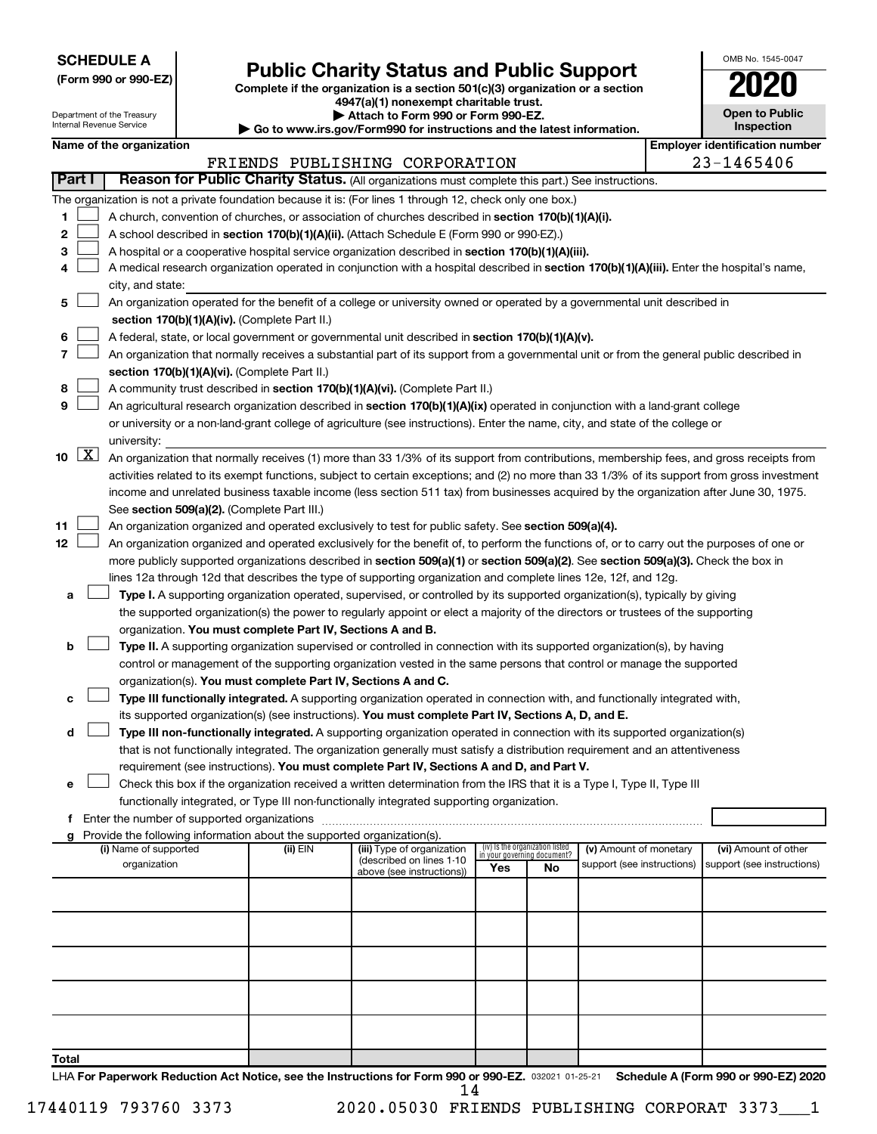**SCHEDULE A**

# **Public Charity Status and Public Support**<br> **Addition is a section 501(c)(3) organization or a section**<br>  $4947(a)(1)$  nonexempt charitable trust.

**(Form 990 or 990-EZ) Complete if the organization is a section 501(c)(3) organization or a section**

| <b>Open to Public</b><br>Inspection |
|-------------------------------------|
| ntification nu                      |

OMB No. 1545-0047

|        | w <sub>i</sub> , , , , , , , , , , , , , , , ,<br><b>Open to Public</b><br>Attach to Form 990 or Form 990-EZ.<br>Department of the Treasury<br>Internal Revenue Service<br><b>Inspection</b><br>► Go to www.irs.gov/Form990 for instructions and the latest information. |                                               |  |                                                                        |                                                                                                                                              |     |                                                                |                            |  |                                       |
|--------|--------------------------------------------------------------------------------------------------------------------------------------------------------------------------------------------------------------------------------------------------------------------------|-----------------------------------------------|--|------------------------------------------------------------------------|----------------------------------------------------------------------------------------------------------------------------------------------|-----|----------------------------------------------------------------|----------------------------|--|---------------------------------------|
|        |                                                                                                                                                                                                                                                                          | Name of the organization                      |  |                                                                        |                                                                                                                                              |     |                                                                |                            |  | <b>Employer identification number</b> |
|        |                                                                                                                                                                                                                                                                          |                                               |  |                                                                        | FRIENDS PUBLISHING CORPORATION                                                                                                               |     |                                                                |                            |  | 23-1465406                            |
| Part I |                                                                                                                                                                                                                                                                          |                                               |  |                                                                        | Reason for Public Charity Status. (All organizations must complete this part.) See instructions.                                             |     |                                                                |                            |  |                                       |
|        |                                                                                                                                                                                                                                                                          |                                               |  |                                                                        | The organization is not a private foundation because it is: (For lines 1 through 12, check only one box.)                                    |     |                                                                |                            |  |                                       |
| 1      |                                                                                                                                                                                                                                                                          |                                               |  |                                                                        | A church, convention of churches, or association of churches described in section 170(b)(1)(A)(i).                                           |     |                                                                |                            |  |                                       |
| 2      |                                                                                                                                                                                                                                                                          |                                               |  |                                                                        | A school described in section 170(b)(1)(A)(ii). (Attach Schedule E (Form 990 or 990-EZ).)                                                    |     |                                                                |                            |  |                                       |
| 3      |                                                                                                                                                                                                                                                                          |                                               |  |                                                                        | A hospital or a cooperative hospital service organization described in section 170(b)(1)(A)(iii).                                            |     |                                                                |                            |  |                                       |
| 4      |                                                                                                                                                                                                                                                                          |                                               |  |                                                                        | A medical research organization operated in conjunction with a hospital described in section 170(b)(1)(A)(iii). Enter the hospital's name,   |     |                                                                |                            |  |                                       |
|        |                                                                                                                                                                                                                                                                          | city, and state:                              |  |                                                                        |                                                                                                                                              |     |                                                                |                            |  |                                       |
| 5      |                                                                                                                                                                                                                                                                          |                                               |  |                                                                        | An organization operated for the benefit of a college or university owned or operated by a governmental unit described in                    |     |                                                                |                            |  |                                       |
|        |                                                                                                                                                                                                                                                                          |                                               |  | section 170(b)(1)(A)(iv). (Complete Part II.)                          |                                                                                                                                              |     |                                                                |                            |  |                                       |
| 6      |                                                                                                                                                                                                                                                                          |                                               |  |                                                                        | A federal, state, or local government or governmental unit described in section 170(b)(1)(A)(v).                                             |     |                                                                |                            |  |                                       |
| 7      |                                                                                                                                                                                                                                                                          |                                               |  |                                                                        | An organization that normally receives a substantial part of its support from a governmental unit or from the general public described in    |     |                                                                |                            |  |                                       |
|        |                                                                                                                                                                                                                                                                          |                                               |  | section 170(b)(1)(A)(vi). (Complete Part II.)                          |                                                                                                                                              |     |                                                                |                            |  |                                       |
| 8      |                                                                                                                                                                                                                                                                          |                                               |  |                                                                        | A community trust described in section 170(b)(1)(A)(vi). (Complete Part II.)                                                                 |     |                                                                |                            |  |                                       |
| 9      |                                                                                                                                                                                                                                                                          |                                               |  |                                                                        | An agricultural research organization described in section 170(b)(1)(A)(ix) operated in conjunction with a land-grant college                |     |                                                                |                            |  |                                       |
|        |                                                                                                                                                                                                                                                                          |                                               |  |                                                                        | or university or a non-land-grant college of agriculture (see instructions). Enter the name, city, and state of the college or               |     |                                                                |                            |  |                                       |
|        |                                                                                                                                                                                                                                                                          | university:                                   |  |                                                                        |                                                                                                                                              |     |                                                                |                            |  |                                       |
| 10     | $\lfloor x \rfloor$                                                                                                                                                                                                                                                      |                                               |  |                                                                        | An organization that normally receives (1) more than 33 1/3% of its support from contributions, membership fees, and gross receipts from     |     |                                                                |                            |  |                                       |
|        |                                                                                                                                                                                                                                                                          |                                               |  |                                                                        | activities related to its exempt functions, subject to certain exceptions; and (2) no more than 33 1/3% of its support from gross investment |     |                                                                |                            |  |                                       |
|        |                                                                                                                                                                                                                                                                          |                                               |  |                                                                        | income and unrelated business taxable income (less section 511 tax) from businesses acquired by the organization after June 30, 1975.        |     |                                                                |                            |  |                                       |
|        |                                                                                                                                                                                                                                                                          |                                               |  | See section 509(a)(2). (Complete Part III.)                            |                                                                                                                                              |     |                                                                |                            |  |                                       |
| 11     |                                                                                                                                                                                                                                                                          |                                               |  |                                                                        | An organization organized and operated exclusively to test for public safety. See section 509(a)(4).                                         |     |                                                                |                            |  |                                       |
| 12     |                                                                                                                                                                                                                                                                          |                                               |  |                                                                        | An organization organized and operated exclusively for the benefit of, to perform the functions of, or to carry out the purposes of one or   |     |                                                                |                            |  |                                       |
|        |                                                                                                                                                                                                                                                                          |                                               |  |                                                                        | more publicly supported organizations described in section 509(a)(1) or section 509(a)(2). See section 509(a)(3). Check the box in           |     |                                                                |                            |  |                                       |
|        |                                                                                                                                                                                                                                                                          |                                               |  |                                                                        | lines 12a through 12d that describes the type of supporting organization and complete lines 12e, 12f, and 12g.                               |     |                                                                |                            |  |                                       |
| а      |                                                                                                                                                                                                                                                                          |                                               |  |                                                                        | Type I. A supporting organization operated, supervised, or controlled by its supported organization(s), typically by giving                  |     |                                                                |                            |  |                                       |
|        |                                                                                                                                                                                                                                                                          |                                               |  |                                                                        | the supported organization(s) the power to regularly appoint or elect a majority of the directors or trustees of the supporting              |     |                                                                |                            |  |                                       |
|        |                                                                                                                                                                                                                                                                          |                                               |  | organization. You must complete Part IV, Sections A and B.             |                                                                                                                                              |     |                                                                |                            |  |                                       |
| b      |                                                                                                                                                                                                                                                                          |                                               |  |                                                                        | Type II. A supporting organization supervised or controlled in connection with its supported organization(s), by having                      |     |                                                                |                            |  |                                       |
|        |                                                                                                                                                                                                                                                                          |                                               |  |                                                                        | control or management of the supporting organization vested in the same persons that control or manage the supported                         |     |                                                                |                            |  |                                       |
|        |                                                                                                                                                                                                                                                                          |                                               |  | organization(s). You must complete Part IV, Sections A and C.          |                                                                                                                                              |     |                                                                |                            |  |                                       |
| c      |                                                                                                                                                                                                                                                                          |                                               |  |                                                                        | Type III functionally integrated. A supporting organization operated in connection with, and functionally integrated with,                   |     |                                                                |                            |  |                                       |
|        |                                                                                                                                                                                                                                                                          |                                               |  |                                                                        | its supported organization(s) (see instructions). You must complete Part IV, Sections A, D, and E.                                           |     |                                                                |                            |  |                                       |
| d      |                                                                                                                                                                                                                                                                          |                                               |  |                                                                        | Type III non-functionally integrated. A supporting organization operated in connection with its supported organization(s)                    |     |                                                                |                            |  |                                       |
|        |                                                                                                                                                                                                                                                                          |                                               |  |                                                                        | that is not functionally integrated. The organization generally must satisfy a distribution requirement and an attentiveness                 |     |                                                                |                            |  |                                       |
|        |                                                                                                                                                                                                                                                                          |                                               |  |                                                                        | requirement (see instructions). You must complete Part IV, Sections A and D, and Part V.                                                     |     |                                                                |                            |  |                                       |
| е      |                                                                                                                                                                                                                                                                          |                                               |  |                                                                        | Check this box if the organization received a written determination from the IRS that it is a Type I, Type II, Type III                      |     |                                                                |                            |  |                                       |
|        |                                                                                                                                                                                                                                                                          |                                               |  |                                                                        | functionally integrated, or Type III non-functionally integrated supporting organization.                                                    |     |                                                                |                            |  |                                       |
|        |                                                                                                                                                                                                                                                                          | f Enter the number of supported organizations |  |                                                                        |                                                                                                                                              |     |                                                                |                            |  |                                       |
|        |                                                                                                                                                                                                                                                                          |                                               |  | Provide the following information about the supported organization(s). |                                                                                                                                              |     |                                                                |                            |  |                                       |
|        |                                                                                                                                                                                                                                                                          | (i) Name of supported                         |  | (ii) EIN                                                               | (iii) Type of organization                                                                                                                   |     | (iv) Is the organization listed<br>in your governing document? | (v) Amount of monetary     |  | (vi) Amount of other                  |
|        |                                                                                                                                                                                                                                                                          | organization                                  |  |                                                                        | (described on lines 1-10<br>above (see instructions))                                                                                        | Yes | No                                                             | support (see instructions) |  | support (see instructions)            |
|        |                                                                                                                                                                                                                                                                          |                                               |  |                                                                        |                                                                                                                                              |     |                                                                |                            |  |                                       |
|        |                                                                                                                                                                                                                                                                          |                                               |  |                                                                        |                                                                                                                                              |     |                                                                |                            |  |                                       |
|        |                                                                                                                                                                                                                                                                          |                                               |  |                                                                        |                                                                                                                                              |     |                                                                |                            |  |                                       |
|        |                                                                                                                                                                                                                                                                          |                                               |  |                                                                        |                                                                                                                                              |     |                                                                |                            |  |                                       |
|        |                                                                                                                                                                                                                                                                          |                                               |  |                                                                        |                                                                                                                                              |     |                                                                |                            |  |                                       |
|        |                                                                                                                                                                                                                                                                          |                                               |  |                                                                        |                                                                                                                                              |     |                                                                |                            |  |                                       |
|        |                                                                                                                                                                                                                                                                          |                                               |  |                                                                        |                                                                                                                                              |     |                                                                |                            |  |                                       |
|        |                                                                                                                                                                                                                                                                          |                                               |  |                                                                        |                                                                                                                                              |     |                                                                |                            |  |                                       |
|        |                                                                                                                                                                                                                                                                          |                                               |  |                                                                        |                                                                                                                                              |     |                                                                |                            |  |                                       |
|        |                                                                                                                                                                                                                                                                          |                                               |  |                                                                        |                                                                                                                                              |     |                                                                |                            |  |                                       |
| Total  |                                                                                                                                                                                                                                                                          |                                               |  |                                                                        |                                                                                                                                              |     |                                                                |                            |  |                                       |

LHA For Paperwork Reduction Act Notice, see the Instructions for Form 990 or 990-EZ. 032021 01-25-21 Schedule A (Form 990 or 990-EZ) 2020 14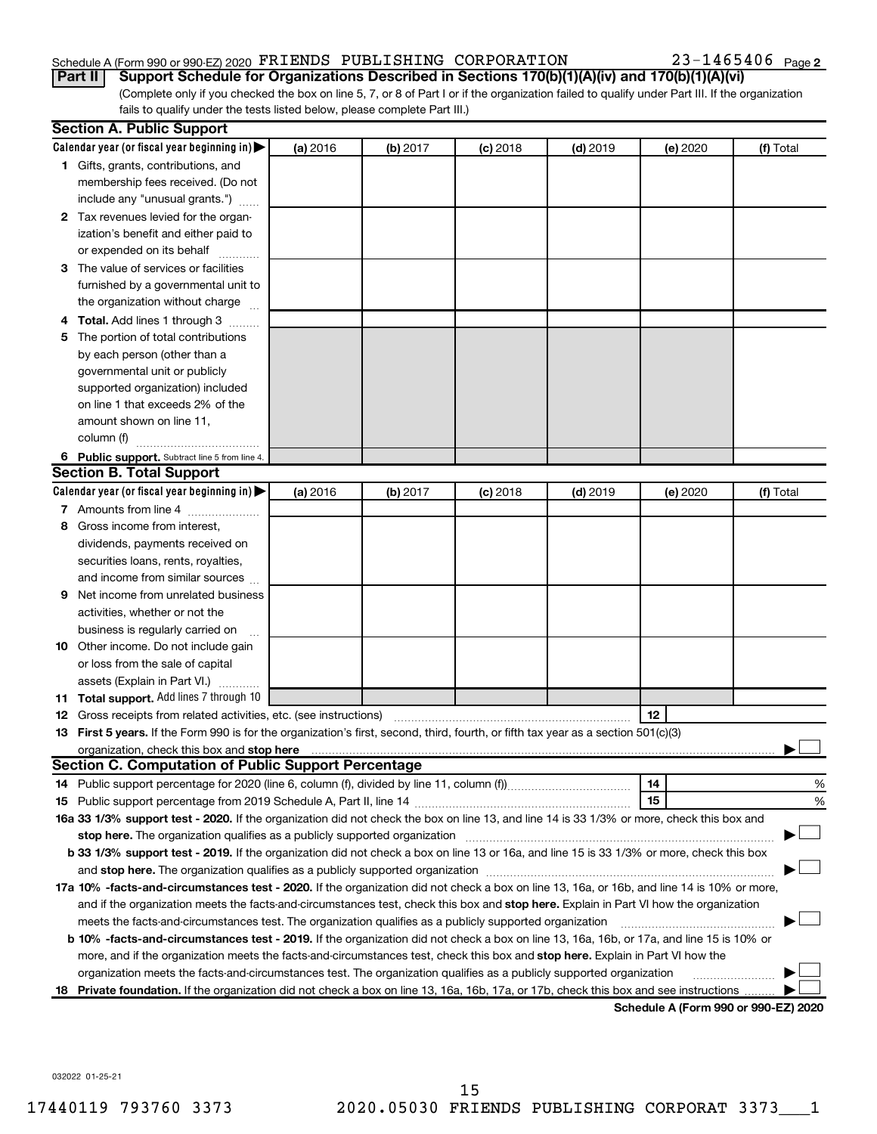#### Schedule A (Form 990 or 990-EZ) 2020 Page FRIENDS PUBLISHING CORPORATION 23-1465406

(Complete only if you checked the box on line 5, 7, or 8 of Part I or if the organization failed to qualify under Part III. If the organization **Part II Support Schedule for Organizations Described in Sections 170(b)(1)(A)(iv) and 170(b)(1)(A)(vi)**

fails to qualify under the tests listed below, please complete Part III.)

| Calendar year (or fiscal year beginning in) $\blacktriangleright$<br>(a) 2016<br>(b) 2017<br>$(c)$ 2018<br>$(d)$ 2019<br>(e) 2020<br>(f) Total<br>1 Gifts, grants, contributions, and<br>membership fees received. (Do not<br>include any "unusual grants.")<br>2 Tax revenues levied for the organ-<br>ization's benefit and either paid to<br>or expended on its behalf<br>3 The value of services or facilities<br>furnished by a governmental unit to<br>the organization without charge<br>4 Total. Add lines 1 through 3<br>The portion of total contributions<br>5.<br>by each person (other than a<br>governmental unit or publicly<br>supported organization) included<br>on line 1 that exceeds 2% of the<br>amount shown on line 11,<br>column (f)<br>6 Public support. Subtract line 5 from line 4.<br><b>Section B. Total Support</b><br>Calendar year (or fiscal year beginning in) $\blacktriangleright$<br>(a) 2016<br>(b) 2017<br>$(c)$ 2018<br>$(d)$ 2019<br>(e) 2020<br>(f) Total<br>7 Amounts from line 4<br>Gross income from interest,<br>8<br>dividends, payments received on<br>securities loans, rents, royalties,<br>and income from similar sources<br>Net income from unrelated business<br>9<br>activities, whether or not the<br>business is regularly carried on<br><b>10</b> Other income. Do not include gain<br>or loss from the sale of capital<br>assets (Explain in Part VI.)<br>11 Total support. Add lines 7 through 10<br>12<br><b>12</b> Gross receipts from related activities, etc. (see instructions)<br>13 First 5 years. If the Form 990 is for the organization's first, second, third, fourth, or fifth tax year as a section 501(c)(3)<br>organization, check this box and stop here<br>Section C. Computation of Public Support Percentage<br>14<br>15<br>16a 33 1/3% support test - 2020. If the organization did not check the box on line 13, and line 14 is 33 1/3% or more, check this box and<br>stop here. The organization qualifies as a publicly supported organization manufactured content and the organization<br>b 33 1/3% support test - 2019. If the organization did not check a box on line 13 or 16a, and line 15 is 33 1/3% or more, check this box<br>17a 10% -facts-and-circumstances test - 2020. If the organization did not check a box on line 13, 16a, or 16b, and line 14 is 10% or more, | <b>Section A. Public Support</b> |  |  |  |  |  |   |  |  |
|-------------------------------------------------------------------------------------------------------------------------------------------------------------------------------------------------------------------------------------------------------------------------------------------------------------------------------------------------------------------------------------------------------------------------------------------------------------------------------------------------------------------------------------------------------------------------------------------------------------------------------------------------------------------------------------------------------------------------------------------------------------------------------------------------------------------------------------------------------------------------------------------------------------------------------------------------------------------------------------------------------------------------------------------------------------------------------------------------------------------------------------------------------------------------------------------------------------------------------------------------------------------------------------------------------------------------------------------------------------------------------------------------------------------------------------------------------------------------------------------------------------------------------------------------------------------------------------------------------------------------------------------------------------------------------------------------------------------------------------------------------------------------------------------------------------------------------------------------------------------------------------------------------------------------------------------------------------------------------------------------------------------------------------------------------------------------------------------------------------------------------------------------------------------------------------------------------------------------------------------------------------------------------------------------------------------------------------------------------------------------|----------------------------------|--|--|--|--|--|---|--|--|
|                                                                                                                                                                                                                                                                                                                                                                                                                                                                                                                                                                                                                                                                                                                                                                                                                                                                                                                                                                                                                                                                                                                                                                                                                                                                                                                                                                                                                                                                                                                                                                                                                                                                                                                                                                                                                                                                                                                                                                                                                                                                                                                                                                                                                                                                                                                                                                         |                                  |  |  |  |  |  |   |  |  |
|                                                                                                                                                                                                                                                                                                                                                                                                                                                                                                                                                                                                                                                                                                                                                                                                                                                                                                                                                                                                                                                                                                                                                                                                                                                                                                                                                                                                                                                                                                                                                                                                                                                                                                                                                                                                                                                                                                                                                                                                                                                                                                                                                                                                                                                                                                                                                                         |                                  |  |  |  |  |  |   |  |  |
|                                                                                                                                                                                                                                                                                                                                                                                                                                                                                                                                                                                                                                                                                                                                                                                                                                                                                                                                                                                                                                                                                                                                                                                                                                                                                                                                                                                                                                                                                                                                                                                                                                                                                                                                                                                                                                                                                                                                                                                                                                                                                                                                                                                                                                                                                                                                                                         |                                  |  |  |  |  |  |   |  |  |
|                                                                                                                                                                                                                                                                                                                                                                                                                                                                                                                                                                                                                                                                                                                                                                                                                                                                                                                                                                                                                                                                                                                                                                                                                                                                                                                                                                                                                                                                                                                                                                                                                                                                                                                                                                                                                                                                                                                                                                                                                                                                                                                                                                                                                                                                                                                                                                         |                                  |  |  |  |  |  |   |  |  |
|                                                                                                                                                                                                                                                                                                                                                                                                                                                                                                                                                                                                                                                                                                                                                                                                                                                                                                                                                                                                                                                                                                                                                                                                                                                                                                                                                                                                                                                                                                                                                                                                                                                                                                                                                                                                                                                                                                                                                                                                                                                                                                                                                                                                                                                                                                                                                                         |                                  |  |  |  |  |  |   |  |  |
|                                                                                                                                                                                                                                                                                                                                                                                                                                                                                                                                                                                                                                                                                                                                                                                                                                                                                                                                                                                                                                                                                                                                                                                                                                                                                                                                                                                                                                                                                                                                                                                                                                                                                                                                                                                                                                                                                                                                                                                                                                                                                                                                                                                                                                                                                                                                                                         |                                  |  |  |  |  |  |   |  |  |
|                                                                                                                                                                                                                                                                                                                                                                                                                                                                                                                                                                                                                                                                                                                                                                                                                                                                                                                                                                                                                                                                                                                                                                                                                                                                                                                                                                                                                                                                                                                                                                                                                                                                                                                                                                                                                                                                                                                                                                                                                                                                                                                                                                                                                                                                                                                                                                         |                                  |  |  |  |  |  |   |  |  |
|                                                                                                                                                                                                                                                                                                                                                                                                                                                                                                                                                                                                                                                                                                                                                                                                                                                                                                                                                                                                                                                                                                                                                                                                                                                                                                                                                                                                                                                                                                                                                                                                                                                                                                                                                                                                                                                                                                                                                                                                                                                                                                                                                                                                                                                                                                                                                                         |                                  |  |  |  |  |  |   |  |  |
|                                                                                                                                                                                                                                                                                                                                                                                                                                                                                                                                                                                                                                                                                                                                                                                                                                                                                                                                                                                                                                                                                                                                                                                                                                                                                                                                                                                                                                                                                                                                                                                                                                                                                                                                                                                                                                                                                                                                                                                                                                                                                                                                                                                                                                                                                                                                                                         |                                  |  |  |  |  |  |   |  |  |
|                                                                                                                                                                                                                                                                                                                                                                                                                                                                                                                                                                                                                                                                                                                                                                                                                                                                                                                                                                                                                                                                                                                                                                                                                                                                                                                                                                                                                                                                                                                                                                                                                                                                                                                                                                                                                                                                                                                                                                                                                                                                                                                                                                                                                                                                                                                                                                         |                                  |  |  |  |  |  |   |  |  |
|                                                                                                                                                                                                                                                                                                                                                                                                                                                                                                                                                                                                                                                                                                                                                                                                                                                                                                                                                                                                                                                                                                                                                                                                                                                                                                                                                                                                                                                                                                                                                                                                                                                                                                                                                                                                                                                                                                                                                                                                                                                                                                                                                                                                                                                                                                                                                                         |                                  |  |  |  |  |  |   |  |  |
|                                                                                                                                                                                                                                                                                                                                                                                                                                                                                                                                                                                                                                                                                                                                                                                                                                                                                                                                                                                                                                                                                                                                                                                                                                                                                                                                                                                                                                                                                                                                                                                                                                                                                                                                                                                                                                                                                                                                                                                                                                                                                                                                                                                                                                                                                                                                                                         |                                  |  |  |  |  |  |   |  |  |
|                                                                                                                                                                                                                                                                                                                                                                                                                                                                                                                                                                                                                                                                                                                                                                                                                                                                                                                                                                                                                                                                                                                                                                                                                                                                                                                                                                                                                                                                                                                                                                                                                                                                                                                                                                                                                                                                                                                                                                                                                                                                                                                                                                                                                                                                                                                                                                         |                                  |  |  |  |  |  |   |  |  |
|                                                                                                                                                                                                                                                                                                                                                                                                                                                                                                                                                                                                                                                                                                                                                                                                                                                                                                                                                                                                                                                                                                                                                                                                                                                                                                                                                                                                                                                                                                                                                                                                                                                                                                                                                                                                                                                                                                                                                                                                                                                                                                                                                                                                                                                                                                                                                                         |                                  |  |  |  |  |  |   |  |  |
|                                                                                                                                                                                                                                                                                                                                                                                                                                                                                                                                                                                                                                                                                                                                                                                                                                                                                                                                                                                                                                                                                                                                                                                                                                                                                                                                                                                                                                                                                                                                                                                                                                                                                                                                                                                                                                                                                                                                                                                                                                                                                                                                                                                                                                                                                                                                                                         |                                  |  |  |  |  |  |   |  |  |
|                                                                                                                                                                                                                                                                                                                                                                                                                                                                                                                                                                                                                                                                                                                                                                                                                                                                                                                                                                                                                                                                                                                                                                                                                                                                                                                                                                                                                                                                                                                                                                                                                                                                                                                                                                                                                                                                                                                                                                                                                                                                                                                                                                                                                                                                                                                                                                         |                                  |  |  |  |  |  |   |  |  |
|                                                                                                                                                                                                                                                                                                                                                                                                                                                                                                                                                                                                                                                                                                                                                                                                                                                                                                                                                                                                                                                                                                                                                                                                                                                                                                                                                                                                                                                                                                                                                                                                                                                                                                                                                                                                                                                                                                                                                                                                                                                                                                                                                                                                                                                                                                                                                                         |                                  |  |  |  |  |  |   |  |  |
|                                                                                                                                                                                                                                                                                                                                                                                                                                                                                                                                                                                                                                                                                                                                                                                                                                                                                                                                                                                                                                                                                                                                                                                                                                                                                                                                                                                                                                                                                                                                                                                                                                                                                                                                                                                                                                                                                                                                                                                                                                                                                                                                                                                                                                                                                                                                                                         |                                  |  |  |  |  |  |   |  |  |
|                                                                                                                                                                                                                                                                                                                                                                                                                                                                                                                                                                                                                                                                                                                                                                                                                                                                                                                                                                                                                                                                                                                                                                                                                                                                                                                                                                                                                                                                                                                                                                                                                                                                                                                                                                                                                                                                                                                                                                                                                                                                                                                                                                                                                                                                                                                                                                         |                                  |  |  |  |  |  |   |  |  |
|                                                                                                                                                                                                                                                                                                                                                                                                                                                                                                                                                                                                                                                                                                                                                                                                                                                                                                                                                                                                                                                                                                                                                                                                                                                                                                                                                                                                                                                                                                                                                                                                                                                                                                                                                                                                                                                                                                                                                                                                                                                                                                                                                                                                                                                                                                                                                                         |                                  |  |  |  |  |  |   |  |  |
|                                                                                                                                                                                                                                                                                                                                                                                                                                                                                                                                                                                                                                                                                                                                                                                                                                                                                                                                                                                                                                                                                                                                                                                                                                                                                                                                                                                                                                                                                                                                                                                                                                                                                                                                                                                                                                                                                                                                                                                                                                                                                                                                                                                                                                                                                                                                                                         |                                  |  |  |  |  |  |   |  |  |
|                                                                                                                                                                                                                                                                                                                                                                                                                                                                                                                                                                                                                                                                                                                                                                                                                                                                                                                                                                                                                                                                                                                                                                                                                                                                                                                                                                                                                                                                                                                                                                                                                                                                                                                                                                                                                                                                                                                                                                                                                                                                                                                                                                                                                                                                                                                                                                         |                                  |  |  |  |  |  |   |  |  |
|                                                                                                                                                                                                                                                                                                                                                                                                                                                                                                                                                                                                                                                                                                                                                                                                                                                                                                                                                                                                                                                                                                                                                                                                                                                                                                                                                                                                                                                                                                                                                                                                                                                                                                                                                                                                                                                                                                                                                                                                                                                                                                                                                                                                                                                                                                                                                                         |                                  |  |  |  |  |  |   |  |  |
|                                                                                                                                                                                                                                                                                                                                                                                                                                                                                                                                                                                                                                                                                                                                                                                                                                                                                                                                                                                                                                                                                                                                                                                                                                                                                                                                                                                                                                                                                                                                                                                                                                                                                                                                                                                                                                                                                                                                                                                                                                                                                                                                                                                                                                                                                                                                                                         |                                  |  |  |  |  |  |   |  |  |
|                                                                                                                                                                                                                                                                                                                                                                                                                                                                                                                                                                                                                                                                                                                                                                                                                                                                                                                                                                                                                                                                                                                                                                                                                                                                                                                                                                                                                                                                                                                                                                                                                                                                                                                                                                                                                                                                                                                                                                                                                                                                                                                                                                                                                                                                                                                                                                         |                                  |  |  |  |  |  |   |  |  |
|                                                                                                                                                                                                                                                                                                                                                                                                                                                                                                                                                                                                                                                                                                                                                                                                                                                                                                                                                                                                                                                                                                                                                                                                                                                                                                                                                                                                                                                                                                                                                                                                                                                                                                                                                                                                                                                                                                                                                                                                                                                                                                                                                                                                                                                                                                                                                                         |                                  |  |  |  |  |  |   |  |  |
|                                                                                                                                                                                                                                                                                                                                                                                                                                                                                                                                                                                                                                                                                                                                                                                                                                                                                                                                                                                                                                                                                                                                                                                                                                                                                                                                                                                                                                                                                                                                                                                                                                                                                                                                                                                                                                                                                                                                                                                                                                                                                                                                                                                                                                                                                                                                                                         |                                  |  |  |  |  |  |   |  |  |
|                                                                                                                                                                                                                                                                                                                                                                                                                                                                                                                                                                                                                                                                                                                                                                                                                                                                                                                                                                                                                                                                                                                                                                                                                                                                                                                                                                                                                                                                                                                                                                                                                                                                                                                                                                                                                                                                                                                                                                                                                                                                                                                                                                                                                                                                                                                                                                         |                                  |  |  |  |  |  |   |  |  |
|                                                                                                                                                                                                                                                                                                                                                                                                                                                                                                                                                                                                                                                                                                                                                                                                                                                                                                                                                                                                                                                                                                                                                                                                                                                                                                                                                                                                                                                                                                                                                                                                                                                                                                                                                                                                                                                                                                                                                                                                                                                                                                                                                                                                                                                                                                                                                                         |                                  |  |  |  |  |  |   |  |  |
|                                                                                                                                                                                                                                                                                                                                                                                                                                                                                                                                                                                                                                                                                                                                                                                                                                                                                                                                                                                                                                                                                                                                                                                                                                                                                                                                                                                                                                                                                                                                                                                                                                                                                                                                                                                                                                                                                                                                                                                                                                                                                                                                                                                                                                                                                                                                                                         |                                  |  |  |  |  |  |   |  |  |
|                                                                                                                                                                                                                                                                                                                                                                                                                                                                                                                                                                                                                                                                                                                                                                                                                                                                                                                                                                                                                                                                                                                                                                                                                                                                                                                                                                                                                                                                                                                                                                                                                                                                                                                                                                                                                                                                                                                                                                                                                                                                                                                                                                                                                                                                                                                                                                         |                                  |  |  |  |  |  |   |  |  |
|                                                                                                                                                                                                                                                                                                                                                                                                                                                                                                                                                                                                                                                                                                                                                                                                                                                                                                                                                                                                                                                                                                                                                                                                                                                                                                                                                                                                                                                                                                                                                                                                                                                                                                                                                                                                                                                                                                                                                                                                                                                                                                                                                                                                                                                                                                                                                                         |                                  |  |  |  |  |  |   |  |  |
|                                                                                                                                                                                                                                                                                                                                                                                                                                                                                                                                                                                                                                                                                                                                                                                                                                                                                                                                                                                                                                                                                                                                                                                                                                                                                                                                                                                                                                                                                                                                                                                                                                                                                                                                                                                                                                                                                                                                                                                                                                                                                                                                                                                                                                                                                                                                                                         |                                  |  |  |  |  |  |   |  |  |
|                                                                                                                                                                                                                                                                                                                                                                                                                                                                                                                                                                                                                                                                                                                                                                                                                                                                                                                                                                                                                                                                                                                                                                                                                                                                                                                                                                                                                                                                                                                                                                                                                                                                                                                                                                                                                                                                                                                                                                                                                                                                                                                                                                                                                                                                                                                                                                         |                                  |  |  |  |  |  |   |  |  |
|                                                                                                                                                                                                                                                                                                                                                                                                                                                                                                                                                                                                                                                                                                                                                                                                                                                                                                                                                                                                                                                                                                                                                                                                                                                                                                                                                                                                                                                                                                                                                                                                                                                                                                                                                                                                                                                                                                                                                                                                                                                                                                                                                                                                                                                                                                                                                                         |                                  |  |  |  |  |  |   |  |  |
|                                                                                                                                                                                                                                                                                                                                                                                                                                                                                                                                                                                                                                                                                                                                                                                                                                                                                                                                                                                                                                                                                                                                                                                                                                                                                                                                                                                                                                                                                                                                                                                                                                                                                                                                                                                                                                                                                                                                                                                                                                                                                                                                                                                                                                                                                                                                                                         |                                  |  |  |  |  |  |   |  |  |
|                                                                                                                                                                                                                                                                                                                                                                                                                                                                                                                                                                                                                                                                                                                                                                                                                                                                                                                                                                                                                                                                                                                                                                                                                                                                                                                                                                                                                                                                                                                                                                                                                                                                                                                                                                                                                                                                                                                                                                                                                                                                                                                                                                                                                                                                                                                                                                         |                                  |  |  |  |  |  |   |  |  |
|                                                                                                                                                                                                                                                                                                                                                                                                                                                                                                                                                                                                                                                                                                                                                                                                                                                                                                                                                                                                                                                                                                                                                                                                                                                                                                                                                                                                                                                                                                                                                                                                                                                                                                                                                                                                                                                                                                                                                                                                                                                                                                                                                                                                                                                                                                                                                                         |                                  |  |  |  |  |  | % |  |  |
|                                                                                                                                                                                                                                                                                                                                                                                                                                                                                                                                                                                                                                                                                                                                                                                                                                                                                                                                                                                                                                                                                                                                                                                                                                                                                                                                                                                                                                                                                                                                                                                                                                                                                                                                                                                                                                                                                                                                                                                                                                                                                                                                                                                                                                                                                                                                                                         |                                  |  |  |  |  |  | % |  |  |
|                                                                                                                                                                                                                                                                                                                                                                                                                                                                                                                                                                                                                                                                                                                                                                                                                                                                                                                                                                                                                                                                                                                                                                                                                                                                                                                                                                                                                                                                                                                                                                                                                                                                                                                                                                                                                                                                                                                                                                                                                                                                                                                                                                                                                                                                                                                                                                         |                                  |  |  |  |  |  |   |  |  |
|                                                                                                                                                                                                                                                                                                                                                                                                                                                                                                                                                                                                                                                                                                                                                                                                                                                                                                                                                                                                                                                                                                                                                                                                                                                                                                                                                                                                                                                                                                                                                                                                                                                                                                                                                                                                                                                                                                                                                                                                                                                                                                                                                                                                                                                                                                                                                                         |                                  |  |  |  |  |  |   |  |  |
|                                                                                                                                                                                                                                                                                                                                                                                                                                                                                                                                                                                                                                                                                                                                                                                                                                                                                                                                                                                                                                                                                                                                                                                                                                                                                                                                                                                                                                                                                                                                                                                                                                                                                                                                                                                                                                                                                                                                                                                                                                                                                                                                                                                                                                                                                                                                                                         |                                  |  |  |  |  |  |   |  |  |
|                                                                                                                                                                                                                                                                                                                                                                                                                                                                                                                                                                                                                                                                                                                                                                                                                                                                                                                                                                                                                                                                                                                                                                                                                                                                                                                                                                                                                                                                                                                                                                                                                                                                                                                                                                                                                                                                                                                                                                                                                                                                                                                                                                                                                                                                                                                                                                         |                                  |  |  |  |  |  |   |  |  |
|                                                                                                                                                                                                                                                                                                                                                                                                                                                                                                                                                                                                                                                                                                                                                                                                                                                                                                                                                                                                                                                                                                                                                                                                                                                                                                                                                                                                                                                                                                                                                                                                                                                                                                                                                                                                                                                                                                                                                                                                                                                                                                                                                                                                                                                                                                                                                                         |                                  |  |  |  |  |  |   |  |  |
| and if the organization meets the facts-and-circumstances test, check this box and stop here. Explain in Part VI how the organization                                                                                                                                                                                                                                                                                                                                                                                                                                                                                                                                                                                                                                                                                                                                                                                                                                                                                                                                                                                                                                                                                                                                                                                                                                                                                                                                                                                                                                                                                                                                                                                                                                                                                                                                                                                                                                                                                                                                                                                                                                                                                                                                                                                                                                   |                                  |  |  |  |  |  |   |  |  |
| meets the facts-and-circumstances test. The organization qualifies as a publicly supported organization                                                                                                                                                                                                                                                                                                                                                                                                                                                                                                                                                                                                                                                                                                                                                                                                                                                                                                                                                                                                                                                                                                                                                                                                                                                                                                                                                                                                                                                                                                                                                                                                                                                                                                                                                                                                                                                                                                                                                                                                                                                                                                                                                                                                                                                                 |                                  |  |  |  |  |  |   |  |  |
| <b>b 10%</b> -facts-and-circumstances test - 2019. If the organization did not check a box on line 13, 16a, 16b, or 17a, and line 15 is 10% or                                                                                                                                                                                                                                                                                                                                                                                                                                                                                                                                                                                                                                                                                                                                                                                                                                                                                                                                                                                                                                                                                                                                                                                                                                                                                                                                                                                                                                                                                                                                                                                                                                                                                                                                                                                                                                                                                                                                                                                                                                                                                                                                                                                                                          |                                  |  |  |  |  |  |   |  |  |
| more, and if the organization meets the facts-and-circumstances test, check this box and <b>stop here.</b> Explain in Part VI how the                                                                                                                                                                                                                                                                                                                                                                                                                                                                                                                                                                                                                                                                                                                                                                                                                                                                                                                                                                                                                                                                                                                                                                                                                                                                                                                                                                                                                                                                                                                                                                                                                                                                                                                                                                                                                                                                                                                                                                                                                                                                                                                                                                                                                                   |                                  |  |  |  |  |  |   |  |  |
| organization meets the facts-and-circumstances test. The organization qualifies as a publicly supported organization                                                                                                                                                                                                                                                                                                                                                                                                                                                                                                                                                                                                                                                                                                                                                                                                                                                                                                                                                                                                                                                                                                                                                                                                                                                                                                                                                                                                                                                                                                                                                                                                                                                                                                                                                                                                                                                                                                                                                                                                                                                                                                                                                                                                                                                    |                                  |  |  |  |  |  |   |  |  |
| <b>Private foundation.</b> If the organization did not check a box on line 13, 16a, 16b, 17a, or 17b, check this box and see instructions<br>18.<br>Schedule A (Form 990 or 990-F7) 2020                                                                                                                                                                                                                                                                                                                                                                                                                                                                                                                                                                                                                                                                                                                                                                                                                                                                                                                                                                                                                                                                                                                                                                                                                                                                                                                                                                                                                                                                                                                                                                                                                                                                                                                                                                                                                                                                                                                                                                                                                                                                                                                                                                                |                                  |  |  |  |  |  |   |  |  |

**Schedule A (Form 990 or 990-EZ) 2020**

032022 01-25-21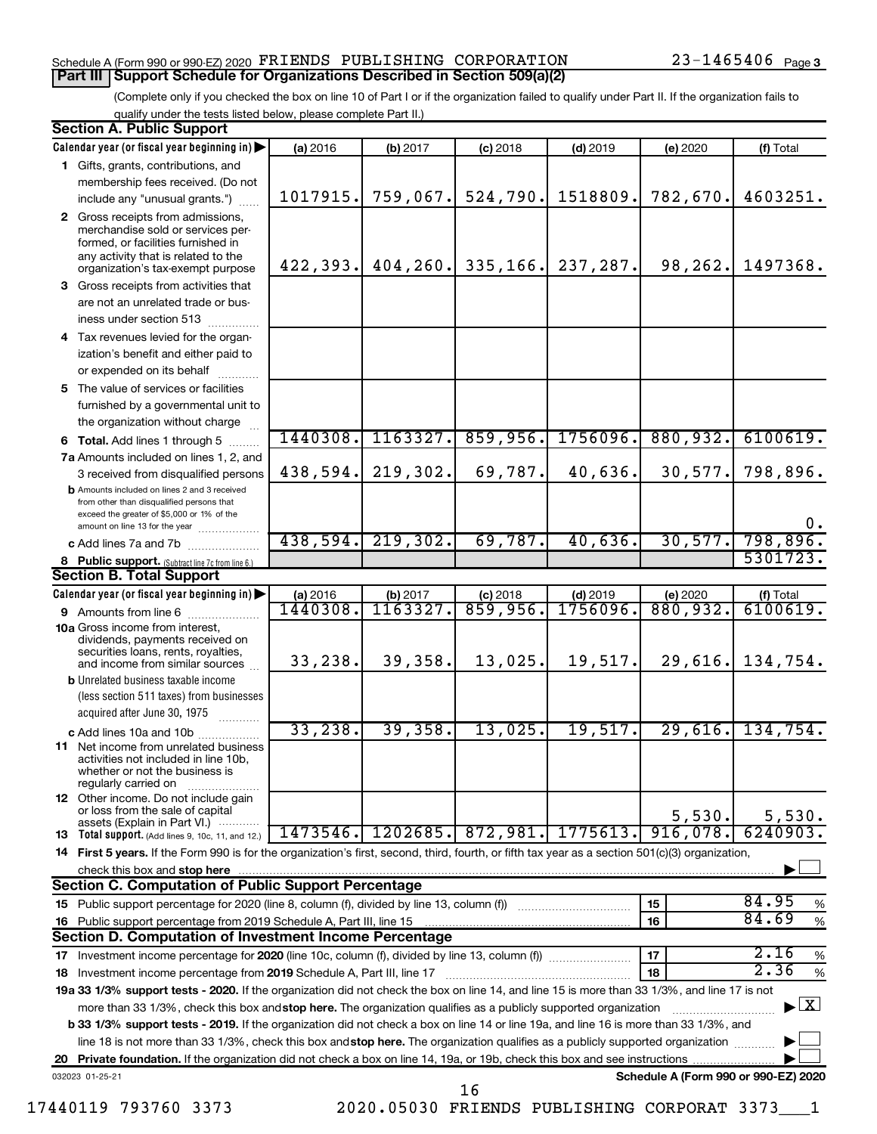#### Schedule A (Form 990 or 990-EZ) 2020 Page FRIENDS PUBLISHING CORPORATION 23-1465406 **Part III Support Schedule for Organizations Described in Section 509(a)(2)**

(Complete only if you checked the box on line 10 of Part I or if the organization failed to qualify under Part II. If the organization fails to qualify under the tests listed below, please complete Part II.)

| <b>Section A. Public Support</b> |                                                                                                                                                                                                                                                                                                              |           |           |            |                  |                                      |                        |  |  |  |
|----------------------------------|--------------------------------------------------------------------------------------------------------------------------------------------------------------------------------------------------------------------------------------------------------------------------------------------------------------|-----------|-----------|------------|------------------|--------------------------------------|------------------------|--|--|--|
|                                  | Calendar year (or fiscal year beginning in)                                                                                                                                                                                                                                                                  | (a) 2016  | (b) 2017  | $(c)$ 2018 | $(d)$ 2019       | (e) 2020                             | (f) Total              |  |  |  |
|                                  | 1 Gifts, grants, contributions, and                                                                                                                                                                                                                                                                          |           |           |            |                  |                                      |                        |  |  |  |
|                                  | membership fees received. (Do not                                                                                                                                                                                                                                                                            |           |           |            |                  |                                      |                        |  |  |  |
|                                  | include any "unusual grants.")                                                                                                                                                                                                                                                                               | 1017915.  | 759,067.  | 524,790.   | 1518809.         | 782,670.                             | 4603251.               |  |  |  |
|                                  | 2 Gross receipts from admissions,<br>merchandise sold or services per-<br>formed, or facilities furnished in<br>any activity that is related to the<br>organization's tax-exempt purpose                                                                                                                     | 422, 393. | 404, 260. | 335, 166.  | 237,287.         | 98,262.                              | 1497368.               |  |  |  |
|                                  | 3 Gross receipts from activities that                                                                                                                                                                                                                                                                        |           |           |            |                  |                                      |                        |  |  |  |
|                                  | are not an unrelated trade or bus-                                                                                                                                                                                                                                                                           |           |           |            |                  |                                      |                        |  |  |  |
|                                  | iness under section 513                                                                                                                                                                                                                                                                                      |           |           |            |                  |                                      |                        |  |  |  |
|                                  | 4 Tax revenues levied for the organ-                                                                                                                                                                                                                                                                         |           |           |            |                  |                                      |                        |  |  |  |
|                                  | ization's benefit and either paid to                                                                                                                                                                                                                                                                         |           |           |            |                  |                                      |                        |  |  |  |
|                                  | or expended on its behalf                                                                                                                                                                                                                                                                                    |           |           |            |                  |                                      |                        |  |  |  |
|                                  | 5 The value of services or facilities                                                                                                                                                                                                                                                                        |           |           |            |                  |                                      |                        |  |  |  |
|                                  | furnished by a governmental unit to                                                                                                                                                                                                                                                                          |           |           |            |                  |                                      |                        |  |  |  |
|                                  | the organization without charge                                                                                                                                                                                                                                                                              |           |           |            |                  |                                      |                        |  |  |  |
|                                  | <b>6 Total.</b> Add lines 1 through 5                                                                                                                                                                                                                                                                        | 1440308.  | 1163327.  | 859,956.   | 1756096.         | 880,932.                             | 6100619.               |  |  |  |
|                                  | 7a Amounts included on lines 1, 2, and                                                                                                                                                                                                                                                                       |           |           |            |                  |                                      |                        |  |  |  |
|                                  | 3 received from disqualified persons                                                                                                                                                                                                                                                                         | 438,594.  | 219,302.  | 69,787.    | 40,636.          | 30,577.                              | 798,896.               |  |  |  |
|                                  | <b>b</b> Amounts included on lines 2 and 3 received<br>from other than disqualified persons that<br>exceed the greater of \$5,000 or 1% of the<br>amount on line 13 for the year                                                                                                                             |           |           |            |                  |                                      | 0.                     |  |  |  |
|                                  | c Add lines 7a and 7b                                                                                                                                                                                                                                                                                        | 438,594.  | 219,302.  | 69,787.    | 40,636.          | 30,577.                              | 798,896.               |  |  |  |
|                                  | 8 Public support. (Subtract line 7c from line 6.)                                                                                                                                                                                                                                                            |           |           |            |                  |                                      | 5301723.               |  |  |  |
|                                  | <b>Section B. Total Support</b>                                                                                                                                                                                                                                                                              |           |           |            |                  |                                      |                        |  |  |  |
|                                  | Calendar year (or fiscal year beginning in)                                                                                                                                                                                                                                                                  | (a) 2016  | (b) 2017  | $(c)$ 2018 | $(d)$ 2019       | (e) 2020                             | (f) Total              |  |  |  |
|                                  | 9 Amounts from line 6                                                                                                                                                                                                                                                                                        | 1440308.  | 1163327   | 859,956.   | 1756096 <b>.</b> | 880,932.                             | $\overline{6100619}$ . |  |  |  |
|                                  | <b>10a</b> Gross income from interest,<br>dividends, payments received on<br>securities loans, rents, royalties,<br>and income from similar sources                                                                                                                                                          | 33,238.   | 39,358.   | 13,025.    | 19,517.          | 29,616.                              | 134,754.               |  |  |  |
|                                  | <b>b</b> Unrelated business taxable income                                                                                                                                                                                                                                                                   |           |           |            |                  |                                      |                        |  |  |  |
|                                  | (less section 511 taxes) from businesses<br>acquired after June 30, 1975                                                                                                                                                                                                                                     |           |           |            |                  |                                      |                        |  |  |  |
|                                  | c Add lines 10a and 10b                                                                                                                                                                                                                                                                                      | 33, 238.  | 39, 358.  | 13,025.    | 19,517.          | 29,616.                              | 134,754.               |  |  |  |
|                                  | <b>11</b> Net income from unrelated business<br>activities not included in line 10b,<br>whether or not the business is<br>regularly carried on                                                                                                                                                               |           |           |            |                  |                                      |                        |  |  |  |
|                                  | <b>12</b> Other income. Do not include gain<br>or loss from the sale of capital<br>assets (Explain in Part VI.)                                                                                                                                                                                              |           |           |            |                  | 5,530.                               | 5,530.                 |  |  |  |
|                                  | <b>13</b> Total support. (Add lines 9, 10c, 11, and 12.)                                                                                                                                                                                                                                                     | 1473546.  | 1202685.  | 872,981.   | 1775613.         | 916,078.                             | 6240903.               |  |  |  |
|                                  | 14 First 5 years. If the Form 990 is for the organization's first, second, third, fourth, or fifth tax year as a section 501(c)(3) organization,                                                                                                                                                             |           |           |            |                  |                                      |                        |  |  |  |
|                                  | check this box and stop here                                                                                                                                                                                                                                                                                 |           |           |            |                  |                                      |                        |  |  |  |
|                                  | <b>Section C. Computation of Public Support Percentage</b>                                                                                                                                                                                                                                                   |           |           |            |                  |                                      |                        |  |  |  |
|                                  |                                                                                                                                                                                                                                                                                                              |           |           |            |                  | 15                                   | 84.95<br>%             |  |  |  |
|                                  | 16 Public support percentage from 2019 Schedule A, Part III, line 15                                                                                                                                                                                                                                         |           |           |            |                  | 16                                   | 84.69<br>$\%$          |  |  |  |
|                                  | Section D. Computation of Investment Income Percentage<br>2.16                                                                                                                                                                                                                                               |           |           |            |                  |                                      |                        |  |  |  |
|                                  |                                                                                                                                                                                                                                                                                                              |           |           |            |                  | 17                                   | $\%$<br>2.36           |  |  |  |
|                                  | 18 Investment income percentage from 2019 Schedule A, Part III, line 17                                                                                                                                                                                                                                      |           |           |            |                  | 18                                   | $\%$                   |  |  |  |
|                                  | 19a 33 1/3% support tests - 2020. If the organization did not check the box on line 14, and line 15 is more than 33 1/3%, and line 17 is not<br>$\blacktriangleright$ $\boxed{\text{X}}$<br>more than 33 1/3%, check this box and stop here. The organization qualifies as a publicly supported organization |           |           |            |                  |                                      |                        |  |  |  |
|                                  |                                                                                                                                                                                                                                                                                                              |           |           |            |                  |                                      |                        |  |  |  |
|                                  | <b>b 33 1/3% support tests - 2019.</b> If the organization did not check a box on line 14 or line 19a, and line 16 is more than 33 1/3%, and                                                                                                                                                                 |           |           |            |                  |                                      |                        |  |  |  |
|                                  | line 18 is not more than 33 1/3%, check this box and stop here. The organization qualifies as a publicly supported organization                                                                                                                                                                              |           |           |            |                  |                                      |                        |  |  |  |
|                                  |                                                                                                                                                                                                                                                                                                              |           |           |            |                  | Schedule A (Form 990 or 990-EZ) 2020 |                        |  |  |  |
|                                  | 032023 01-25-21                                                                                                                                                                                                                                                                                              |           |           | 16         |                  |                                      |                        |  |  |  |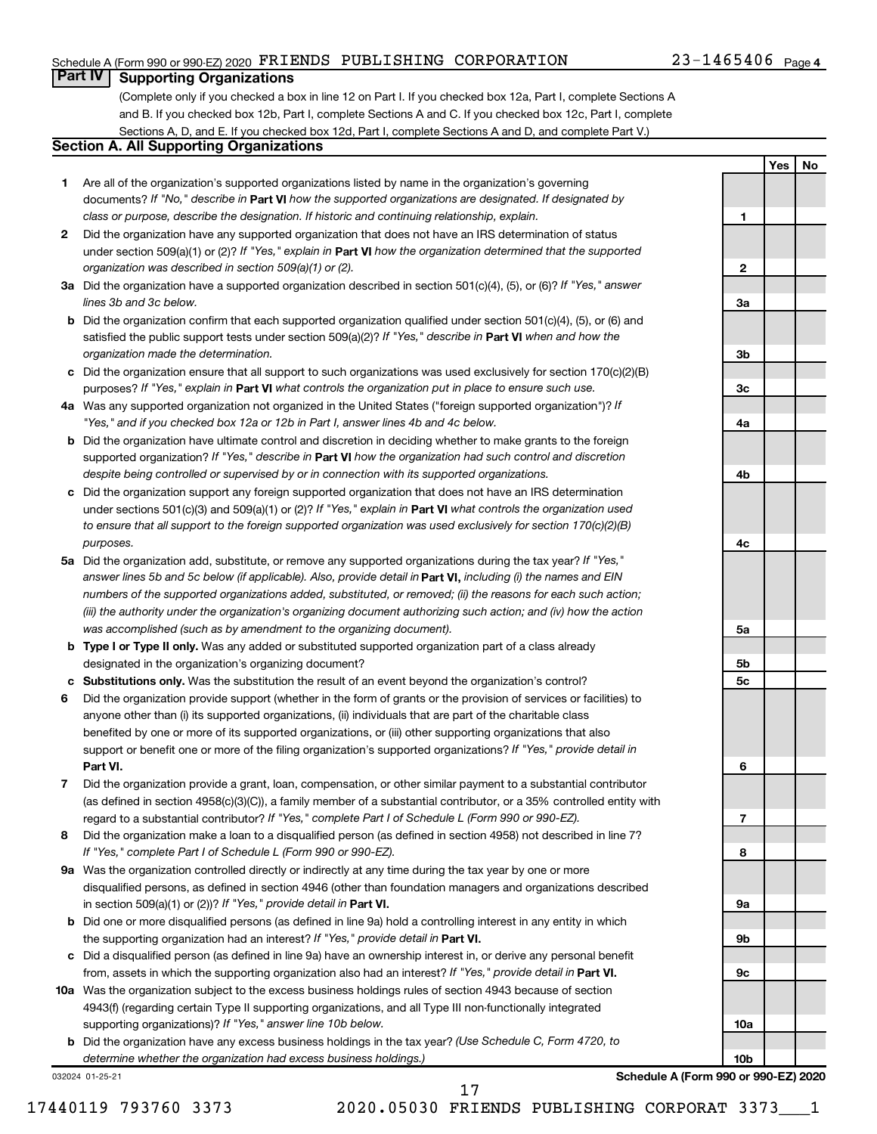#### Schedule A (Form 990 or 990-EZ) 2020 Page FRIENDS PUBLISHING CORPORATION 23-1465406

#### 23-1465406 Page 4

**1**

**2**

**3a**

**3b**

**3c**

**4a**

**4b**

**4c**

**5a**

**5b 5c**

**6**

**7**

**8**

**9a**

**9b**

**9c**

**Yes No**

#### **Part IV Supporting Organizations**

(Complete only if you checked a box in line 12 on Part I. If you checked box 12a, Part I, complete Sections A and B. If you checked box 12b, Part I, complete Sections A and C. If you checked box 12c, Part I, complete Sections A, D, and E. If you checked box 12d, Part I, complete Sections A and D, and complete Part V.)

#### **Section A. All Supporting Organizations**

- **1** Are all of the organization's supported organizations listed by name in the organization's governing documents? If "No," describe in Part VI how the supported organizations are designated. If designated by *class or purpose, describe the designation. If historic and continuing relationship, explain.*
- **2** Did the organization have any supported organization that does not have an IRS determination of status under section 509(a)(1) or (2)? If "Yes," explain in Part **VI** how the organization determined that the supported *organization was described in section 509(a)(1) or (2).*
- **3a** Did the organization have a supported organization described in section 501(c)(4), (5), or (6)? If "Yes," answer *lines 3b and 3c below.*
- **b** Did the organization confirm that each supported organization qualified under section 501(c)(4), (5), or (6) and satisfied the public support tests under section 509(a)(2)? If "Yes," describe in Part VI when and how the *organization made the determination.*
- **c** Did the organization ensure that all support to such organizations was used exclusively for section 170(c)(2)(B) purposes? If "Yes," explain in Part VI what controls the organization put in place to ensure such use.
- **4 a** *If* Was any supported organization not organized in the United States ("foreign supported organization")? *"Yes," and if you checked box 12a or 12b in Part I, answer lines 4b and 4c below.*
- **b** Did the organization have ultimate control and discretion in deciding whether to make grants to the foreign supported organization? If "Yes," describe in Part VI how the organization had such control and discretion *despite being controlled or supervised by or in connection with its supported organizations.*
- **c** Did the organization support any foreign supported organization that does not have an IRS determination under sections 501(c)(3) and 509(a)(1) or (2)? If "Yes," explain in Part VI what controls the organization used *to ensure that all support to the foreign supported organization was used exclusively for section 170(c)(2)(B) purposes.*
- **5a** Did the organization add, substitute, or remove any supported organizations during the tax year? If "Yes," answer lines 5b and 5c below (if applicable). Also, provide detail in **Part VI,** including (i) the names and EIN *numbers of the supported organizations added, substituted, or removed; (ii) the reasons for each such action; (iii) the authority under the organization's organizing document authorizing such action; and (iv) how the action was accomplished (such as by amendment to the organizing document).*
- **b Type I or Type II only.** Was any added or substituted supported organization part of a class already designated in the organization's organizing document?
- **c Substitutions only.**  Was the substitution the result of an event beyond the organization's control?
- **6** Did the organization provide support (whether in the form of grants or the provision of services or facilities) to **Part VI.** support or benefit one or more of the filing organization's supported organizations? If "Yes," provide detail in anyone other than (i) its supported organizations, (ii) individuals that are part of the charitable class benefited by one or more of its supported organizations, or (iii) other supporting organizations that also
- **7** Did the organization provide a grant, loan, compensation, or other similar payment to a substantial contributor regard to a substantial contributor? If "Yes," complete Part I of Schedule L (Form 990 or 990-EZ). (as defined in section 4958(c)(3)(C)), a family member of a substantial contributor, or a 35% controlled entity with
- **8** Did the organization make a loan to a disqualified person (as defined in section 4958) not described in line 7? *If "Yes," complete Part I of Schedule L (Form 990 or 990-EZ).*
- **9 a** Was the organization controlled directly or indirectly at any time during the tax year by one or more in section 509(a)(1) or (2))? If "Yes," provide detail in **Part VI.** disqualified persons, as defined in section 4946 (other than foundation managers and organizations described
- **b** Did one or more disqualified persons (as defined in line 9a) hold a controlling interest in any entity in which the supporting organization had an interest? If "Yes," provide detail in Part VI.
- **c** Did a disqualified person (as defined in line 9a) have an ownership interest in, or derive any personal benefit from, assets in which the supporting organization also had an interest? If "Yes," provide detail in Part VI.
- **10 a** Was the organization subject to the excess business holdings rules of section 4943 because of section supporting organizations)? If "Yes," answer line 10b below. 4943(f) (regarding certain Type II supporting organizations, and all Type III non-functionally integrated
	- **b** Did the organization have any excess business holdings in the tax year? (Use Schedule C, Form 4720, to *determine whether the organization had excess business holdings.)*

032024 01-25-21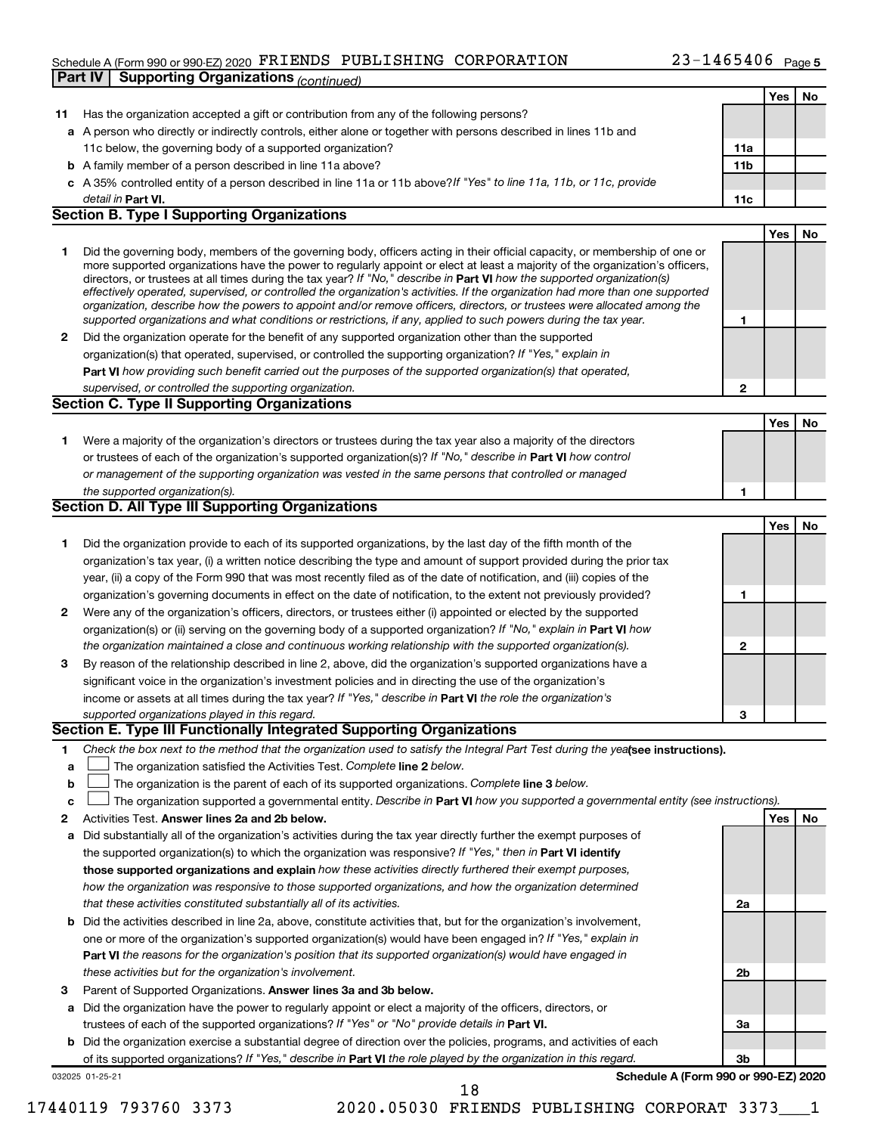#### Schedule A (Form 990 or 990-EZ) 2020 Page FRIENDS PUBLISHING CORPORATION 23-1465406 **Part IV Supporting Organizations** *(continued)*

|    |                                                                                                                                                                                                                                              |                | Yes | No |
|----|----------------------------------------------------------------------------------------------------------------------------------------------------------------------------------------------------------------------------------------------|----------------|-----|----|
| 11 | Has the organization accepted a gift or contribution from any of the following persons?                                                                                                                                                      |                |     |    |
|    | a A person who directly or indirectly controls, either alone or together with persons described in lines 11b and                                                                                                                             |                |     |    |
|    | 11c below, the governing body of a supported organization?                                                                                                                                                                                   | 11a            |     |    |
|    | <b>b</b> A family member of a person described in line 11a above?                                                                                                                                                                            | 11b            |     |    |
|    | c A 35% controlled entity of a person described in line 11a or 11b above? If "Yes" to line 11a, 11b, or 11c, provide                                                                                                                         |                |     |    |
|    | detail in Part VI.                                                                                                                                                                                                                           | 11c            |     |    |
|    | <b>Section B. Type I Supporting Organizations</b>                                                                                                                                                                                            |                |     |    |
|    |                                                                                                                                                                                                                                              |                | Yes | No |
| 1  | Did the governing body, members of the governing body, officers acting in their official capacity, or membership of one or                                                                                                                   |                |     |    |
|    | more supported organizations have the power to regularly appoint or elect at least a majority of the organization's officers,                                                                                                                |                |     |    |
|    | directors, or trustees at all times during the tax year? If "No," describe in Part VI how the supported organization(s)                                                                                                                      |                |     |    |
|    | effectively operated, supervised, or controlled the organization's activities. If the organization had more than one supported                                                                                                               |                |     |    |
|    | organization, describe how the powers to appoint and/or remove officers, directors, or trustees were allocated among the<br>supported organizations and what conditions or restrictions, if any, applied to such powers during the tax year. |                |     |    |
|    |                                                                                                                                                                                                                                              | 1              |     |    |
| 2  | Did the organization operate for the benefit of any supported organization other than the supported                                                                                                                                          |                |     |    |
|    | organization(s) that operated, supervised, or controlled the supporting organization? If "Yes," explain in                                                                                                                                   |                |     |    |
|    | Part VI how providing such benefit carried out the purposes of the supported organization(s) that operated,                                                                                                                                  |                |     |    |
|    | supervised, or controlled the supporting organization.                                                                                                                                                                                       | $\mathbf{2}$   |     |    |
|    | <b>Section C. Type II Supporting Organizations</b>                                                                                                                                                                                           |                |     |    |
|    |                                                                                                                                                                                                                                              |                | Yes | No |
| 1  | Were a majority of the organization's directors or trustees during the tax year also a majority of the directors                                                                                                                             |                |     |    |
|    | or trustees of each of the organization's supported organization(s)? If "No," describe in Part VI how control                                                                                                                                |                |     |    |
|    | or management of the supporting organization was vested in the same persons that controlled or managed                                                                                                                                       |                |     |    |
|    | the supported organization(s).                                                                                                                                                                                                               | 1              |     |    |
|    | Section D. All Type III Supporting Organizations                                                                                                                                                                                             |                |     |    |
|    |                                                                                                                                                                                                                                              |                | Yes | No |
| 1  | Did the organization provide to each of its supported organizations, by the last day of the fifth month of the                                                                                                                               |                |     |    |
|    | organization's tax year, (i) a written notice describing the type and amount of support provided during the prior tax                                                                                                                        |                |     |    |
|    | year, (ii) a copy of the Form 990 that was most recently filed as of the date of notification, and (iii) copies of the                                                                                                                       |                |     |    |
|    | organization's governing documents in effect on the date of notification, to the extent not previously provided?                                                                                                                             | 1              |     |    |
| 2  | Were any of the organization's officers, directors, or trustees either (i) appointed or elected by the supported                                                                                                                             |                |     |    |
|    | organization(s) or (ii) serving on the governing body of a supported organization? If "No," explain in Part VI how                                                                                                                           |                |     |    |
|    | the organization maintained a close and continuous working relationship with the supported organization(s).                                                                                                                                  | $\mathbf{2}$   |     |    |
| 3  | By reason of the relationship described in line 2, above, did the organization's supported organizations have a                                                                                                                              |                |     |    |
|    | significant voice in the organization's investment policies and in directing the use of the organization's                                                                                                                                   |                |     |    |
|    | income or assets at all times during the tax year? If "Yes," describe in Part VI the role the organization's                                                                                                                                 |                |     |    |
|    | supported organizations played in this regard.                                                                                                                                                                                               |                |     |    |
|    | Section E. Type III Functionally Integrated Supporting Organizations                                                                                                                                                                         | 3              |     |    |
|    |                                                                                                                                                                                                                                              |                |     |    |
| 1. | Check the box next to the method that the organization used to satisfy the Integral Part Test during the yealsee instructions).                                                                                                              |                |     |    |
| а  | The organization satisfied the Activities Test. Complete line 2 below.                                                                                                                                                                       |                |     |    |
| b  | The organization is the parent of each of its supported organizations. Complete line 3 below.                                                                                                                                                |                |     |    |
| c  | The organization supported a governmental entity. Describe in Part VI how you supported a governmental entity (see instructions).                                                                                                            |                |     |    |
| 2  | Activities Test. Answer lines 2a and 2b below.                                                                                                                                                                                               |                | Yes | No |
| а  | Did substantially all of the organization's activities during the tax year directly further the exempt purposes of                                                                                                                           |                |     |    |
|    | the supported organization(s) to which the organization was responsive? If "Yes," then in Part VI identify                                                                                                                                   |                |     |    |
|    | those supported organizations and explain how these activities directly furthered their exempt purposes,                                                                                                                                     |                |     |    |
|    | how the organization was responsive to those supported organizations, and how the organization determined                                                                                                                                    |                |     |    |
|    | that these activities constituted substantially all of its activities.                                                                                                                                                                       | 2a             |     |    |
| b  | Did the activities described in line 2a, above, constitute activities that, but for the organization's involvement,                                                                                                                          |                |     |    |
|    | one or more of the organization's supported organization(s) would have been engaged in? If "Yes," explain in                                                                                                                                 |                |     |    |
|    | <b>Part VI</b> the reasons for the organization's position that its supported organization(s) would have engaged in                                                                                                                          |                |     |    |
|    | these activities but for the organization's involvement.                                                                                                                                                                                     | 2b             |     |    |
| З  | Parent of Supported Organizations. Answer lines 3a and 3b below.                                                                                                                                                                             |                |     |    |
| а  | Did the organization have the power to regularly appoint or elect a majority of the officers, directors, or                                                                                                                                  |                |     |    |
|    | trustees of each of the supported organizations? If "Yes" or "No" provide details in Part VI.                                                                                                                                                | За             |     |    |
| b  | Did the organization exercise a substantial degree of direction over the policies, programs, and activities of each                                                                                                                          |                |     |    |
|    | of its supported organizations? If "Yes," describe in Part VI the role played by the organization in this regard.                                                                                                                            | 3 <sub>b</sub> |     |    |
|    | Schedule A (Form 990 or 990-EZ) 2020<br>032025 01-25-21                                                                                                                                                                                      |                |     |    |
|    | 18                                                                                                                                                                                                                                           |                |     |    |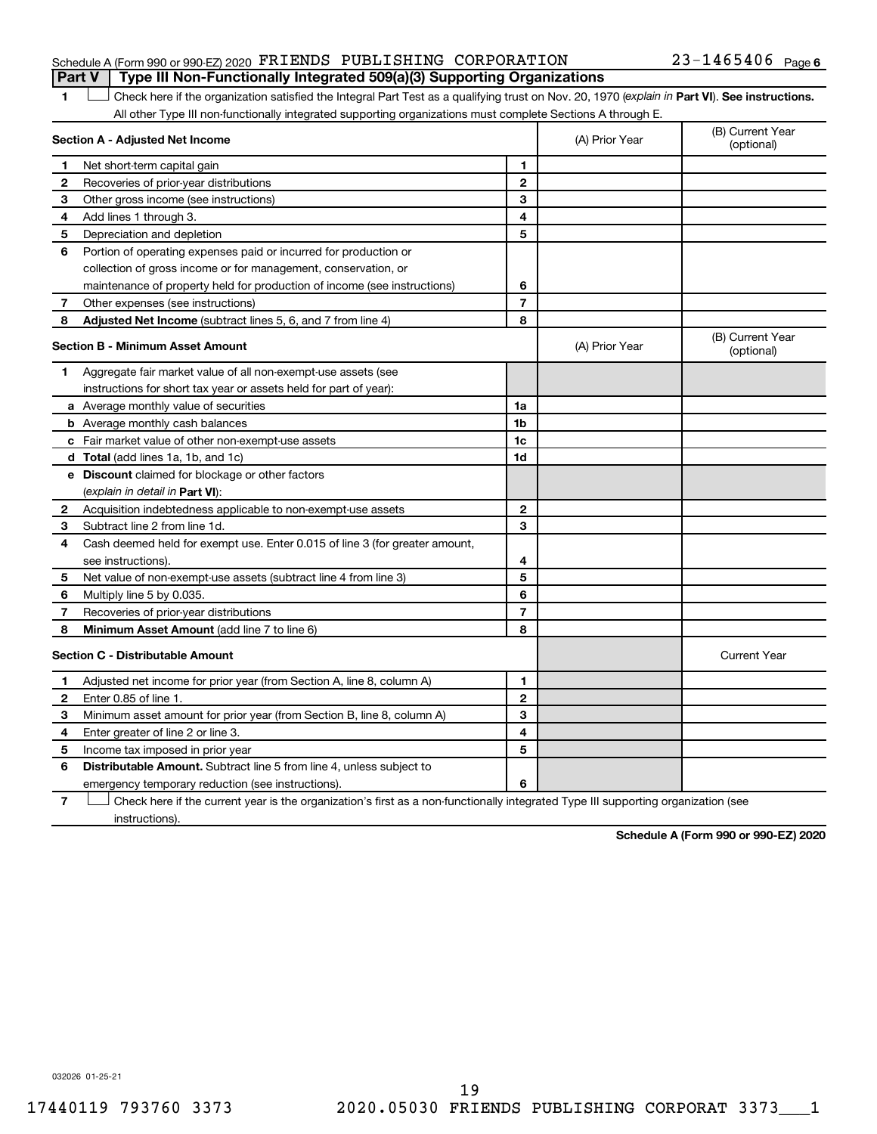#### Schedule A (Form 990 or 990-EZ) 2020 Page FRIENDS PUBLISHING CORPORATION 23-1465406 **Part V Type III Non-Functionally Integrated 509(a)(3) Supporting Organizations**

1 **Letter See instructions.** Check here if the organization satisfied the Integral Part Test as a qualifying trust on Nov. 20, 1970 (*explain in* Part **VI**). See instructions. All other Type III non-functionally integrated supporting organizations must complete Sections A through E.

|              | Section A - Adjusted Net Income                                                                                                   |                | (A) Prior Year | (B) Current Year<br>(optional) |
|--------------|-----------------------------------------------------------------------------------------------------------------------------------|----------------|----------------|--------------------------------|
| 1            | Net short-term capital gain                                                                                                       | 1              |                |                                |
| 2            | Recoveries of prior-year distributions                                                                                            | $\mathbf{2}$   |                |                                |
| 3            | Other gross income (see instructions)                                                                                             | 3              |                |                                |
| 4            | Add lines 1 through 3.                                                                                                            | 4              |                |                                |
| 5            | Depreciation and depletion                                                                                                        | 5              |                |                                |
| 6            | Portion of operating expenses paid or incurred for production or                                                                  |                |                |                                |
|              | collection of gross income or for management, conservation, or                                                                    |                |                |                                |
|              | maintenance of property held for production of income (see instructions)                                                          | 6              |                |                                |
| 7            | Other expenses (see instructions)                                                                                                 | $\overline{7}$ |                |                                |
| 8            | Adjusted Net Income (subtract lines 5, 6, and 7 from line 4)                                                                      | 8              |                |                                |
|              | <b>Section B - Minimum Asset Amount</b>                                                                                           |                | (A) Prior Year | (B) Current Year<br>(optional) |
| 1.           | Aggregate fair market value of all non-exempt-use assets (see                                                                     |                |                |                                |
|              | instructions for short tax year or assets held for part of year):                                                                 |                |                |                                |
|              | <b>a</b> Average monthly value of securities                                                                                      | 1a             |                |                                |
|              | <b>b</b> Average monthly cash balances                                                                                            | 1 <sub>b</sub> |                |                                |
|              | c Fair market value of other non-exempt-use assets                                                                                | 1c             |                |                                |
|              | d Total (add lines 1a, 1b, and 1c)                                                                                                | 1d             |                |                                |
|              | e Discount claimed for blockage or other factors                                                                                  |                |                |                                |
|              | (explain in detail in <b>Part VI</b> ):                                                                                           |                |                |                                |
| 2            | Acquisition indebtedness applicable to non-exempt-use assets                                                                      | 2              |                |                                |
| 3            | Subtract line 2 from line 1d.                                                                                                     | 3              |                |                                |
| 4            | Cash deemed held for exempt use. Enter 0.015 of line 3 (for greater amount,                                                       |                |                |                                |
|              | see instructions).                                                                                                                | 4              |                |                                |
| 5            | Net value of non-exempt-use assets (subtract line 4 from line 3)                                                                  | 5              |                |                                |
| 6            | Multiply line 5 by 0.035.                                                                                                         | 6              |                |                                |
| 7            | Recoveries of prior-year distributions                                                                                            | $\overline{7}$ |                |                                |
| 8            | <b>Minimum Asset Amount (add line 7 to line 6)</b>                                                                                | 8              |                |                                |
|              | <b>Section C - Distributable Amount</b>                                                                                           |                |                | <b>Current Year</b>            |
| 1.           | Adjusted net income for prior year (from Section A, line 8, column A)                                                             | $\mathbf{1}$   |                |                                |
| $\mathbf{2}$ | Enter 0.85 of line 1.                                                                                                             | $\mathbf{2}$   |                |                                |
| З            | Minimum asset amount for prior year (from Section B, line 8, column A)                                                            | 3              |                |                                |
| 4            | Enter greater of line 2 or line 3.                                                                                                | 4              |                |                                |
| 5            | Income tax imposed in prior year                                                                                                  | 5              |                |                                |
| 6            | <b>Distributable Amount.</b> Subtract line 5 from line 4, unless subject to                                                       |                |                |                                |
|              | emergency temporary reduction (see instructions).                                                                                 | 6              |                |                                |
| 7            | Check here if the current year is the organization's first as a non-functionally integrated Type III supporting organization (see |                |                |                                |

instructions).

**Schedule A (Form 990 or 990-EZ) 2020**

032026 01-25-21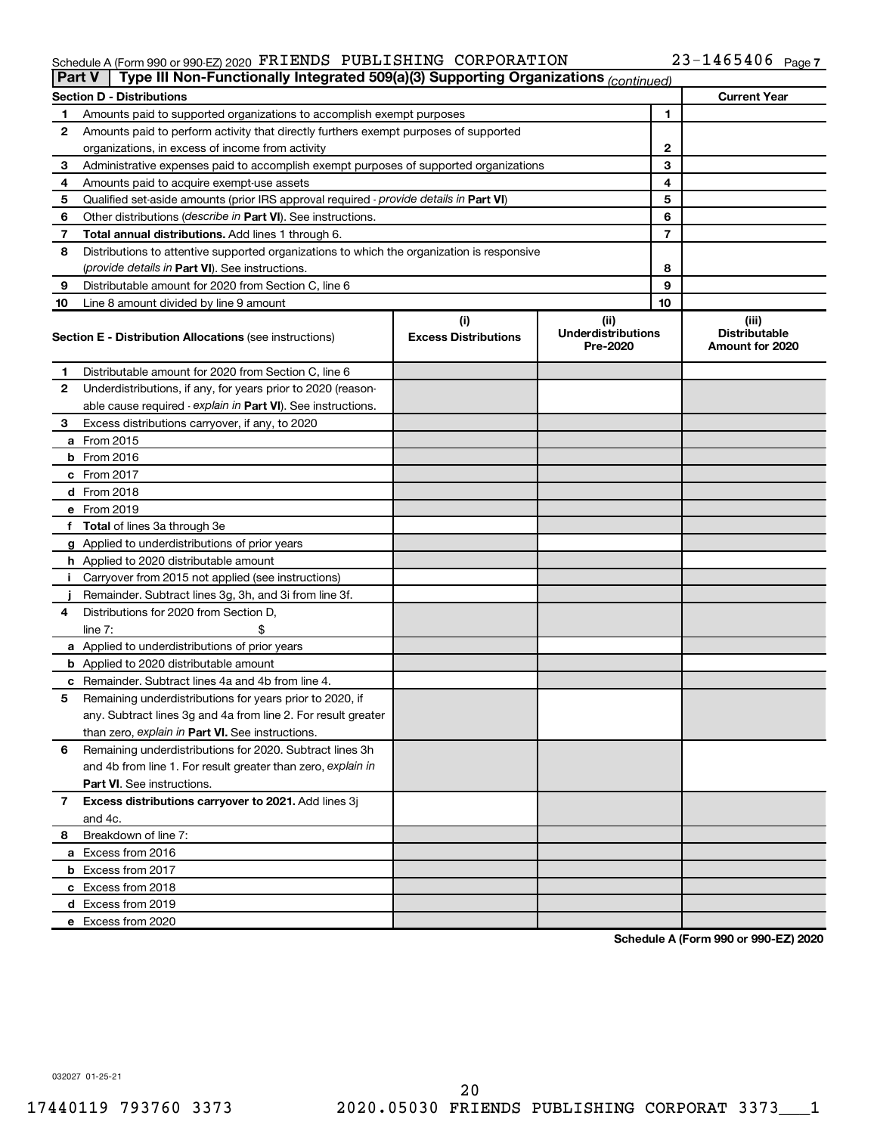#### $\footnotesize$  Schedule A (Form 990 or 990-EZ) 2020 PKLENDS PUBLISHING  $\footnotesize\substack{\text{CORPORATION}\ \text{A} \sim 2.3-1465406\ \text{Page}}$ FRIENDS PUBLISHING CORPORATION 23-1465406

| <b>Part V</b> | Type III Non-Functionally Integrated 509(a)(3) Supporting Organizations (continued)        |                             |                                       |    |                                         |
|---------------|--------------------------------------------------------------------------------------------|-----------------------------|---------------------------------------|----|-----------------------------------------|
|               | <b>Section D - Distributions</b>                                                           |                             |                                       |    | <b>Current Year</b>                     |
| 1             | Amounts paid to supported organizations to accomplish exempt purposes                      |                             |                                       | 1  |                                         |
| 2             | Amounts paid to perform activity that directly furthers exempt purposes of supported       |                             |                                       |    |                                         |
|               | organizations, in excess of income from activity                                           |                             |                                       | 2  |                                         |
| 3             | Administrative expenses paid to accomplish exempt purposes of supported organizations      |                             |                                       | 3  |                                         |
| 4             | Amounts paid to acquire exempt-use assets                                                  |                             |                                       | 4  |                                         |
| 5             | Qualified set-aside amounts (prior IRS approval required - provide details in Part VI)     |                             |                                       | 5  |                                         |
| 6             | Other distributions ( <i>describe in Part VI</i> ). See instructions.                      |                             |                                       | 6  |                                         |
| 7             | Total annual distributions. Add lines 1 through 6.                                         |                             |                                       | 7  |                                         |
| 8             | Distributions to attentive supported organizations to which the organization is responsive |                             |                                       |    |                                         |
|               | (provide details in Part VI). See instructions.                                            |                             |                                       | 8  |                                         |
| 9             | Distributable amount for 2020 from Section C, line 6                                       |                             |                                       | 9  |                                         |
| 10            | Line 8 amount divided by line 9 amount                                                     |                             |                                       | 10 |                                         |
|               |                                                                                            | (i)                         | (ii)                                  |    | (iii)                                   |
|               | <b>Section E - Distribution Allocations (see instructions)</b>                             | <b>Excess Distributions</b> | <b>Underdistributions</b><br>Pre-2020 |    | <b>Distributable</b><br>Amount for 2020 |
| 1             | Distributable amount for 2020 from Section C, line 6                                       |                             |                                       |    |                                         |
| 2             | Underdistributions, if any, for years prior to 2020 (reason-                               |                             |                                       |    |                                         |
|               | able cause required - explain in Part VI). See instructions.                               |                             |                                       |    |                                         |
| 3             | Excess distributions carryover, if any, to 2020                                            |                             |                                       |    |                                         |
|               | a From 2015                                                                                |                             |                                       |    |                                         |
|               | $b$ From 2016                                                                              |                             |                                       |    |                                         |
|               | c From 2017                                                                                |                             |                                       |    |                                         |
|               | <b>d</b> From 2018                                                                         |                             |                                       |    |                                         |
|               | e From 2019                                                                                |                             |                                       |    |                                         |
|               | f Total of lines 3a through 3e                                                             |                             |                                       |    |                                         |
|               | g Applied to underdistributions of prior years                                             |                             |                                       |    |                                         |
|               | <b>h</b> Applied to 2020 distributable amount                                              |                             |                                       |    |                                         |
| Ť.            | Carryover from 2015 not applied (see instructions)                                         |                             |                                       |    |                                         |
|               | Remainder. Subtract lines 3g, 3h, and 3i from line 3f.                                     |                             |                                       |    |                                         |
| 4             | Distributions for 2020 from Section D,                                                     |                             |                                       |    |                                         |
|               | line 7:                                                                                    |                             |                                       |    |                                         |
|               | a Applied to underdistributions of prior years                                             |                             |                                       |    |                                         |
|               | <b>b</b> Applied to 2020 distributable amount                                              |                             |                                       |    |                                         |
|               | c Remainder. Subtract lines 4a and 4b from line 4.                                         |                             |                                       |    |                                         |
| 5             | Remaining underdistributions for years prior to 2020, if                                   |                             |                                       |    |                                         |
|               | any. Subtract lines 3g and 4a from line 2. For result greater                              |                             |                                       |    |                                         |
|               | than zero, explain in Part VI. See instructions.                                           |                             |                                       |    |                                         |
| 6             | Remaining underdistributions for 2020. Subtract lines 3h                                   |                             |                                       |    |                                         |
|               | and 4b from line 1. For result greater than zero, explain in                               |                             |                                       |    |                                         |
|               | <b>Part VI.</b> See instructions.                                                          |                             |                                       |    |                                         |
| 7             | Excess distributions carryover to 2021. Add lines 3j                                       |                             |                                       |    |                                         |
|               | and 4c.                                                                                    |                             |                                       |    |                                         |
| 8             | Breakdown of line 7:                                                                       |                             |                                       |    |                                         |
|               | a Excess from 2016                                                                         |                             |                                       |    |                                         |
|               | <b>b</b> Excess from 2017                                                                  |                             |                                       |    |                                         |
|               | c Excess from 2018                                                                         |                             |                                       |    |                                         |
|               |                                                                                            |                             |                                       |    |                                         |
|               | d Excess from 2019<br>e Excess from 2020                                                   |                             |                                       |    |                                         |
|               |                                                                                            |                             |                                       |    |                                         |

**Schedule A (Form 990 or 990-EZ) 2020**

032027 01-25-21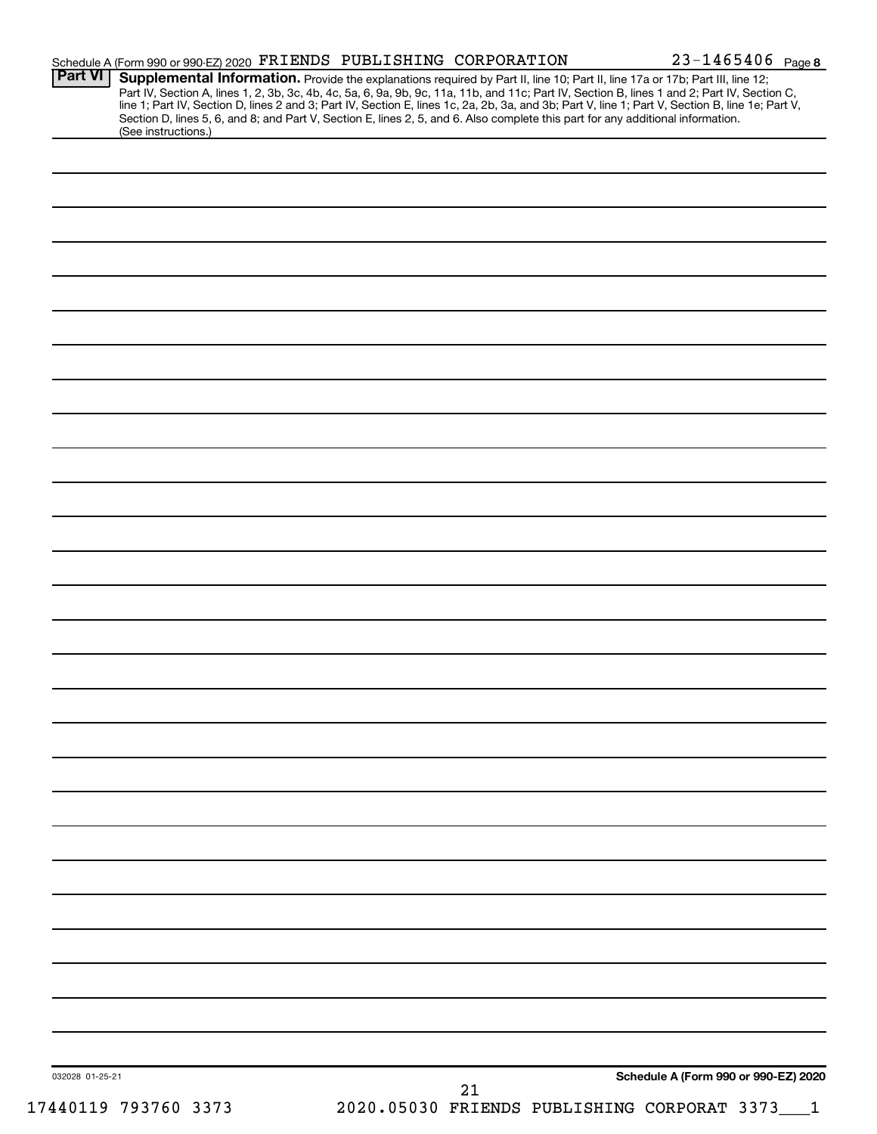| <b>Part VI</b>       | Schedule A (Form 990 or 990-EZ) 2020 FRIENDS PUBLISHING CORPORATION<br>Supplemental Information. Provide the explanations required by Part II, line 10; Part II, line 17a or 17b; Part III, line 12; | $23 - 1465406$ Page 8                |
|----------------------|------------------------------------------------------------------------------------------------------------------------------------------------------------------------------------------------------|--------------------------------------|
|                      | Part IV, Section A, lines 1, 2, 3b, 3c, 4b, 4c, 5a, 6, 9a, 9b, 9c, 11a, 11b, and 11c; Part IV, Section B, lines 1 and 2; Part IV, Section C,                                                         |                                      |
|                      | line 1; Part IV, Section D, lines 2 and 3; Part IV, Section E, lines 1c, 2a, 2b, 3a, and 3b; Part V, line 1; Part V, Section B, line 1e; Part V,                                                     |                                      |
| (See instructions.)  | Section D, lines 5, 6, and 8; and Part V, Section E, lines 2, 5, and 6. Also complete this part for any additional information.                                                                      |                                      |
|                      |                                                                                                                                                                                                      |                                      |
|                      |                                                                                                                                                                                                      |                                      |
|                      |                                                                                                                                                                                                      |                                      |
|                      |                                                                                                                                                                                                      |                                      |
|                      |                                                                                                                                                                                                      |                                      |
|                      |                                                                                                                                                                                                      |                                      |
|                      |                                                                                                                                                                                                      |                                      |
|                      |                                                                                                                                                                                                      |                                      |
|                      |                                                                                                                                                                                                      |                                      |
|                      |                                                                                                                                                                                                      |                                      |
|                      |                                                                                                                                                                                                      |                                      |
|                      |                                                                                                                                                                                                      |                                      |
|                      |                                                                                                                                                                                                      |                                      |
|                      |                                                                                                                                                                                                      |                                      |
|                      |                                                                                                                                                                                                      |                                      |
|                      |                                                                                                                                                                                                      |                                      |
|                      |                                                                                                                                                                                                      |                                      |
|                      |                                                                                                                                                                                                      |                                      |
|                      |                                                                                                                                                                                                      |                                      |
|                      |                                                                                                                                                                                                      |                                      |
|                      |                                                                                                                                                                                                      |                                      |
|                      |                                                                                                                                                                                                      |                                      |
|                      |                                                                                                                                                                                                      |                                      |
|                      |                                                                                                                                                                                                      |                                      |
|                      |                                                                                                                                                                                                      |                                      |
|                      |                                                                                                                                                                                                      |                                      |
|                      |                                                                                                                                                                                                      |                                      |
|                      |                                                                                                                                                                                                      |                                      |
|                      |                                                                                                                                                                                                      |                                      |
|                      |                                                                                                                                                                                                      |                                      |
|                      |                                                                                                                                                                                                      |                                      |
|                      |                                                                                                                                                                                                      |                                      |
|                      |                                                                                                                                                                                                      |                                      |
|                      |                                                                                                                                                                                                      |                                      |
|                      |                                                                                                                                                                                                      |                                      |
|                      |                                                                                                                                                                                                      |                                      |
|                      |                                                                                                                                                                                                      |                                      |
|                      |                                                                                                                                                                                                      |                                      |
|                      |                                                                                                                                                                                                      |                                      |
|                      |                                                                                                                                                                                                      |                                      |
|                      |                                                                                                                                                                                                      |                                      |
|                      |                                                                                                                                                                                                      |                                      |
|                      |                                                                                                                                                                                                      |                                      |
|                      |                                                                                                                                                                                                      |                                      |
|                      |                                                                                                                                                                                                      |                                      |
|                      |                                                                                                                                                                                                      |                                      |
|                      |                                                                                                                                                                                                      |                                      |
|                      |                                                                                                                                                                                                      |                                      |
|                      |                                                                                                                                                                                                      |                                      |
|                      |                                                                                                                                                                                                      |                                      |
|                      |                                                                                                                                                                                                      |                                      |
|                      |                                                                                                                                                                                                      |                                      |
| 032028 01-25-21      | 21                                                                                                                                                                                                   | Schedule A (Form 990 or 990-EZ) 2020 |
| 17440119 793760 3373 | 2020.05030 FRIENDS PUBLISHING CORPORAT 3373                                                                                                                                                          |                                      |
|                      |                                                                                                                                                                                                      |                                      |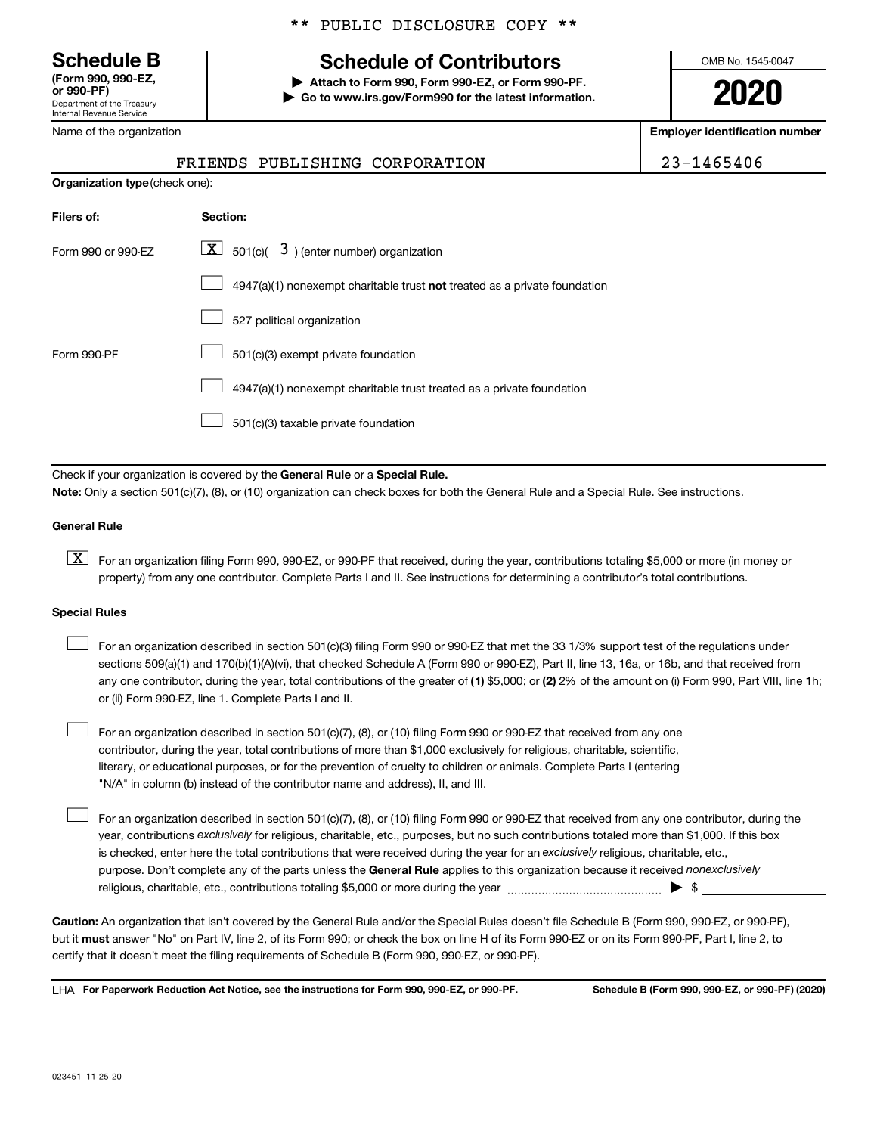**(Form 990, 990-EZ,**

Department of the Treasury Internal Revenue Service

Name of the organization

## **Schedule B Schedule of Contributors**

**or 990-PF) | Attach to Form 990, Form 990-EZ, or Form 990-PF. | Go to www.irs.gov/Form990 for the latest information.** OMB No. 1545-0047

**2020**

**Employer identification number**

| 23-1465406 |  |
|------------|--|
|------------|--|

| 23-1465406<br>FRIENDS PUBLISHING CORPORATION |
|----------------------------------------------|
|----------------------------------------------|

| <b>Organization type (check one):</b> |                                                                           |
|---------------------------------------|---------------------------------------------------------------------------|
| Filers of:                            | Section:                                                                  |
| Form 990 or 990-EZ                    | $ \mathbf{X} $ 501(c)( 3) (enter number) organization                     |
|                                       | 4947(a)(1) nonexempt charitable trust not treated as a private foundation |
|                                       | 527 political organization                                                |
| Form 990-PF                           | 501(c)(3) exempt private foundation                                       |
|                                       | 4947(a)(1) nonexempt charitable trust treated as a private foundation     |
|                                       | 501(c)(3) taxable private foundation                                      |

Check if your organization is covered by the General Rule or a Special Rule.

**Note:**  Only a section 501(c)(7), (8), or (10) organization can check boxes for both the General Rule and a Special Rule. See instructions.

#### **General Rule**

**K** For an organization filing Form 990, 990-EZ, or 990-PF that received, during the year, contributions totaling \$5,000 or more (in money or property) from any one contributor. Complete Parts I and II. See instructions for determining a contributor's total contributions.

#### **Special Rules**

 $\Box$ 

any one contributor, during the year, total contributions of the greater of (1) \$5,000; or (2) 2% of the amount on (i) Form 990, Part VIII, line 1h; For an organization described in section 501(c)(3) filing Form 990 or 990-EZ that met the 33 1/3% support test of the regulations under sections 509(a)(1) and 170(b)(1)(A)(vi), that checked Schedule A (Form 990 or 990-EZ), Part II, line 13, 16a, or 16b, and that received from or (ii) Form 990-EZ, line 1. Complete Parts I and II.  $\Box$ 

For an organization described in section 501(c)(7), (8), or (10) filing Form 990 or 990-EZ that received from any one contributor, during the year, total contributions of more than \$1,000 exclusively for religious, charitable, scientific, literary, or educational purposes, or for the prevention of cruelty to children or animals. Complete Parts I (entering "N/A" in column (b) instead of the contributor name and address), II, and III.  $\Box$ 

purpose. Don't complete any of the parts unless the General Rule applies to this organization because it received nonexclusively year, contributions exclusively for religious, charitable, etc., purposes, but no such contributions totaled more than \$1,000. If this box is checked, enter here the total contributions that were received during the year for an exclusively religious, charitable, etc., For an organization described in section 501(c)(7), (8), or (10) filing Form 990 or 990-EZ that received from any one contributor, during the religious, charitable, etc., contributions totaling \$5,000 or more during the year  $~\ldots\ldots\ldots\ldots\ldots\ldots\ldots\ldots\blacktriangleright~$ \$

**Caution:**  An organization that isn't covered by the General Rule and/or the Special Rules doesn't file Schedule B (Form 990, 990-EZ, or 990-PF),  **must** but it answer "No" on Part IV, line 2, of its Form 990; or check the box on line H of its Form 990-EZ or on its Form 990-PF, Part I, line 2, to certify that it doesn't meet the filing requirements of Schedule B (Form 990, 990-EZ, or 990-PF).

**For Paperwork Reduction Act Notice, see the instructions for Form 990, 990-EZ, or 990-PF. Schedule B (Form 990, 990-EZ, or 990-PF) (2020)** LHA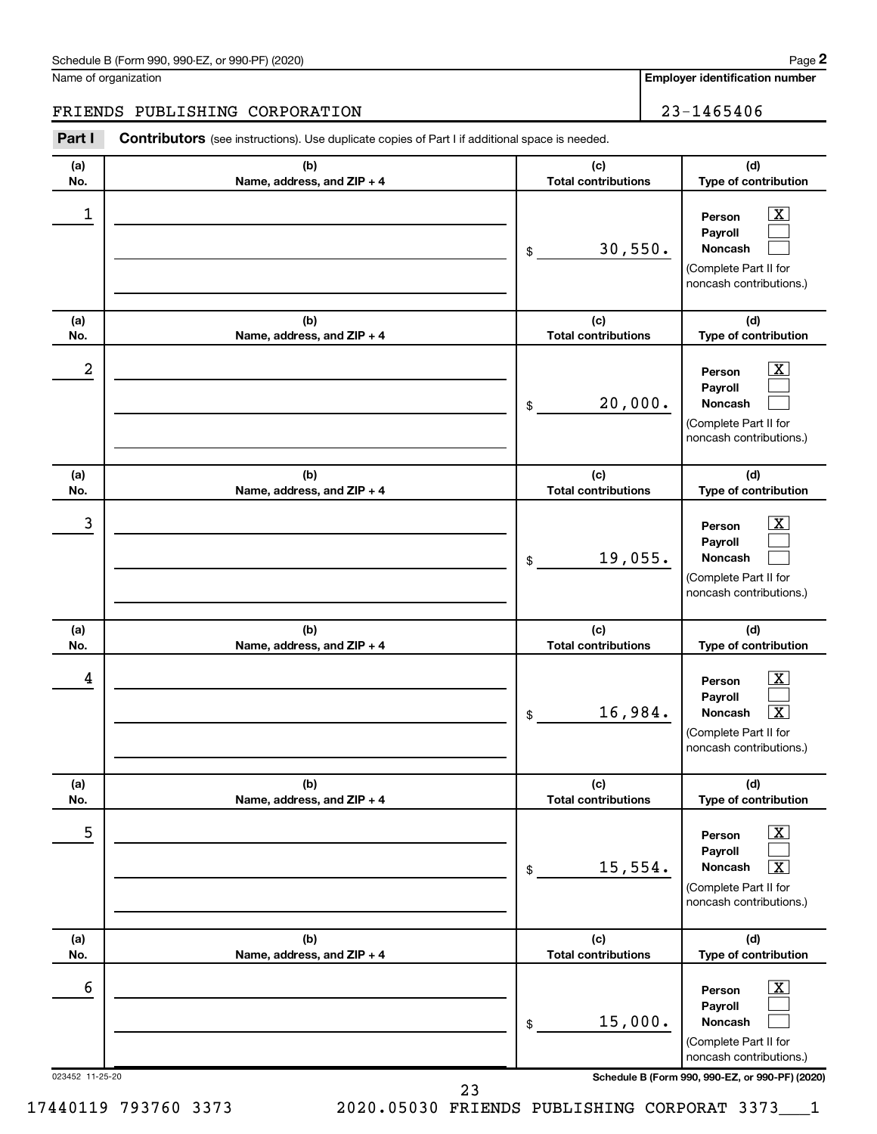| Schedule B (Form 990, 990-EZ, or 990-PF) (2020) | Page |
|-------------------------------------------------|------|
|-------------------------------------------------|------|

Name of organization

**Employer identification number**

#### FRIENDS PUBLISHING CORPORATION 23-1465406

023452 11-25-20 **Schedule B (Form 990, 990-EZ, or 990-PF) (2020) (a) No. (b) Name, address, and ZIP + 4 (c) Total contributions (d) Type of contribution Person Payroll Noncash (a) No. (b) Name, address, and ZIP + 4 (c) Total contributions (d) Type of contribution Person Payroll Noncash (a) No. (b) Name, address, and ZIP + 4 (c) Total contributions (d) Type of contribution Person Payroll Noncash (a) No. (b) Name, address, and ZIP + 4 (c) Total contributions (d) Type of contribution Person Payroll Noncash (a) No. (b) Name, address, and ZIP + 4 (c) Total contributions (d) Type of contribution Person Payroll Noncash (a) No. (b) Name, address, and ZIP + 4 (c) Total contributions (d) Type of contribution Person Payroll Noncash Part I** Contributors (see instructions). Use duplicate copies of Part I if additional space is needed. \$ (Complete Part II for noncash contributions.) \$ (Complete Part II for noncash contributions.) \$ (Complete Part II for noncash contributions.) \$ (Complete Part II for noncash contributions.) \$ (Complete Part II for noncash contributions.) \$ (Complete Part II for noncash contributions.)  $\boxed{\textbf{X}}$  $\Box$  $\Box$  $\boxed{\textbf{X}}$  $\Box$  $\Box$  $\boxed{\textbf{X}}$  $\Box$  $\Box$  $\boxed{\text{X}}$  $\Box$  $\lceil \texttt{X} \rceil$  $\boxed{\text{X}}$  $\Box$  $\boxed{\text{X}}$  $\boxed{\text{X}}$  $\Box$  $\Box$  $\begin{array}{|c|c|c|c|c|}\hline \ \text{1} & \text{Person} & \text{X} \ \hline \end{array}$ 30,550.  $2$  Person  $\overline{\text{X}}$ 20,000.  $\begin{array}{|c|c|c|c|c|c|}\hline \text{3} & \text{Person} & \text{X} \ \hline \end{array}$ 19,055.  $\begin{array}{|c|c|c|c|c|}\hline \text{4} & \text{Person} & \text{\textbf{X}}\ \hline \end{array}$  $16,984$ . 5 X  $15,554.$  $\overline{6}$  Person  $\overline{X}$ 15,000.

23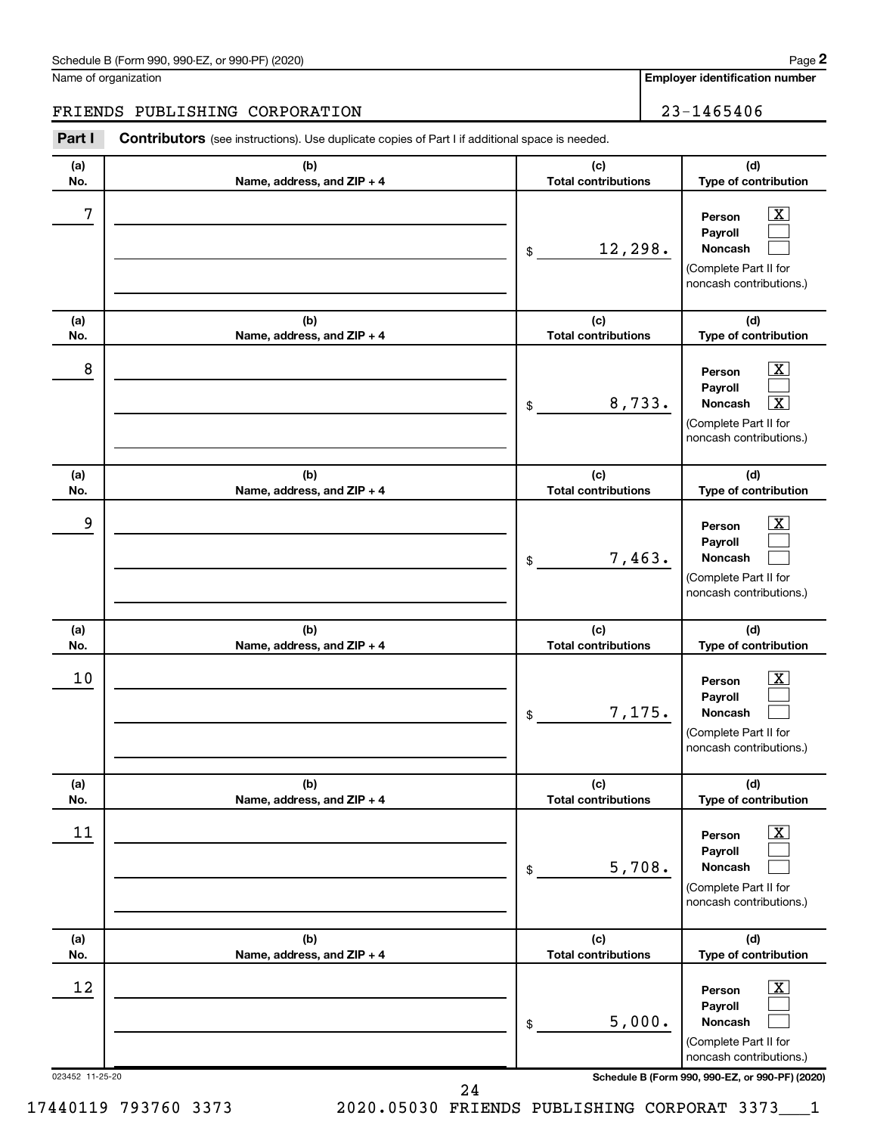| Schedule B (Form 990, 990-EZ, or 990-PF) (2020)<br>. The state of the state $\mathcal{L}$ is the state of the state of the state of the state of the state of the state of the state of the state of the state of the state of the state of the state of the state of the state of th | Page |
|---------------------------------------------------------------------------------------------------------------------------------------------------------------------------------------------------------------------------------------------------------------------------------------|------|
|---------------------------------------------------------------------------------------------------------------------------------------------------------------------------------------------------------------------------------------------------------------------------------------|------|

Name of organization

**Employer identification number**

#### FRIENDS PUBLISHING CORPORATION 23-1465406

**Part I** Contributors (see instructions). Use duplicate copies of Part I if additional space is needed.

| (a)<br>No.                   | (b)<br>Name, address, and ZIP + 4 | (c)<br><b>Total contributions</b>          | (d)<br>Type of contribution                                                                                                                                                            |
|------------------------------|-----------------------------------|--------------------------------------------|----------------------------------------------------------------------------------------------------------------------------------------------------------------------------------------|
| 7                            |                                   | 12,298.<br>\$                              | $\overline{\text{X}}$<br>Person<br>Pavroll<br><b>Noncash</b><br>(Complete Part II for<br>noncash contributions.)                                                                       |
| (a)<br>No.                   | (b)<br>Name, address, and ZIP + 4 | (c)<br><b>Total contributions</b>          | (d)<br>Type of contribution                                                                                                                                                            |
| 8                            |                                   | 8,733.<br>\$                               | $\overline{\text{X}}$<br>Person<br>Payroll<br>$\overline{\textbf{x}}$<br><b>Noncash</b><br>(Complete Part II for<br>noncash contributions.)                                            |
| (a)<br>No.                   | (b)<br>Name, address, and ZIP + 4 | (c)<br><b>Total contributions</b>          | (d)<br>Type of contribution                                                                                                                                                            |
| 9                            |                                   | 7,463.<br>\$                               | $\overline{\text{X}}$<br>Person<br>Payroll<br><b>Noncash</b><br>(Complete Part II for<br>noncash contributions.)                                                                       |
|                              |                                   |                                            |                                                                                                                                                                                        |
| (a)<br>No.                   | (b)                               | (c)<br><b>Total contributions</b>          | (d)                                                                                                                                                                                    |
| 10                           | Name, address, and ZIP + 4        | 7,175.<br>\$                               | Type of contribution<br>$\overline{\text{X}}$<br>Person<br>Payroll<br><b>Noncash</b><br>(Complete Part II for<br>noncash contributions.)                                               |
| (a)                          | (b)                               | (c)                                        | (d)                                                                                                                                                                                    |
| No.<br>11                    | Name, address, and ZIP + 4        | <b>Total contributions</b><br>5,708.<br>\$ | Type of contribution<br>$\overline{\mathbf{X}}$<br>Person<br>Payroll<br>Noncash<br>(Complete Part II for<br>noncash contributions.)                                                    |
| (a)                          | (b)                               | (c)                                        | (d)                                                                                                                                                                                    |
| No.<br>12<br>023452 11-25-20 | Name, address, and ZIP + 4        | <b>Total contributions</b><br>5,000.<br>\$ | Type of contribution<br>$\overline{\mathbf{X}}$<br>Person<br>Payroll<br>Noncash<br>(Complete Part II for<br>noncash contributions.)<br>Schedule B (Form 990, 990-EZ, or 990-PF) (2020) |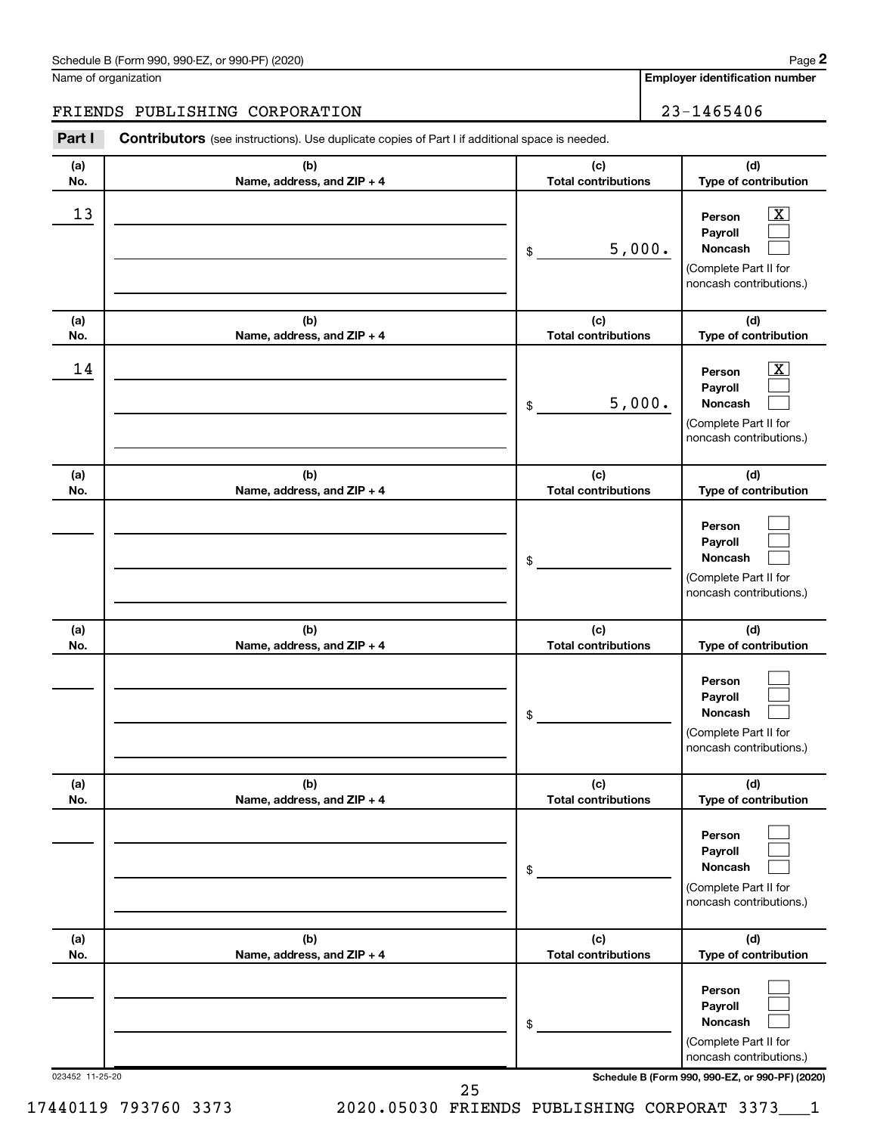| Schedule B (Form 990, 990-EZ, or 990-PF) (2020) | Page |
|-------------------------------------------------|------|
|-------------------------------------------------|------|

Name of organization

**Employer identification number**

#### FRIENDS PUBLISHING CORPORATION 23-1465406

023452 11-25-20 **Schedule B (Form 990, 990-EZ, or 990-PF) (2020) (a) No. (b) Name, address, and ZIP + 4 (c) Total contributions (d) Type of contribution Person Payroll Noncash (a) No. (b) Name, address, and ZIP + 4 (c) Total contributions (d) Type of contribution Person Payroll Noncash (a) No. (b) Name, address, and ZIP + 4 (c) Total contributions (d) Type of contribution Person Payroll Noncash (a) No. (b) Name, address, and ZIP + 4 (c) Total contributions (d) Type of contribution Person Payroll Noncash (a) No. (b) Name, address, and ZIP + 4 (c) Total contributions (d) Type of contribution Person Payroll Noncash (a) No. (b) Name, address, and ZIP + 4 (c) Total contributions (d) Type of contribution Person Payroll Noncash Part I** Contributors (see instructions). Use duplicate copies of Part I if additional space is needed. \$ (Complete Part II for noncash contributions.) \$ (Complete Part II for noncash contributions.) \$ (Complete Part II for noncash contributions.) \$ (Complete Part II for noncash contributions.) \$ (Complete Part II for noncash contributions.) \$ (Complete Part II for noncash contributions.)  $\boxed{\textbf{X}}$  $\Box$  $\Box$  $\overline{\mathbf{X}}$  $\Box$  $\Box$  $\Box$  $\Box$  $\Box$  $\Box$  $\Box$  $\Box$  $\Box$  $\Box$  $\Box$  $\Box$  $\Box$  $\Box$  $\begin{array}{|c|c|c|c|c|}\hline \text{13} & \text{Person} & \text{X} \\\hline \end{array}$ 5,000.  $\begin{array}{|c|c|c|c|c|}\hline \text{14} & \text{Person} & \text{X} \\\hline \end{array}$ 5,000. 25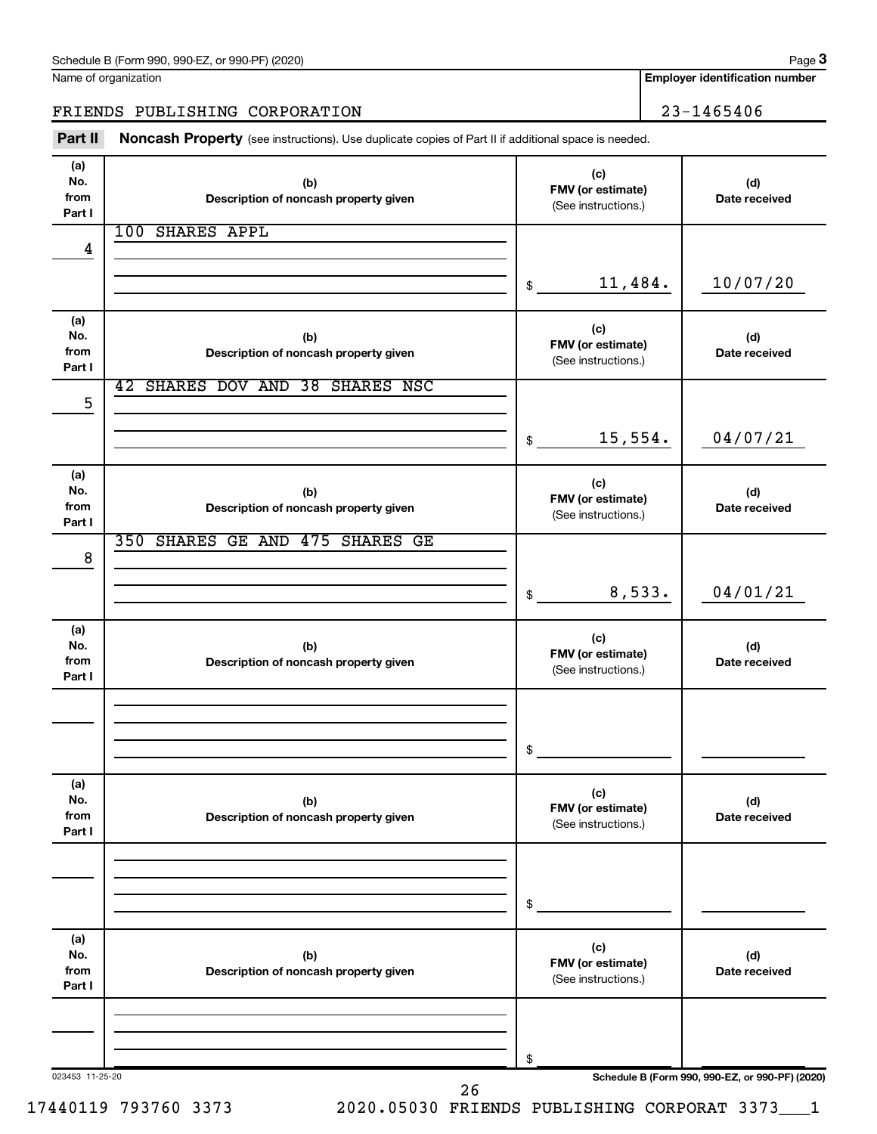| Schedule B (Form 990, 990-EZ, or 990-PF) (2020)<br>. The state of the state $\mathbf{1}$ | Page |
|------------------------------------------------------------------------------------------|------|
|------------------------------------------------------------------------------------------|------|

| Name of organization |  |
|----------------------|--|
|----------------------|--|

**Employer identification number**

#### FRIENDS PUBLISHING CORPORATION 23-1465406

Part II Noncash Property (see instructions). Use duplicate copies of Part II if additional space is needed.

| No.<br>from<br>Part I | (b)<br>Description of noncash property given | (c)<br>FMV (or estimate)<br>(See instructions.) | (d)<br>Date received                            |
|-----------------------|----------------------------------------------|-------------------------------------------------|-------------------------------------------------|
|                       | 100 SHARES APPL                              |                                                 |                                                 |
| 4                     |                                              |                                                 |                                                 |
|                       |                                              | 11,484.<br>\$                                   | 10/07/20                                        |
| (a)                   |                                              | (c)                                             |                                                 |
| No.                   | (b)                                          | FMV (or estimate)                               | (d)                                             |
| from<br>Part I        | Description of noncash property given        | (See instructions.)                             | Date received                                   |
|                       | SHARES DOV AND 38 SHARES NSC<br>42           |                                                 |                                                 |
| 5                     |                                              |                                                 |                                                 |
|                       |                                              | 15,554.<br>\$                                   | 04/07/21                                        |
|                       |                                              |                                                 |                                                 |
| (a)<br>No.            | (b)                                          | (c)                                             | (d)                                             |
| from                  | Description of noncash property given        | FMV (or estimate)<br>(See instructions.)        | Date received                                   |
| Part I                | 350 SHARES GE AND 475<br><b>SHARES GE</b>    |                                                 |                                                 |
| 8                     |                                              |                                                 |                                                 |
|                       |                                              |                                                 |                                                 |
|                       |                                              | 8,533.<br>\$                                    | 04/01/21                                        |
| (a)                   |                                              |                                                 |                                                 |
| No.                   | (b)                                          | (c)<br>FMV (or estimate)                        | (d)                                             |
| from<br>Part I        | Description of noncash property given        | (See instructions.)                             | Date received                                   |
|                       |                                              |                                                 |                                                 |
|                       |                                              |                                                 |                                                 |
|                       |                                              | \$                                              |                                                 |
|                       |                                              |                                                 |                                                 |
| (a)<br>No.            | (b)                                          | (c)                                             | (d)                                             |
| from                  | Description of noncash property given        | FMV (or estimate)<br>(See instructions.)        | Date received                                   |
| Part I                |                                              |                                                 |                                                 |
|                       |                                              |                                                 |                                                 |
|                       |                                              | \$                                              |                                                 |
|                       |                                              |                                                 |                                                 |
| (a)                   |                                              | (c)                                             |                                                 |
| No.<br>from           | (b)<br>Description of noncash property given | FMV (or estimate)                               | (d)<br>Date received                            |
| Part I                |                                              | (See instructions.)                             |                                                 |
|                       |                                              |                                                 |                                                 |
|                       |                                              |                                                 |                                                 |
| 023453 11-25-20       |                                              | \$                                              | Schedule B (Form 990, 990-EZ, or 990-PF) (2020) |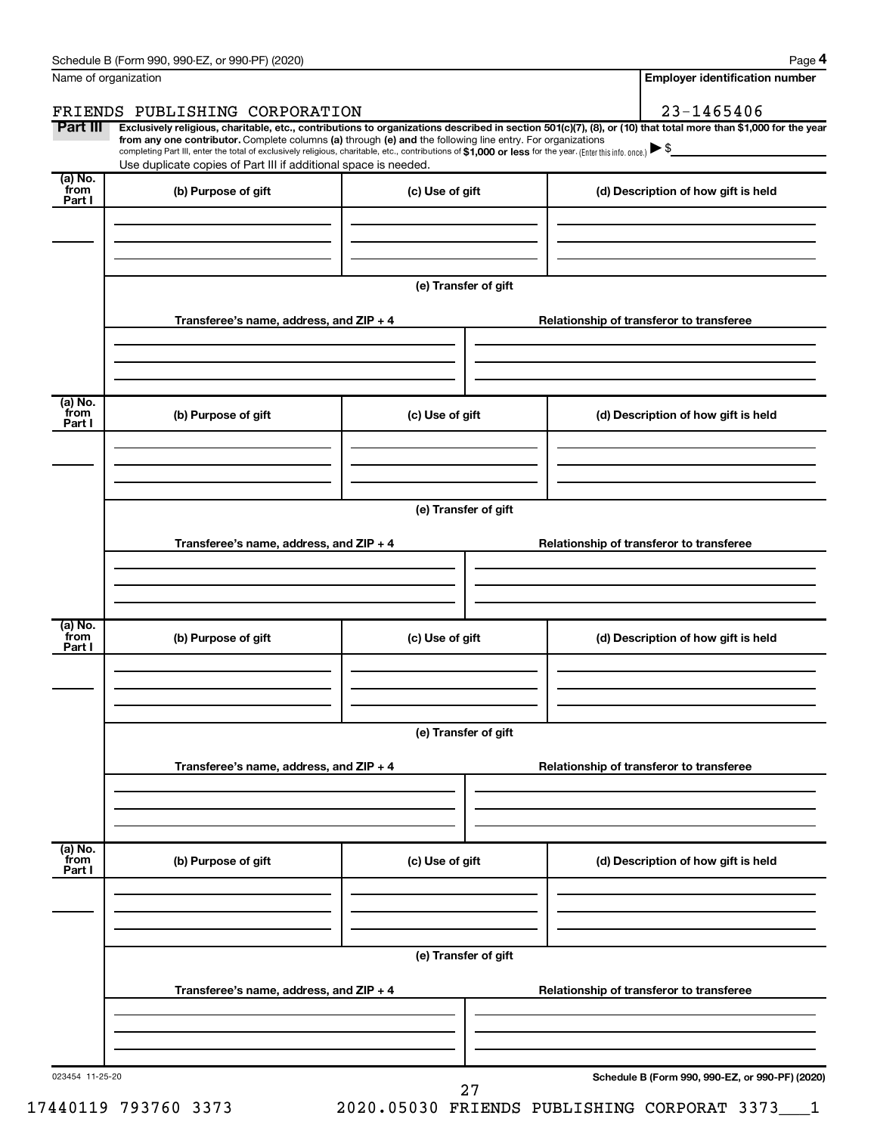|                 | Schedule B (Form 990, 990-EZ, or 990-PF) (2020)                                                                                                                                                                                                                              |                                                                                     |                                          | Page 4                                          |  |  |  |  |
|-----------------|------------------------------------------------------------------------------------------------------------------------------------------------------------------------------------------------------------------------------------------------------------------------------|-------------------------------------------------------------------------------------|------------------------------------------|-------------------------------------------------|--|--|--|--|
|                 | Name of organization                                                                                                                                                                                                                                                         |                                                                                     |                                          | <b>Employer identification number</b>           |  |  |  |  |
|                 | FRIENDS PUBLISHING CORPORATION                                                                                                                                                                                                                                               |                                                                                     |                                          | 23-1465406                                      |  |  |  |  |
| Part III        | Exclusively religious, charitable, etc., contributions to organizations described in section 501(c)(7), (8), or (10) that total more than \$1,000 for the year<br>from any one contributor. Complete columns (a) through (e) and the following line entry. For organizations |                                                                                     |                                          |                                                 |  |  |  |  |
|                 | completing Part III, enter the total of exclusively religious, charitable, etc., contributions of \$1,000 or less for the year. (Enter this info. once.)                                                                                                                     |                                                                                     |                                          |                                                 |  |  |  |  |
| (a) No.         | Use duplicate copies of Part III if additional space is needed.                                                                                                                                                                                                              |                                                                                     |                                          |                                                 |  |  |  |  |
| from<br>Part I  | (b) Purpose of gift                                                                                                                                                                                                                                                          | (c) Use of gift                                                                     |                                          | (d) Description of how gift is held             |  |  |  |  |
|                 |                                                                                                                                                                                                                                                                              |                                                                                     |                                          |                                                 |  |  |  |  |
|                 |                                                                                                                                                                                                                                                                              |                                                                                     |                                          |                                                 |  |  |  |  |
|                 |                                                                                                                                                                                                                                                                              |                                                                                     |                                          |                                                 |  |  |  |  |
|                 |                                                                                                                                                                                                                                                                              | (e) Transfer of gift                                                                |                                          |                                                 |  |  |  |  |
|                 |                                                                                                                                                                                                                                                                              |                                                                                     |                                          |                                                 |  |  |  |  |
|                 | Transferee's name, address, and $ZIP + 4$                                                                                                                                                                                                                                    |                                                                                     |                                          | Relationship of transferor to transferee        |  |  |  |  |
|                 |                                                                                                                                                                                                                                                                              |                                                                                     |                                          |                                                 |  |  |  |  |
|                 |                                                                                                                                                                                                                                                                              |                                                                                     |                                          |                                                 |  |  |  |  |
| (a) No.         |                                                                                                                                                                                                                                                                              |                                                                                     |                                          |                                                 |  |  |  |  |
| from<br>Part I  | (b) Purpose of gift                                                                                                                                                                                                                                                          | (c) Use of gift                                                                     |                                          | (d) Description of how gift is held             |  |  |  |  |
|                 |                                                                                                                                                                                                                                                                              |                                                                                     |                                          |                                                 |  |  |  |  |
|                 |                                                                                                                                                                                                                                                                              |                                                                                     |                                          |                                                 |  |  |  |  |
|                 |                                                                                                                                                                                                                                                                              |                                                                                     |                                          |                                                 |  |  |  |  |
|                 | (e) Transfer of gift                                                                                                                                                                                                                                                         |                                                                                     |                                          |                                                 |  |  |  |  |
|                 | Transferee's name, address, and $ZIP + 4$                                                                                                                                                                                                                                    |                                                                                     | Relationship of transferor to transferee |                                                 |  |  |  |  |
|                 |                                                                                                                                                                                                                                                                              |                                                                                     |                                          |                                                 |  |  |  |  |
|                 |                                                                                                                                                                                                                                                                              |                                                                                     |                                          |                                                 |  |  |  |  |
|                 |                                                                                                                                                                                                                                                                              |                                                                                     |                                          |                                                 |  |  |  |  |
| (a) No.<br>from | (b) Purpose of gift                                                                                                                                                                                                                                                          | (c) Use of gift                                                                     |                                          | (d) Description of how gift is held             |  |  |  |  |
| Part I          |                                                                                                                                                                                                                                                                              |                                                                                     |                                          |                                                 |  |  |  |  |
|                 |                                                                                                                                                                                                                                                                              |                                                                                     |                                          |                                                 |  |  |  |  |
|                 |                                                                                                                                                                                                                                                                              |                                                                                     |                                          |                                                 |  |  |  |  |
|                 |                                                                                                                                                                                                                                                                              |                                                                                     |                                          |                                                 |  |  |  |  |
|                 | (e) Transfer of gift                                                                                                                                                                                                                                                         |                                                                                     |                                          |                                                 |  |  |  |  |
|                 | Transferee's name, address, and ZIP + 4                                                                                                                                                                                                                                      | Relationship of transferor to transferee                                            |                                          |                                                 |  |  |  |  |
|                 |                                                                                                                                                                                                                                                                              |                                                                                     |                                          |                                                 |  |  |  |  |
|                 |                                                                                                                                                                                                                                                                              |                                                                                     |                                          |                                                 |  |  |  |  |
|                 |                                                                                                                                                                                                                                                                              |                                                                                     |                                          |                                                 |  |  |  |  |
| (a) No.<br>from | (b) Purpose of gift                                                                                                                                                                                                                                                          | (c) Use of gift                                                                     |                                          | (d) Description of how gift is held             |  |  |  |  |
| Part I          |                                                                                                                                                                                                                                                                              |                                                                                     |                                          |                                                 |  |  |  |  |
|                 |                                                                                                                                                                                                                                                                              |                                                                                     |                                          |                                                 |  |  |  |  |
|                 |                                                                                                                                                                                                                                                                              |                                                                                     |                                          |                                                 |  |  |  |  |
|                 | (e) Transfer of gift                                                                                                                                                                                                                                                         |                                                                                     |                                          |                                                 |  |  |  |  |
|                 |                                                                                                                                                                                                                                                                              |                                                                                     |                                          |                                                 |  |  |  |  |
|                 |                                                                                                                                                                                                                                                                              | Transferee's name, address, and ZIP + 4<br>Relationship of transferor to transferee |                                          |                                                 |  |  |  |  |
|                 |                                                                                                                                                                                                                                                                              |                                                                                     |                                          |                                                 |  |  |  |  |
|                 |                                                                                                                                                                                                                                                                              |                                                                                     |                                          |                                                 |  |  |  |  |
|                 |                                                                                                                                                                                                                                                                              |                                                                                     |                                          |                                                 |  |  |  |  |
| 023454 11-25-20 |                                                                                                                                                                                                                                                                              | 27                                                                                  |                                          | Schedule B (Form 990, 990-EZ, or 990-PF) (2020) |  |  |  |  |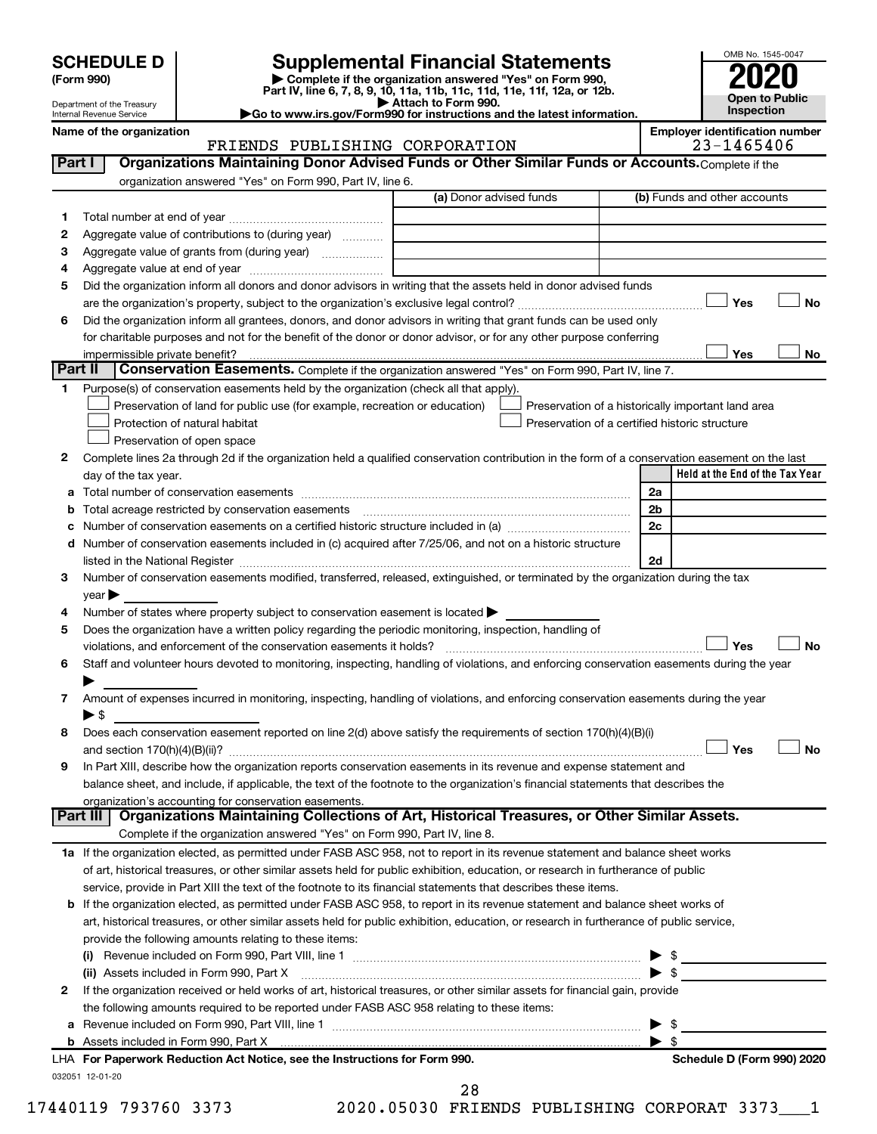Department of the Treasury Internal Revenue Service

| (Form 990) |  |
|------------|--|
|------------|--|

## **SCHEDULE D Supplemental Financial Statements**<br> **Form 990 2020**<br> **Part IV** line 6.7.8.9.10, 11a, 11b, 11d, 11d, 11d, 11d, 11d, 12a, 0r, 12b

**(Form 990) | Complete if the organization answered "Yes" on Form 990, Part IV, line 6, 7, 8, 9, 10, 11a, 11b, 11c, 11d, 11e, 11f, 12a, or 12b.**

**| Attach to Form 990. |Go to www.irs.gov/Form990 for instructions and the latest information.**



#### Name of the organization<br>**FRIENDS** PUBLISHING CORPORATION **Employer identification number**<br>23-1465406 FRIENDS PUBLISHING CORPORATION

| Part I  | Organizations Maintaining Donor Advised Funds or Other Similar Funds or Accounts. Complete if the                                                                                                                              |                                                                                                                                                                                                                                                                                                                                                                                                                            |                                                    |
|---------|--------------------------------------------------------------------------------------------------------------------------------------------------------------------------------------------------------------------------------|----------------------------------------------------------------------------------------------------------------------------------------------------------------------------------------------------------------------------------------------------------------------------------------------------------------------------------------------------------------------------------------------------------------------------|----------------------------------------------------|
|         | organization answered "Yes" on Form 990, Part IV, line 6.                                                                                                                                                                      |                                                                                                                                                                                                                                                                                                                                                                                                                            |                                                    |
|         |                                                                                                                                                                                                                                | (a) Donor advised funds                                                                                                                                                                                                                                                                                                                                                                                                    | (b) Funds and other accounts                       |
| 1       |                                                                                                                                                                                                                                |                                                                                                                                                                                                                                                                                                                                                                                                                            |                                                    |
| 2       | Aggregate value of contributions to (during year)                                                                                                                                                                              |                                                                                                                                                                                                                                                                                                                                                                                                                            |                                                    |
| З       | Aggregate value of grants from (during year)                                                                                                                                                                                   |                                                                                                                                                                                                                                                                                                                                                                                                                            |                                                    |
| 4       |                                                                                                                                                                                                                                |                                                                                                                                                                                                                                                                                                                                                                                                                            |                                                    |
| 5       | Did the organization inform all donors and donor advisors in writing that the assets held in donor advised funds                                                                                                               |                                                                                                                                                                                                                                                                                                                                                                                                                            |                                                    |
|         |                                                                                                                                                                                                                                |                                                                                                                                                                                                                                                                                                                                                                                                                            | Yes<br>No                                          |
| 6       | Did the organization inform all grantees, donors, and donor advisors in writing that grant funds can be used only                                                                                                              |                                                                                                                                                                                                                                                                                                                                                                                                                            |                                                    |
|         | for charitable purposes and not for the benefit of the donor or donor advisor, or for any other purpose conferring                                                                                                             |                                                                                                                                                                                                                                                                                                                                                                                                                            |                                                    |
|         | impermissible private benefit?                                                                                                                                                                                                 |                                                                                                                                                                                                                                                                                                                                                                                                                            | Yes<br>No                                          |
| Part II | <b>Conservation Easements.</b> Complete if the organization answered "Yes" on Form 990, Part IV, line 7.                                                                                                                       |                                                                                                                                                                                                                                                                                                                                                                                                                            |                                                    |
| 1.      | Purpose(s) of conservation easements held by the organization (check all that apply).                                                                                                                                          |                                                                                                                                                                                                                                                                                                                                                                                                                            |                                                    |
|         | Preservation of land for public use (for example, recreation or education)                                                                                                                                                     |                                                                                                                                                                                                                                                                                                                                                                                                                            | Preservation of a historically important land area |
|         | Protection of natural habitat                                                                                                                                                                                                  |                                                                                                                                                                                                                                                                                                                                                                                                                            | Preservation of a certified historic structure     |
|         | Preservation of open space                                                                                                                                                                                                     |                                                                                                                                                                                                                                                                                                                                                                                                                            |                                                    |
| 2       | Complete lines 2a through 2d if the organization held a qualified conservation contribution in the form of a conservation easement on the last                                                                                 |                                                                                                                                                                                                                                                                                                                                                                                                                            |                                                    |
|         | day of the tax year.                                                                                                                                                                                                           |                                                                                                                                                                                                                                                                                                                                                                                                                            | Held at the End of the Tax Year                    |
| а       |                                                                                                                                                                                                                                |                                                                                                                                                                                                                                                                                                                                                                                                                            | 2a                                                 |
| b       | Total acreage restricted by conservation easements                                                                                                                                                                             | $\overline{a_1, \ldots, a_n, \ldots, a_n, \ldots, a_n, \ldots, a_n, \ldots, a_n, \ldots, a_n, \ldots, a_n, \ldots, a_n, \ldots, a_n, \ldots, a_n, \ldots, a_n, \ldots, a_n, \ldots, a_n, \ldots, a_n, \ldots, a_n, \ldots, a_n, \ldots, a_n, \ldots, a_n, \ldots, a_n, \ldots, a_n, \ldots, a_n, \ldots, a_n, \ldots, a_n, \ldots, a_n, \ldots, a_n, \ldots, a_n, \ldots, a_n, \ldots, a_n, \ldots, a_n, \ldots, a_n, \ld$ | 2b                                                 |
| с       |                                                                                                                                                                                                                                |                                                                                                                                                                                                                                                                                                                                                                                                                            | 2c                                                 |
| d       | Number of conservation easements included in (c) acquired after 7/25/06, and not on a historic structure                                                                                                                       |                                                                                                                                                                                                                                                                                                                                                                                                                            |                                                    |
|         | listed in the National Register [111] [12] The Mational Register [12] The Mathematic Material Register [12] The Mational Register [12] The Mathematic Material Register [12] The Mathematic Material Register [12] The Mathema |                                                                                                                                                                                                                                                                                                                                                                                                                            | 2d                                                 |
| 3       | Number of conservation easements modified, transferred, released, extinguished, or terminated by the organization during the tax                                                                                               |                                                                                                                                                                                                                                                                                                                                                                                                                            |                                                    |
|         | $year \triangleright$                                                                                                                                                                                                          |                                                                                                                                                                                                                                                                                                                                                                                                                            |                                                    |
| 4       | Number of states where property subject to conservation easement is located >                                                                                                                                                  |                                                                                                                                                                                                                                                                                                                                                                                                                            |                                                    |
| 5       | Does the organization have a written policy regarding the periodic monitoring, inspection, handling of                                                                                                                         |                                                                                                                                                                                                                                                                                                                                                                                                                            |                                                    |
|         | violations, and enforcement of the conservation easements it holds?                                                                                                                                                            |                                                                                                                                                                                                                                                                                                                                                                                                                            | Yes<br>No                                          |
| 6       | Staff and volunteer hours devoted to monitoring, inspecting, handling of violations, and enforcing conservation easements during the year                                                                                      |                                                                                                                                                                                                                                                                                                                                                                                                                            |                                                    |
|         |                                                                                                                                                                                                                                |                                                                                                                                                                                                                                                                                                                                                                                                                            |                                                    |
| 7       | Amount of expenses incurred in monitoring, inspecting, handling of violations, and enforcing conservation easements during the year                                                                                            |                                                                                                                                                                                                                                                                                                                                                                                                                            |                                                    |
|         | $\blacktriangleright$ \$                                                                                                                                                                                                       |                                                                                                                                                                                                                                                                                                                                                                                                                            |                                                    |
| 8       | Does each conservation easement reported on line 2(d) above satisfy the requirements of section 170(h)(4)(B)(i)                                                                                                                |                                                                                                                                                                                                                                                                                                                                                                                                                            |                                                    |
|         |                                                                                                                                                                                                                                |                                                                                                                                                                                                                                                                                                                                                                                                                            | Yes<br>No                                          |
| 9       | In Part XIII, describe how the organization reports conservation easements in its revenue and expense statement and                                                                                                            |                                                                                                                                                                                                                                                                                                                                                                                                                            |                                                    |
|         | balance sheet, and include, if applicable, the text of the footnote to the organization's financial statements that describes the                                                                                              |                                                                                                                                                                                                                                                                                                                                                                                                                            |                                                    |
|         | organization's accounting for conservation easements.                                                                                                                                                                          |                                                                                                                                                                                                                                                                                                                                                                                                                            |                                                    |
|         | Organizations Maintaining Collections of Art, Historical Treasures, or Other Similar Assets.<br>Part III                                                                                                                       |                                                                                                                                                                                                                                                                                                                                                                                                                            |                                                    |
|         | Complete if the organization answered "Yes" on Form 990, Part IV, line 8.                                                                                                                                                      |                                                                                                                                                                                                                                                                                                                                                                                                                            |                                                    |
|         | 1a If the organization elected, as permitted under FASB ASC 958, not to report in its revenue statement and balance sheet works                                                                                                |                                                                                                                                                                                                                                                                                                                                                                                                                            |                                                    |
|         | of art, historical treasures, or other similar assets held for public exhibition, education, or research in furtherance of public                                                                                              |                                                                                                                                                                                                                                                                                                                                                                                                                            |                                                    |
|         | service, provide in Part XIII the text of the footnote to its financial statements that describes these items.                                                                                                                 |                                                                                                                                                                                                                                                                                                                                                                                                                            |                                                    |
|         | <b>b</b> If the organization elected, as permitted under FASB ASC 958, to report in its revenue statement and balance sheet works of                                                                                           |                                                                                                                                                                                                                                                                                                                                                                                                                            |                                                    |
|         | art, historical treasures, or other similar assets held for public exhibition, education, or research in furtherance of public service,                                                                                        |                                                                                                                                                                                                                                                                                                                                                                                                                            |                                                    |
|         | provide the following amounts relating to these items:                                                                                                                                                                         |                                                                                                                                                                                                                                                                                                                                                                                                                            |                                                    |
|         |                                                                                                                                                                                                                                |                                                                                                                                                                                                                                                                                                                                                                                                                            |                                                    |
|         |                                                                                                                                                                                                                                |                                                                                                                                                                                                                                                                                                                                                                                                                            | - \$                                               |
| 2       | If the organization received or held works of art, historical treasures, or other similar assets for financial gain, provide                                                                                                   |                                                                                                                                                                                                                                                                                                                                                                                                                            |                                                    |
|         | the following amounts required to be reported under FASB ASC 958 relating to these items:                                                                                                                                      |                                                                                                                                                                                                                                                                                                                                                                                                                            |                                                    |
| а       |                                                                                                                                                                                                                                |                                                                                                                                                                                                                                                                                                                                                                                                                            |                                                    |
|         |                                                                                                                                                                                                                                |                                                                                                                                                                                                                                                                                                                                                                                                                            | \$                                                 |
|         | LHA For Paperwork Reduction Act Notice, see the Instructions for Form 990.                                                                                                                                                     |                                                                                                                                                                                                                                                                                                                                                                                                                            | Schedule D (Form 990) 2020                         |
|         | 032051 12-01-20                                                                                                                                                                                                                |                                                                                                                                                                                                                                                                                                                                                                                                                            |                                                    |

17440119 793760 3373 2020.05030 FRIENDS PUBLISHING CORPORAT 3373\_\_\_1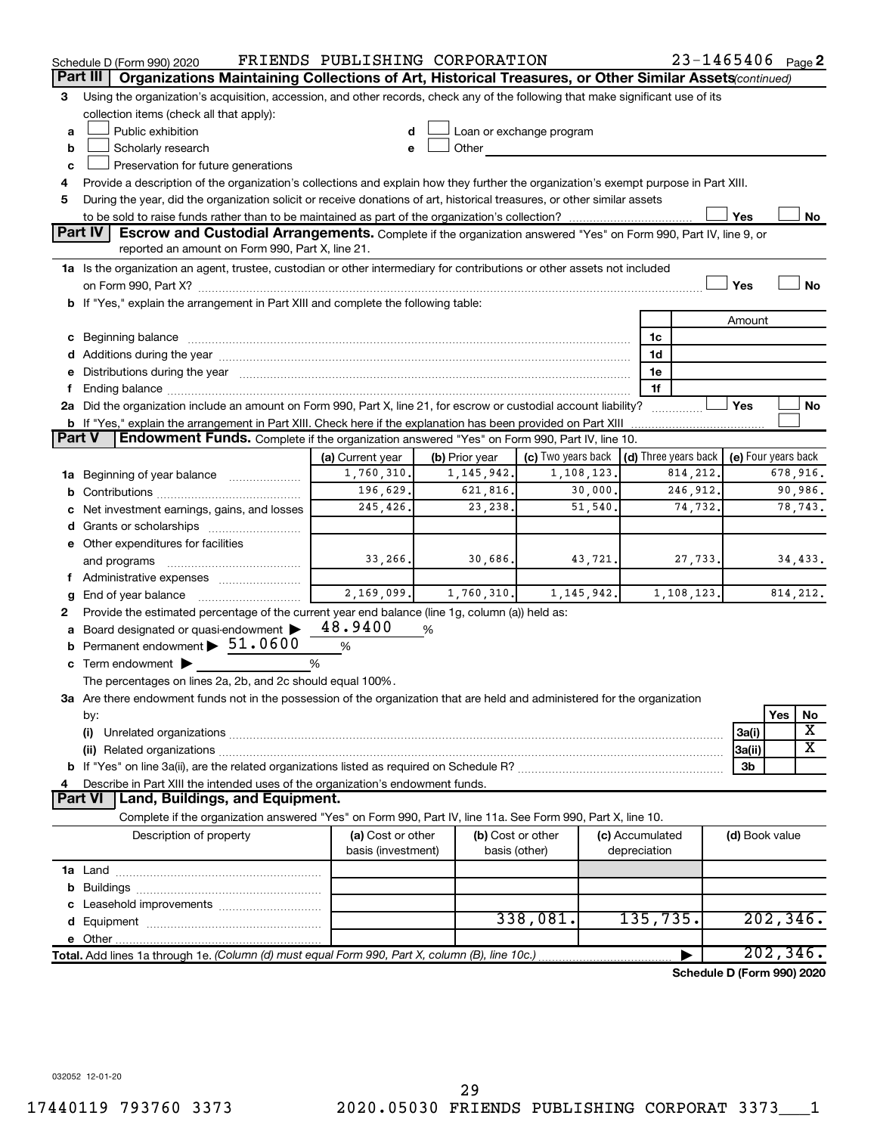|        | Schedule D (Form 990) 2020                                                                                                                                                                                                     | FRIENDS PUBLISHING CORPORATION |                |                          |          |                                      | 23-1465406 Page 2          |                     |           |                         |
|--------|--------------------------------------------------------------------------------------------------------------------------------------------------------------------------------------------------------------------------------|--------------------------------|----------------|--------------------------|----------|--------------------------------------|----------------------------|---------------------|-----------|-------------------------|
|        | Part III<br>Organizations Maintaining Collections of Art, Historical Treasures, or Other Similar Assets (continued)                                                                                                            |                                |                |                          |          |                                      |                            |                     |           |                         |
| 3      | Using the organization's acquisition, accession, and other records, check any of the following that make significant use of its                                                                                                |                                |                |                          |          |                                      |                            |                     |           |                         |
|        | collection items (check all that apply):                                                                                                                                                                                       |                                |                |                          |          |                                      |                            |                     |           |                         |
| a      | Public exhibition                                                                                                                                                                                                              |                                |                | Loan or exchange program |          |                                      |                            |                     |           |                         |
| b      | Scholarly research                                                                                                                                                                                                             |                                | Other          |                          |          |                                      |                            |                     |           |                         |
| c      | Preservation for future generations                                                                                                                                                                                            |                                |                |                          |          |                                      |                            |                     |           |                         |
| 4      | Provide a description of the organization's collections and explain how they further the organization's exempt purpose in Part XIII.                                                                                           |                                |                |                          |          |                                      |                            |                     |           |                         |
| 5      | During the year, did the organization solicit or receive donations of art, historical treasures, or other similar assets                                                                                                       |                                |                |                          |          |                                      |                            |                     |           |                         |
|        |                                                                                                                                                                                                                                |                                |                |                          |          |                                      |                            | Yes                 |           | No                      |
|        | <b>Part IV</b><br><b>Escrow and Custodial Arrangements.</b> Complete if the organization answered "Yes" on Form 990, Part IV, line 9, or<br>reported an amount on Form 990, Part X, line 21.                                   |                                |                |                          |          |                                      |                            |                     |           |                         |
|        |                                                                                                                                                                                                                                |                                |                |                          |          |                                      |                            |                     |           |                         |
|        | 1a Is the organization an agent, trustee, custodian or other intermediary for contributions or other assets not included                                                                                                       |                                |                |                          |          |                                      |                            | Yes                 |           | <b>No</b>               |
|        | b If "Yes," explain the arrangement in Part XIII and complete the following table:                                                                                                                                             |                                |                |                          |          |                                      |                            |                     |           |                         |
|        |                                                                                                                                                                                                                                |                                |                |                          |          |                                      |                            | Amount              |           |                         |
|        |                                                                                                                                                                                                                                |                                |                |                          |          |                                      |                            |                     |           |                         |
|        | c Beginning balance measurements and the contract of the contract of the contract of the contract of the contract of the contract of the contract of the contract of the contract of the contract of the contract of the contr |                                |                |                          |          | 1c<br>1d                             |                            |                     |           |                         |
|        | d Additions during the year manufactured and an account of the year manufactured and account of the year manufactured and account of the year manufactured and account of the year manufactured and account of the year manufa |                                |                |                          |          | 1e                                   |                            |                     |           |                         |
| f.     | e Distributions during the year manufactured and an account of the year manufactured and account of the year manufactured and account of the state of the state of the state of the state of the state of the state of the sta |                                |                |                          |          | 1f                                   |                            |                     |           |                         |
|        | 2a Did the organization include an amount on Form 990, Part X, line 21, for escrow or custodial account liability?                                                                                                             |                                |                |                          |          | .                                    |                            | Yes                 |           | No                      |
|        | <b>b</b> If "Yes," explain the arrangement in Part XIII. Check here if the explanation has been provided on Part XIII                                                                                                          |                                |                |                          |          |                                      |                            |                     |           |                         |
| Part V | <b>Endowment Funds.</b> Complete if the organization answered "Yes" on Form 990, Part IV, line 10.                                                                                                                             |                                |                |                          |          |                                      |                            |                     |           |                         |
|        |                                                                                                                                                                                                                                | (a) Current year               | (b) Prior year | (c) Two years back       |          | $\vert$ (d) Three years back $\vert$ |                            | (e) Four years back |           |                         |
|        | 1a Beginning of year balance                                                                                                                                                                                                   | 1,760,310.                     | 1, 145, 942.   | 1, 108, 123.             |          |                                      | 814, 212.                  |                     |           | 678,916.                |
|        |                                                                                                                                                                                                                                | 196,629.                       | 621,816.       |                          | 30,000.  |                                      | 246,912.                   |                     |           | 90,986.                 |
|        | c Net investment earnings, gains, and losses                                                                                                                                                                                   | 245,426.                       | 23,238.        |                          | 51, 540. |                                      | 74,732.                    |                     |           | 78,743.                 |
|        |                                                                                                                                                                                                                                |                                |                |                          |          |                                      |                            |                     |           |                         |
|        | e Other expenditures for facilities                                                                                                                                                                                            |                                |                |                          |          |                                      |                            |                     |           |                         |
|        | and programs                                                                                                                                                                                                                   | 33,266.                        | 30,686.        |                          | 43,721.  |                                      | 27,733.                    |                     |           | 34,433.                 |
|        | f Administrative expenses                                                                                                                                                                                                      |                                |                |                          |          |                                      |                            |                     |           |                         |
| g      |                                                                                                                                                                                                                                | 2,169,099.                     | 1,760,310.     | 1, 145, 942.             |          |                                      | 1, 108, 123.               |                     |           | 814, 212.               |
| 2      | Provide the estimated percentage of the current year end balance (line 1g, column (a)) held as:                                                                                                                                |                                |                |                          |          |                                      |                            |                     |           |                         |
|        | a Board designated or quasi-endowment                                                                                                                                                                                          | 48.9400                        | %              |                          |          |                                      |                            |                     |           |                         |
|        | <b>b</b> Permanent endowment $\triangleright$ 51.0600                                                                                                                                                                          | $\%$                           |                |                          |          |                                      |                            |                     |           |                         |
|        | c Term endowment $\blacktriangleright$                                                                                                                                                                                         | %                              |                |                          |          |                                      |                            |                     |           |                         |
|        | The percentages on lines 2a, 2b, and 2c should equal 100%.                                                                                                                                                                     |                                |                |                          |          |                                      |                            |                     |           |                         |
|        | 3a Are there endowment funds not in the possession of the organization that are held and administered for the organization                                                                                                     |                                |                |                          |          |                                      |                            |                     |           |                         |
|        | by:                                                                                                                                                                                                                            |                                |                |                          |          |                                      |                            |                     | Yes       | No                      |
|        | (i)                                                                                                                                                                                                                            |                                |                |                          |          |                                      |                            | 3a(i)               |           | X                       |
|        | (ii) Related organizations [11] Related organizations [11] Maximum material contract to the contract of the contract of the contract of the contract of the contract of the contract of the contract of the contract of the co |                                |                |                          |          |                                      |                            | 3a(ii)              |           | $\overline{\textbf{X}}$ |
|        |                                                                                                                                                                                                                                |                                |                |                          |          |                                      |                            | 3b                  |           |                         |
| 4      | Describe in Part XIII the intended uses of the organization's endowment funds.                                                                                                                                                 |                                |                |                          |          |                                      |                            |                     |           |                         |
|        | <b>Land, Buildings, and Equipment.</b><br><b>Part VI</b>                                                                                                                                                                       |                                |                |                          |          |                                      |                            |                     |           |                         |
|        | Complete if the organization answered "Yes" on Form 990, Part IV, line 11a. See Form 990, Part X, line 10.                                                                                                                     |                                |                |                          |          |                                      |                            |                     |           |                         |
|        | Description of property                                                                                                                                                                                                        | (a) Cost or other              |                | (b) Cost or other        |          | (c) Accumulated                      |                            | (d) Book value      |           |                         |
|        |                                                                                                                                                                                                                                | basis (investment)             |                | basis (other)            |          | depreciation                         |                            |                     |           |                         |
|        |                                                                                                                                                                                                                                |                                |                |                          |          |                                      |                            |                     |           |                         |
|        |                                                                                                                                                                                                                                |                                |                |                          |          |                                      |                            |                     |           |                         |
|        |                                                                                                                                                                                                                                |                                |                |                          |          |                                      |                            |                     |           |                         |
|        |                                                                                                                                                                                                                                |                                |                | 338,081.                 |          | 135,735.                             |                            |                     |           | 202, 346.               |
|        |                                                                                                                                                                                                                                |                                |                |                          |          |                                      |                            |                     |           |                         |
|        | Total. Add lines 1a through 1e. (Column (d) must equal Form 990, Part X, column (B), line 10c.)                                                                                                                                |                                |                |                          |          |                                      |                            |                     | 202, 346. |                         |
|        |                                                                                                                                                                                                                                |                                |                |                          |          |                                      | Schedule D (Form 990) 2020 |                     |           |                         |

032052 12-01-20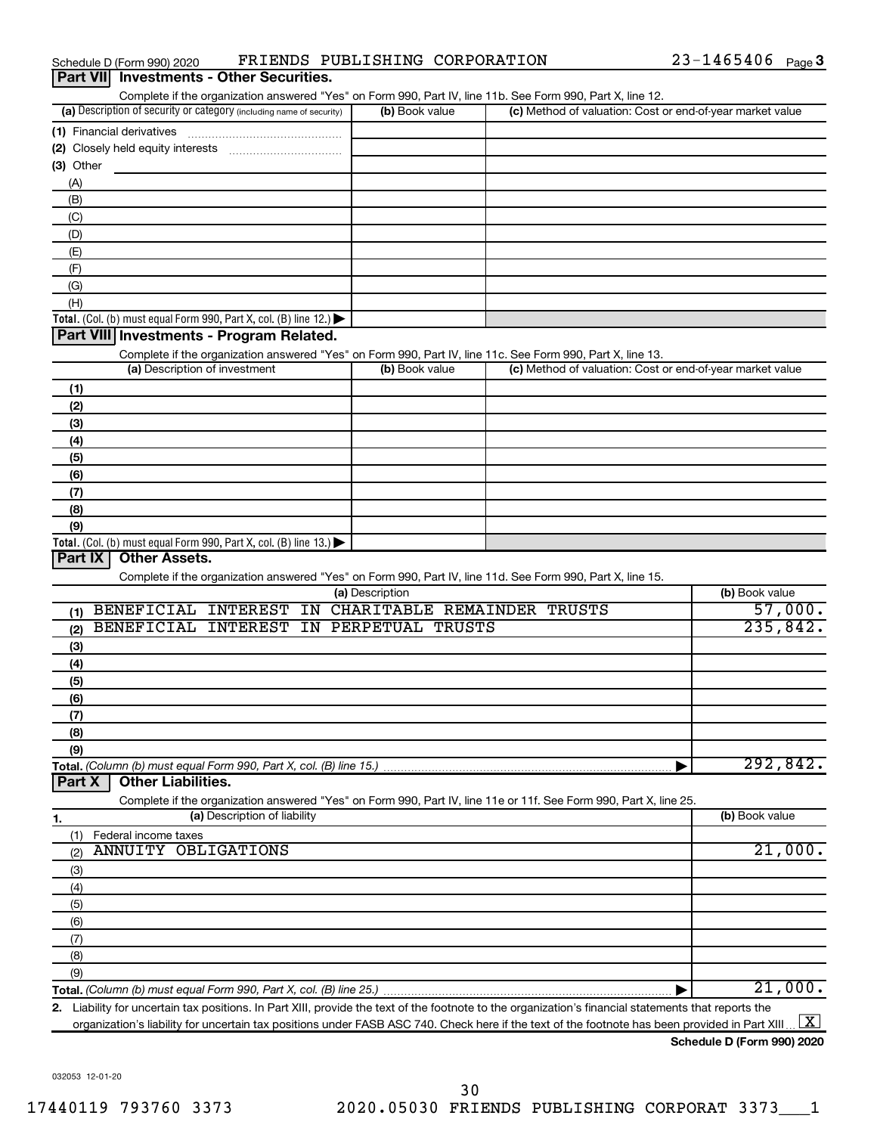| Complete if the organization answered "Yes" on Form 990, Part IV, line 11b. See Form 990, Part X, line 12.                                           |                                |                                                                                                                                                 |                              |
|------------------------------------------------------------------------------------------------------------------------------------------------------|--------------------------------|-------------------------------------------------------------------------------------------------------------------------------------------------|------------------------------|
| (a) Description of security or category (including name of security)                                                                                 | (b) Book value                 | (c) Method of valuation: Cost or end-of-year market value                                                                                       |                              |
| (1) Financial derivatives                                                                                                                            |                                |                                                                                                                                                 |                              |
|                                                                                                                                                      |                                |                                                                                                                                                 |                              |
| (3) Other                                                                                                                                            |                                |                                                                                                                                                 |                              |
| (A)                                                                                                                                                  |                                |                                                                                                                                                 |                              |
| (B)                                                                                                                                                  |                                |                                                                                                                                                 |                              |
| (C)                                                                                                                                                  |                                |                                                                                                                                                 |                              |
| (D)                                                                                                                                                  |                                |                                                                                                                                                 |                              |
| (E)                                                                                                                                                  |                                |                                                                                                                                                 |                              |
| (F)                                                                                                                                                  |                                |                                                                                                                                                 |                              |
| (G)                                                                                                                                                  |                                |                                                                                                                                                 |                              |
| (H)                                                                                                                                                  |                                |                                                                                                                                                 |                              |
| Total. (Col. (b) must equal Form 990, Part X, col. (B) line 12.)                                                                                     |                                |                                                                                                                                                 |                              |
| Part VIII Investments - Program Related.                                                                                                             |                                |                                                                                                                                                 |                              |
| Complete if the organization answered "Yes" on Form 990, Part IV, line 11c. See Form 990, Part X, line 13.                                           |                                |                                                                                                                                                 |                              |
| (a) Description of investment                                                                                                                        | (b) Book value                 | (c) Method of valuation: Cost or end-of-year market value                                                                                       |                              |
|                                                                                                                                                      |                                |                                                                                                                                                 |                              |
| (1)                                                                                                                                                  |                                |                                                                                                                                                 |                              |
| (2)                                                                                                                                                  |                                |                                                                                                                                                 |                              |
| (3)                                                                                                                                                  |                                |                                                                                                                                                 |                              |
| (4)                                                                                                                                                  |                                |                                                                                                                                                 |                              |
| (5)                                                                                                                                                  |                                |                                                                                                                                                 |                              |
| (6)                                                                                                                                                  |                                |                                                                                                                                                 |                              |
| (7)                                                                                                                                                  |                                |                                                                                                                                                 |                              |
| (8)                                                                                                                                                  |                                |                                                                                                                                                 |                              |
| (9)                                                                                                                                                  |                                |                                                                                                                                                 |                              |
| <b>Total.</b> (Col. (b) must equal Form 990, Part X, col. (B) line 13.)<br>Part IX<br><b>Other Assets.</b>                                           |                                |                                                                                                                                                 |                              |
|                                                                                                                                                      |                                |                                                                                                                                                 |                              |
| Complete if the organization answered "Yes" on Form 990, Part IV, line 11d. See Form 990, Part X, line 15.                                           | (a) Description                |                                                                                                                                                 | (b) Book value               |
| BENEFICIAL INTEREST                                                                                                                                  | IN CHARITABLE REMAINDER TRUSTS |                                                                                                                                                 | 57,000.                      |
| (1)<br>BENEFICIAL INTEREST                                                                                                                           | IN PERPETUAL TRUSTS            |                                                                                                                                                 | 235,842.                     |
| (2)                                                                                                                                                  |                                |                                                                                                                                                 |                              |
| (3)                                                                                                                                                  |                                |                                                                                                                                                 |                              |
| (4)                                                                                                                                                  |                                |                                                                                                                                                 |                              |
| (5)                                                                                                                                                  |                                |                                                                                                                                                 |                              |
| (6)                                                                                                                                                  |                                |                                                                                                                                                 |                              |
| (7)                                                                                                                                                  |                                |                                                                                                                                                 |                              |
| (8)                                                                                                                                                  |                                |                                                                                                                                                 |                              |
| (9)                                                                                                                                                  |                                |                                                                                                                                                 |                              |
| Total. (Column (b) must equal Form 990, Part X, col. (B) line 15.)                                                                                   |                                |                                                                                                                                                 | 292,842.                     |
| <b>Other Liabilities.</b><br>Part X                                                                                                                  |                                |                                                                                                                                                 |                              |
| Complete if the organization answered "Yes" on Form 990, Part IV, line 11e or 11f. See Form 990, Part X, line 25.                                    |                                |                                                                                                                                                 |                              |
| (a) Description of liability<br>1.                                                                                                                   |                                |                                                                                                                                                 | (b) Book value               |
| Federal income taxes<br>(1)                                                                                                                          |                                |                                                                                                                                                 |                              |
| <b>ANNUITY OBLIGATIONS</b><br>(2)                                                                                                                    |                                |                                                                                                                                                 | 21,000.                      |
| (3)                                                                                                                                                  |                                |                                                                                                                                                 |                              |
| (4)                                                                                                                                                  |                                |                                                                                                                                                 |                              |
| (5)                                                                                                                                                  |                                |                                                                                                                                                 |                              |
| (6)                                                                                                                                                  |                                |                                                                                                                                                 |                              |
| (7)                                                                                                                                                  |                                |                                                                                                                                                 |                              |
| (8)                                                                                                                                                  |                                |                                                                                                                                                 |                              |
| (9)                                                                                                                                                  |                                |                                                                                                                                                 |                              |
|                                                                                                                                                      |                                |                                                                                                                                                 | 21,000.                      |
| 2. Liability for uncertain tax positions. In Part XIII, provide the text of the footnote to the organization's financial statements that reports the |                                |                                                                                                                                                 |                              |
|                                                                                                                                                      |                                | organization's liability for uncertain tax positions under FASB ASC 740. Check here if the text of the footnote has been provided in Part XIII. | $\lfloor \texttt{X} \rfloor$ |

**Schedule D (Form 990) 2020**

032053 12-01-20

#### Schedule D (Form 990) 2020  $\quad$  FRIENDS PUBLISHING CORPORATION  $\quad$  23-1465406  $_{\rm Page}$ **Part VII Investments - Other Securities.**

23-1465406 Page 3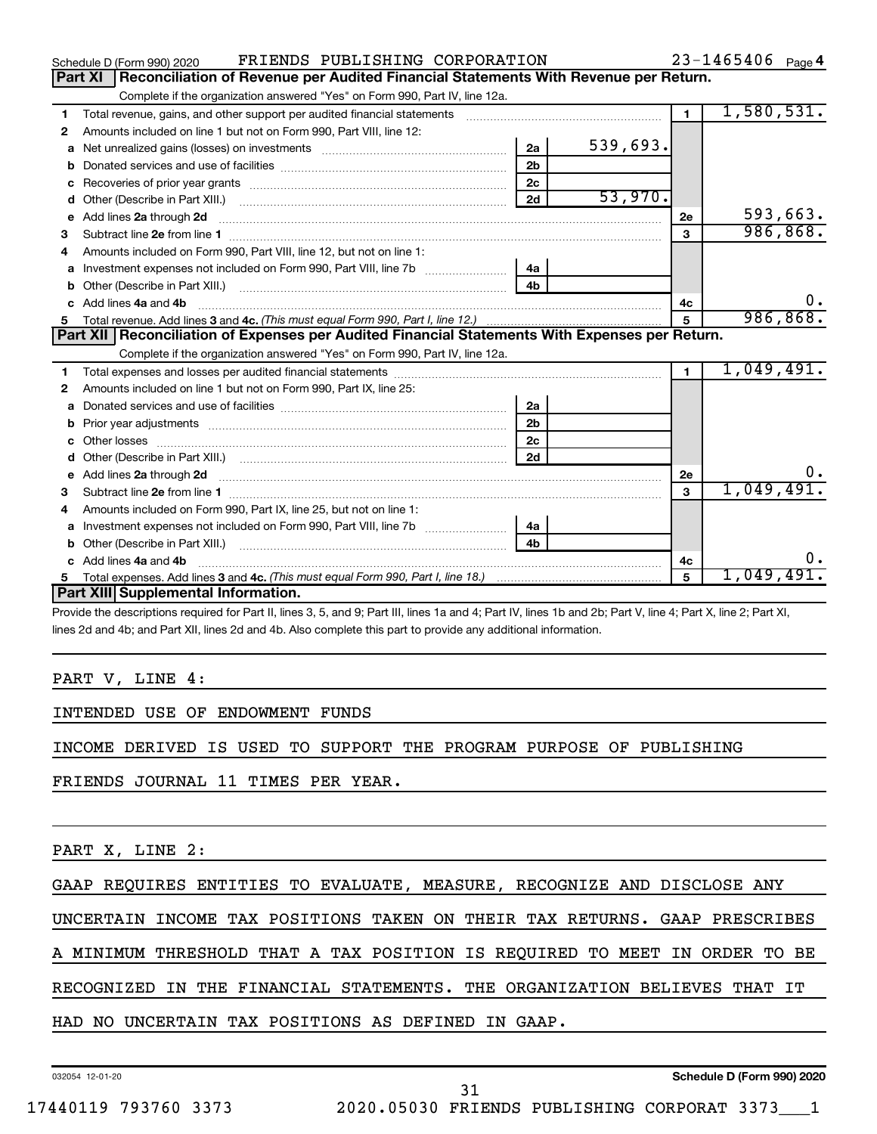|   | FRIENDS PUBLISHING CORPORATION<br>Schedule D (Form 990) 2020                                     |                |          |                | $23 - 1465406$ Page 4 |
|---|--------------------------------------------------------------------------------------------------|----------------|----------|----------------|-----------------------|
|   | Reconciliation of Revenue per Audited Financial Statements With Revenue per Return.<br>Part XI   |                |          |                |                       |
|   | Complete if the organization answered "Yes" on Form 990, Part IV, line 12a.                      |                |          |                |                       |
| 1 | Total revenue, gains, and other support per audited financial statements                         |                |          | $\overline{1}$ | 1,580,531.            |
| 2 | Amounts included on line 1 but not on Form 990, Part VIII, line 12:                              |                |          |                |                       |
| a |                                                                                                  | 2a             | 539,693. |                |                       |
|   |                                                                                                  | 2 <sub>b</sub> |          |                |                       |
|   |                                                                                                  | 2 <sub>c</sub> |          |                |                       |
| d |                                                                                                  | 2d             | 53,970.  |                |                       |
| е | Add lines 2a through 2d                                                                          |                |          | <b>2e</b>      | 593,663.              |
| 3 |                                                                                                  |                |          | 3              | 986, 868.             |
| 4 | Amounts included on Form 990. Part VIII. line 12, but not on line 1:                             |                |          |                |                       |
|   | Investment expenses not included on Form 990, Part VIII, line 7b [                               | l 4a           |          |                |                       |
|   |                                                                                                  | 4 <sub>h</sub> |          |                |                       |
|   | c Add lines 4a and 4b                                                                            |                |          | 4c             | $0$ .                 |
|   |                                                                                                  |                |          |                | 986, 868.             |
|   |                                                                                                  |                |          |                |                       |
|   | Part XII   Reconciliation of Expenses per Audited Financial Statements With Expenses per Return. |                |          |                |                       |
|   | Complete if the organization answered "Yes" on Form 990, Part IV, line 12a.                      |                |          |                |                       |
| 1 |                                                                                                  |                |          | $\blacksquare$ | 1,049,491.            |
| 2 | Amounts included on line 1 but not on Form 990, Part IX, line 25:                                |                |          |                |                       |
| a |                                                                                                  | 2a             |          |                |                       |
| b |                                                                                                  | 2 <sub>b</sub> |          |                |                       |
|   |                                                                                                  | 2 <sub>c</sub> |          |                |                       |
| d |                                                                                                  | 2d             |          |                |                       |
|   |                                                                                                  |                |          | <b>2e</b>      | $0$ .                 |
| 3 |                                                                                                  |                |          | $\overline{3}$ | 1,049,491.            |
| 4 | Amounts included on Form 990, Part IX, line 25, but not on line 1:                               |                |          |                |                       |
| a |                                                                                                  | 4a             |          |                |                       |
|   |                                                                                                  | 4 <sub>b</sub> |          |                |                       |
|   | c Add lines 4a and 4b                                                                            |                |          | 4с             | υ.                    |
|   | Part XIII Supplemental Information.                                                              |                |          | 5              | <u>1,049,491.</u>     |

Provide the descriptions required for Part II, lines 3, 5, and 9; Part III, lines 1a and 4; Part IV, lines 1b and 2b; Part V, line 4; Part X, line 2; Part XI, lines 2d and 4b; and Part XII, lines 2d and 4b. Also complete this part to provide any additional information.

#### PART V, LINE 4:

#### INTENDED USE OF ENDOWMENT FUNDS

INCOME DERIVED IS USED TO SUPPORT THE PROGRAM PURPOSE OF PUBLISHING

FRIENDS JOURNAL 11 TIMES PER YEAR.

PART X, LINE 2:

GAAP REQUIRES ENTITIES TO EVALUATE, MEASURE, RECOGNIZE AND DISCLOSE ANY

UNCERTAIN INCOME TAX POSITIONS TAKEN ON THEIR TAX RETURNS. GAAP PRESCRIBES

A MINIMUM THRESHOLD THAT A TAX POSITION IS REQUIRED TO MEET IN ORDER TO BE

RECOGNIZED IN THE FINANCIAL STATEMENTS. THE ORGANIZATION BELIEVES THAT IT

HAD NO UNCERTAIN TAX POSITIONS AS DEFINED IN GAAP.

032054 12-01-20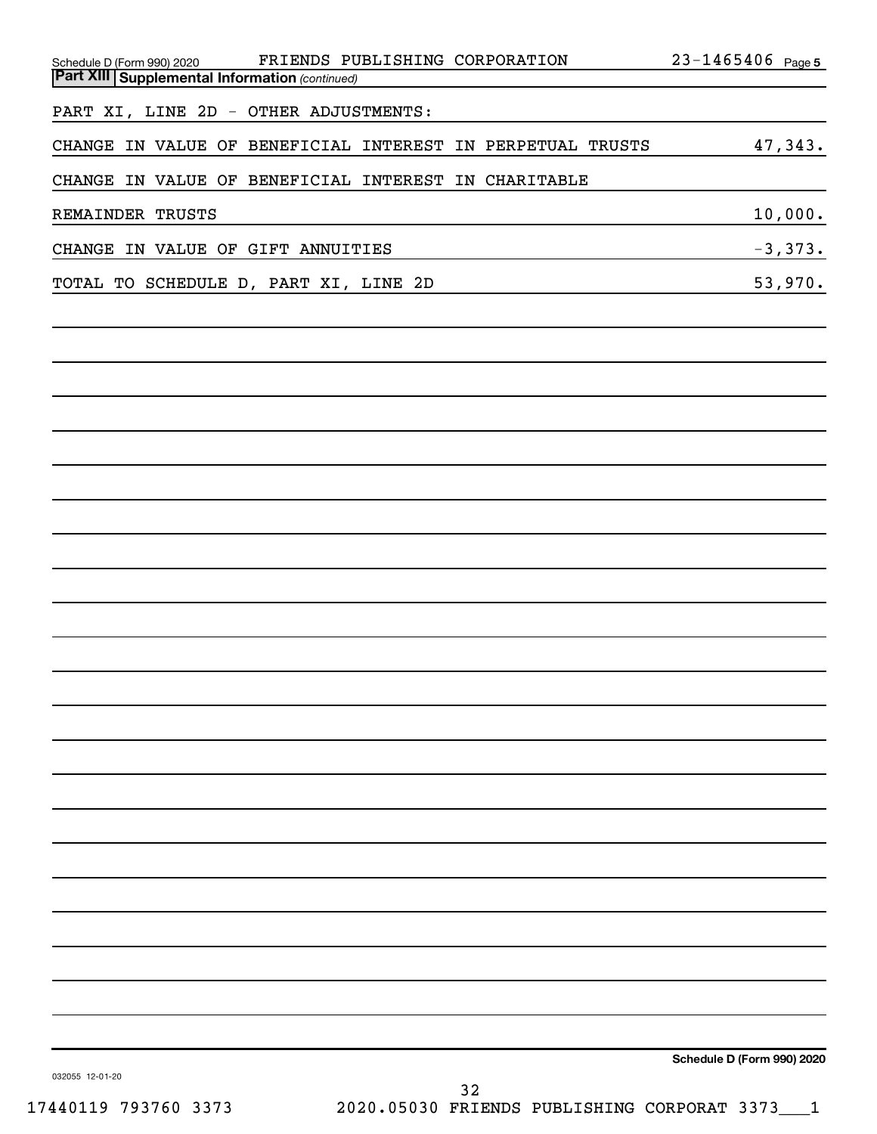| FRIENDS PUBLISHING CORPORATION<br>Schedule D (Form 990) 2020<br><b>Part XIII Supplemental Information (continued)</b> | $23 - 1465406$ Page 5      |
|-----------------------------------------------------------------------------------------------------------------------|----------------------------|
|                                                                                                                       |                            |
| PART XI, LINE 2D - OTHER ADJUSTMENTS:                                                                                 |                            |
| CHANGE IN VALUE OF BENEFICIAL INTEREST IN PERPETUAL TRUSTS                                                            | 47,343.                    |
| CHANGE IN VALUE OF BENEFICIAL INTEREST IN CHARITABLE                                                                  |                            |
| REMAINDER TRUSTS                                                                                                      | 10,000.                    |
| CHANGE IN VALUE OF GIFT ANNUITIES                                                                                     | $-3,373.$                  |
| TOTAL TO SCHEDULE D, PART XI, LINE 2D<br>the control of the control of the control of the control of the control of   | 53,970.                    |
|                                                                                                                       |                            |
|                                                                                                                       |                            |
|                                                                                                                       |                            |
|                                                                                                                       |                            |
|                                                                                                                       |                            |
|                                                                                                                       |                            |
|                                                                                                                       |                            |
|                                                                                                                       |                            |
|                                                                                                                       |                            |
|                                                                                                                       |                            |
|                                                                                                                       |                            |
|                                                                                                                       |                            |
|                                                                                                                       |                            |
|                                                                                                                       |                            |
|                                                                                                                       |                            |
|                                                                                                                       |                            |
|                                                                                                                       |                            |
|                                                                                                                       |                            |
|                                                                                                                       |                            |
|                                                                                                                       |                            |
|                                                                                                                       |                            |
|                                                                                                                       |                            |
|                                                                                                                       |                            |
|                                                                                                                       |                            |
| 032055 12-01-20                                                                                                       | Schedule D (Form 990) 2020 |
| 32<br>110110 703760 3373<br>2020 A5030 PRINDO DIBLICHING COPPOPAT 2373                                                |                            |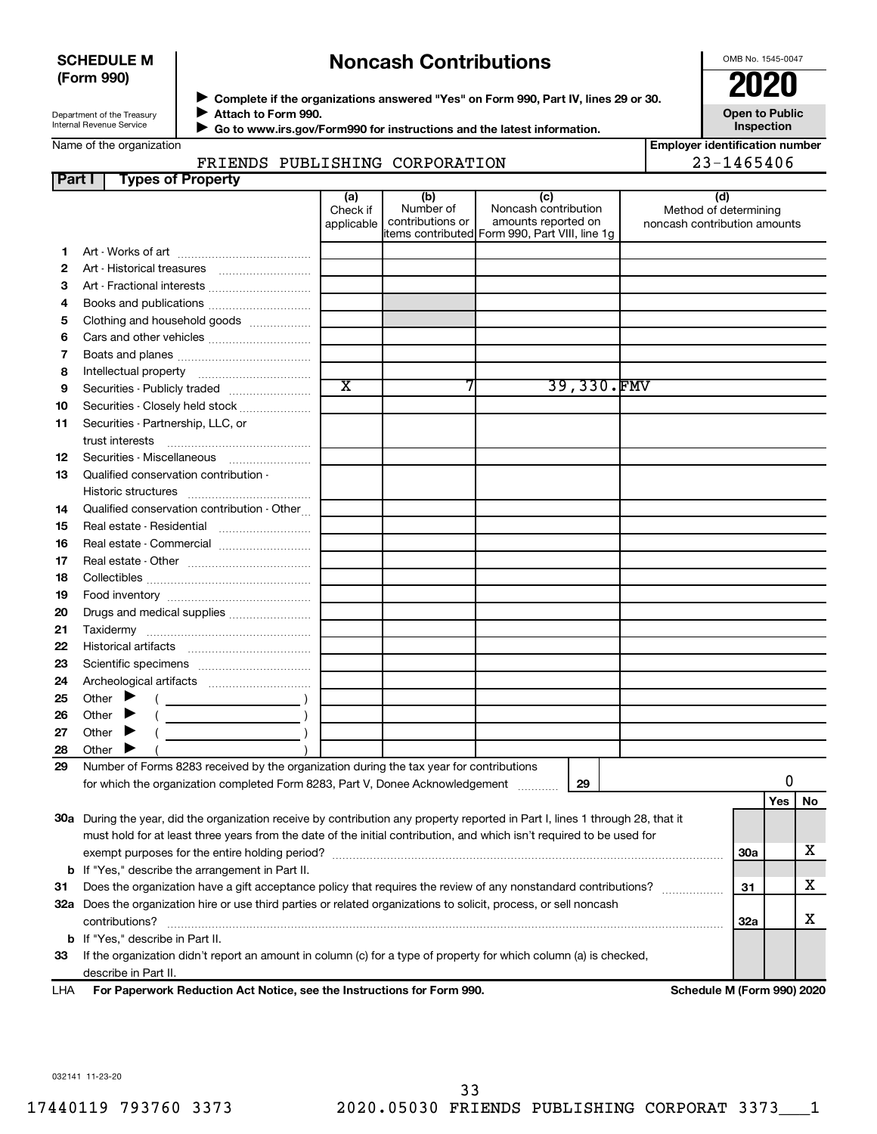#### **SCHEDULE M (Form 990)**

## **Noncash Contributions**

OMB No. 1545-0047

**Open to Public**

Department of the Treasury Internal Revenue Service

Name of the organization

◆ Complete if the organizations answered "Yes" on Form 990, Part IV, lines 29 or 30.<br>● Complete if the organizations answered "Yes" on Form 990, Part IV, lines 29 or 30. **Attach to Form 990.**  $\blacktriangleright$ 

 **Go to www.irs.gov/Form990 for instructions and the latest information.** J

**Inspection Employer identification number**

### FRIENDS PUBLISHING CORPORATION 23-1465406

| Part I | <b>Types of Property</b>                                                                                                       |                               |                                      |                                                                                                       |                                                              |            |     |    |
|--------|--------------------------------------------------------------------------------------------------------------------------------|-------------------------------|--------------------------------------|-------------------------------------------------------------------------------------------------------|--------------------------------------------------------------|------------|-----|----|
|        |                                                                                                                                | (a)<br>Check if<br>applicable | (b)<br>Number of<br>contributions or | (c)<br>Noncash contribution<br>amounts reported on<br>litems contributed Form 990, Part VIII, line 1g | (d)<br>Method of determining<br>noncash contribution amounts |            |     |    |
| 1.     |                                                                                                                                |                               |                                      |                                                                                                       |                                                              |            |     |    |
| 2      |                                                                                                                                |                               |                                      |                                                                                                       |                                                              |            |     |    |
| З      | Art - Fractional interests                                                                                                     |                               |                                      |                                                                                                       |                                                              |            |     |    |
| 4      | Books and publications                                                                                                         |                               |                                      |                                                                                                       |                                                              |            |     |    |
| 5      | Clothing and household goods                                                                                                   |                               |                                      |                                                                                                       |                                                              |            |     |    |
| 6      |                                                                                                                                |                               |                                      |                                                                                                       |                                                              |            |     |    |
| 7      |                                                                                                                                |                               |                                      |                                                                                                       |                                                              |            |     |    |
| 8      |                                                                                                                                |                               |                                      |                                                                                                       |                                                              |            |     |    |
| 9      | Securities - Publicly traded                                                                                                   | $\overline{\textbf{x}}$       |                                      | 39,330.FMV                                                                                            |                                                              |            |     |    |
| 10     | Securities - Closely held stock                                                                                                |                               |                                      |                                                                                                       |                                                              |            |     |    |
| 11     | Securities - Partnership, LLC, or                                                                                              |                               |                                      |                                                                                                       |                                                              |            |     |    |
|        |                                                                                                                                |                               |                                      |                                                                                                       |                                                              |            |     |    |
| 12     | Securities - Miscellaneous                                                                                                     |                               |                                      |                                                                                                       |                                                              |            |     |    |
| 13     | Qualified conservation contribution -                                                                                          |                               |                                      |                                                                                                       |                                                              |            |     |    |
|        |                                                                                                                                |                               |                                      |                                                                                                       |                                                              |            |     |    |
| 14     | Qualified conservation contribution - Other                                                                                    |                               |                                      |                                                                                                       |                                                              |            |     |    |
| 15     | Real estate - Residential                                                                                                      |                               |                                      |                                                                                                       |                                                              |            |     |    |
| 16     | Real estate - Commercial                                                                                                       |                               |                                      |                                                                                                       |                                                              |            |     |    |
| 17     |                                                                                                                                |                               |                                      |                                                                                                       |                                                              |            |     |    |
| 18     |                                                                                                                                |                               |                                      |                                                                                                       |                                                              |            |     |    |
| 19     |                                                                                                                                |                               |                                      |                                                                                                       |                                                              |            |     |    |
| 20     | Drugs and medical supplies                                                                                                     |                               |                                      |                                                                                                       |                                                              |            |     |    |
| 21     |                                                                                                                                |                               |                                      |                                                                                                       |                                                              |            |     |    |
| 22     |                                                                                                                                |                               |                                      |                                                                                                       |                                                              |            |     |    |
| 23     |                                                                                                                                |                               |                                      |                                                                                                       |                                                              |            |     |    |
| 24     |                                                                                                                                |                               |                                      |                                                                                                       |                                                              |            |     |    |
| 25     | Other $\blacktriangleright$                                                                                                    |                               |                                      |                                                                                                       |                                                              |            |     |    |
| 26     | Other                                                                                                                          |                               |                                      |                                                                                                       |                                                              |            |     |    |
| 27     | Other $\blacktriangleright$                                                                                                    |                               |                                      |                                                                                                       |                                                              |            |     |    |
| 28     | Other $\blacktriangleright$                                                                                                    |                               |                                      |                                                                                                       |                                                              |            |     |    |
| 29     | Number of Forms 8283 received by the organization during the tax year for contributions                                        |                               |                                      |                                                                                                       |                                                              |            |     |    |
|        | for which the organization completed Form 8283, Part V, Donee Acknowledgement                                                  |                               |                                      | 29                                                                                                    |                                                              |            | 0   |    |
|        |                                                                                                                                |                               |                                      |                                                                                                       |                                                              |            | Yes | No |
|        | 30a During the year, did the organization receive by contribution any property reported in Part I, lines 1 through 28, that it |                               |                                      |                                                                                                       |                                                              |            |     |    |
|        | must hold for at least three years from the date of the initial contribution, and which isn't required to be used for          |                               |                                      |                                                                                                       |                                                              |            |     |    |
|        |                                                                                                                                |                               |                                      |                                                                                                       |                                                              | 30a        |     | x  |
|        | <b>b</b> If "Yes," describe the arrangement in Part II.                                                                        |                               |                                      |                                                                                                       |                                                              |            |     |    |
| 31     | Does the organization have a gift acceptance policy that requires the review of any nonstandard contributions?                 |                               |                                      |                                                                                                       |                                                              | 31         |     | x  |
|        | 32a Does the organization hire or use third parties or related organizations to solicit, process, or sell noncash              |                               |                                      |                                                                                                       |                                                              |            |     |    |
|        | contributions?                                                                                                                 |                               |                                      |                                                                                                       |                                                              | <b>32a</b> |     | x  |
|        | <b>b</b> If "Yes," describe in Part II.                                                                                        |                               |                                      |                                                                                                       |                                                              |            |     |    |
| 33     | If the organization didn't report an amount in column (c) for a type of property for which column (a) is checked,              |                               |                                      |                                                                                                       |                                                              |            |     |    |
|        | describe in Part II.                                                                                                           |                               |                                      |                                                                                                       |                                                              |            |     |    |
| LHA    | For Paperwork Reduction Act Notice, see the Instructions for Form 990.                                                         |                               |                                      |                                                                                                       | Schedule M (Form 990) 2020                                   |            |     |    |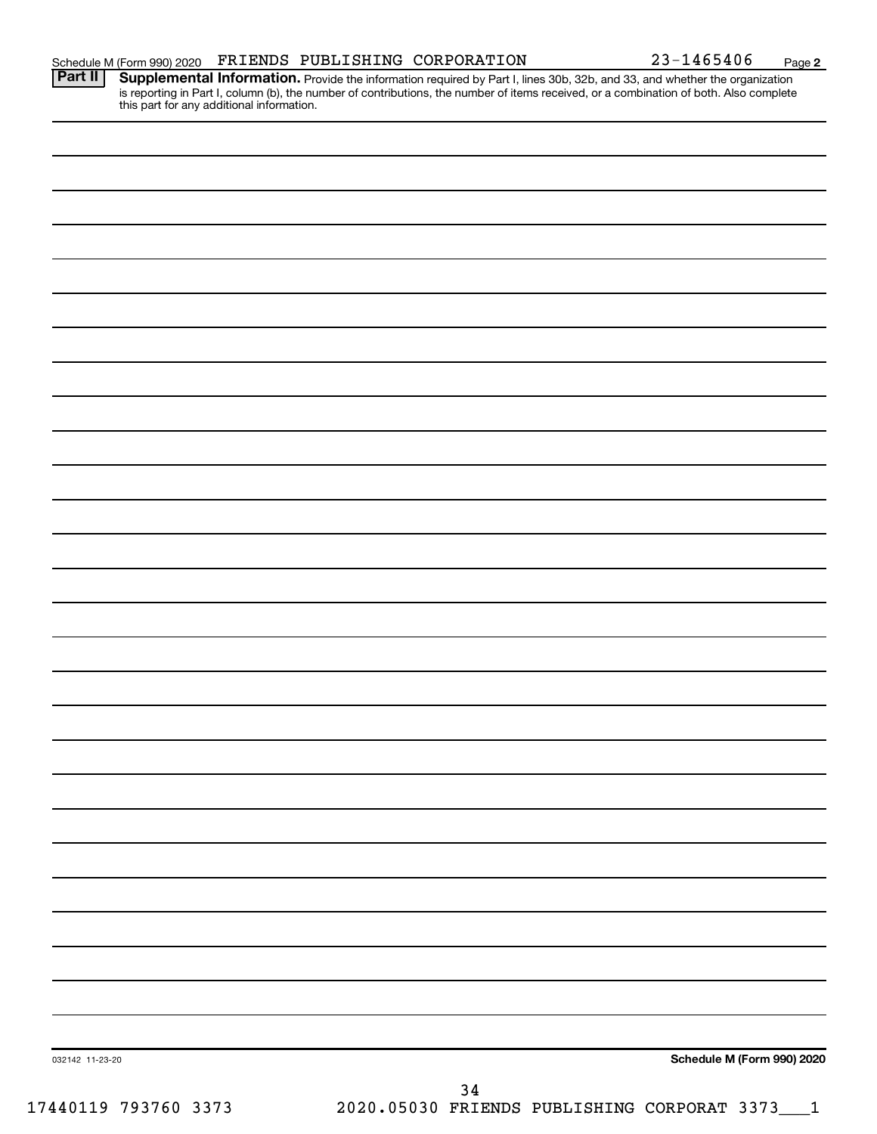**2**

Provide the information required by Part I, lines 30b, 32b, and 33, and whether the organization is reporting in Part I, column (b), the number of contributions, the number of items received, or a combination of both. Also complete this part for any additional information. **Part II Supplemental Information.** 

|                 | $34\,$ |                            |
|-----------------|--------|----------------------------|
| 032142 11-23-20 |        | Schedule M (Form 990) 2020 |
|                 |        |                            |
|                 |        |                            |
|                 |        |                            |
|                 |        |                            |
|                 |        |                            |
|                 |        |                            |
|                 |        |                            |
|                 |        |                            |
|                 |        |                            |
|                 |        |                            |
|                 |        |                            |
|                 |        |                            |
|                 |        |                            |
|                 |        |                            |
|                 |        |                            |
|                 |        |                            |
|                 |        |                            |
|                 |        |                            |
|                 |        |                            |
|                 |        |                            |
|                 |        |                            |
|                 |        |                            |
|                 |        |                            |
|                 |        |                            |
|                 |        |                            |
|                 |        |                            |
|                 |        |                            |
|                 |        |                            |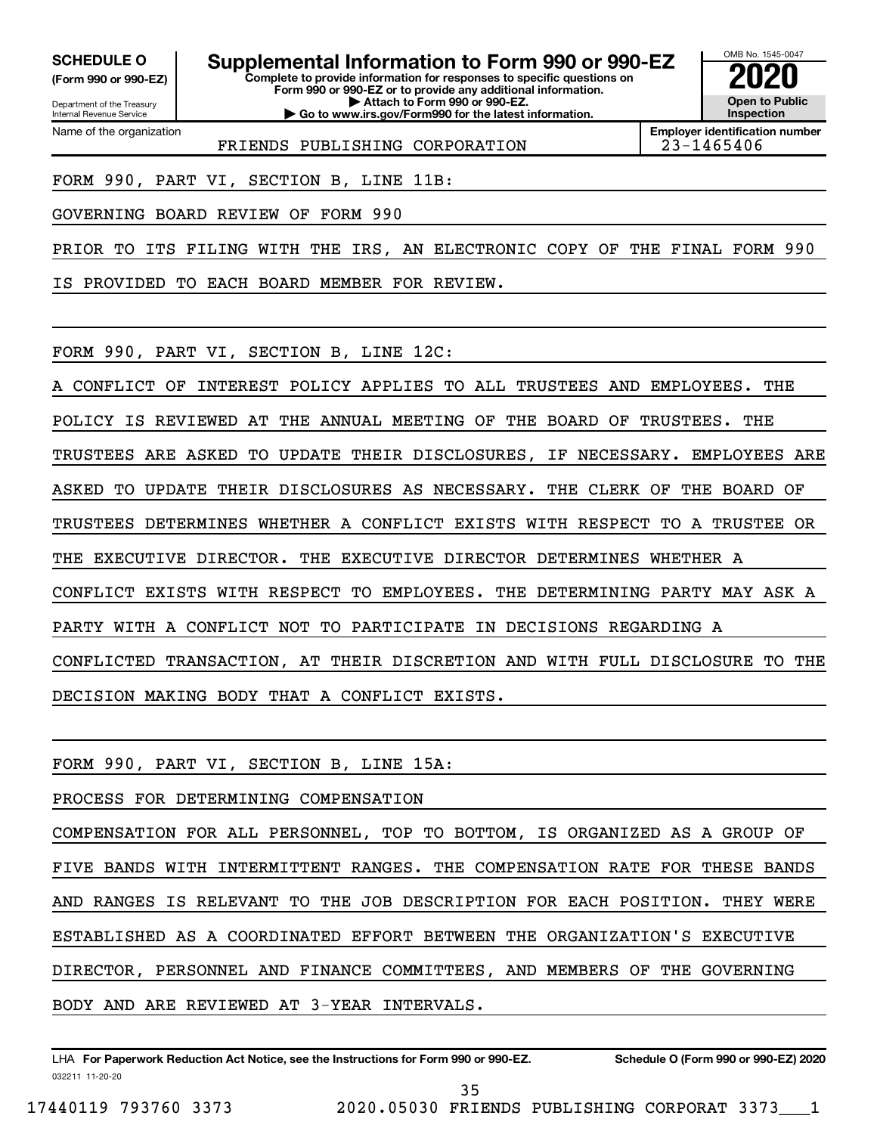**(Form 990 or 990-EZ)**

Department of the Treasury Internal Revenue Service Name of the organization

**Complete to provide information for responses to specific questions on SCHEDULE O Supplemental Information to Form 990 or 990-EZ 2020**<br>(Form 990 or 990-EZ) Complete to provide information for responses to specific questions on

**Form 990 or 990-EZ or to provide any additional information. | Attach to Form 990 or 990-EZ. | Go to www.irs.gov/Form990 for the latest information.**



**Employer identification number**

FRIENDS PUBLISHING CORPORATION 23-1465406

FORM 990, PART VI, SECTION B, LINE 11B:

GOVERNING BOARD REVIEW OF FORM 990

PRIOR TO ITS FILING WITH THE IRS, AN ELECTRONIC COPY OF THE FINAL FORM 990

IS PROVIDED TO EACH BOARD MEMBER FOR REVIEW.

FORM 990, PART VI, SECTION B, LINE 12C:

A CONFLICT OF INTEREST POLICY APPLIES TO ALL TRUSTEES AND EMPLOYEES. THE POLICY IS REVIEWED AT THE ANNUAL MEETING OF THE BOARD OF TRUSTEES. THE TRUSTEES ARE ASKED TO UPDATE THEIR DISCLOSURES, IF NECESSARY. EMPLOYEES ARE ASKED TO UPDATE THEIR DISCLOSURES AS NECESSARY. THE CLERK OF THE BOARD OF TRUSTEES DETERMINES WHETHER A CONFLICT EXISTS WITH RESPECT TO A TRUSTEE OR THE EXECUTIVE DIRECTOR. THE EXECUTIVE DIRECTOR DETERMINES WHETHER A CONFLICT EXISTS WITH RESPECT TO EMPLOYEES. THE DETERMINING PARTY MAY ASK A PARTY WITH A CONFLICT NOT TO PARTICIPATE IN DECISIONS REGARDING A CONFLICTED TRANSACTION, AT THEIR DISCRETION AND WITH FULL DISCLOSURE TO THE DECISION MAKING BODY THAT A CONFLICT EXISTS.

FORM 990, PART VI, SECTION B, LINE 15A:

PROCESS FOR DETERMINING COMPENSATION

COMPENSATION FOR ALL PERSONNEL, TOP TO BOTTOM, IS ORGANIZED AS A GROUP OF FIVE BANDS WITH INTERMITTENT RANGES. THE COMPENSATION RATE FOR THESE BANDS AND RANGES IS RELEVANT TO THE JOB DESCRIPTION FOR EACH POSITION. THEY WERE ESTABLISHED AS A COORDINATED EFFORT BETWEEN THE ORGANIZATION'S EXECUTIVE DIRECTOR, PERSONNEL AND FINANCE COMMITTEES, AND MEMBERS OF THE GOVERNING BODY AND ARE REVIEWED AT 3-YEAR INTERVALS.

032211 11-20-20 **For Paperwork Reduction Act Notice, see the Instructions for Form 990 or 990-EZ. Schedule O (Form 990 or 990-EZ) 2020** LHA